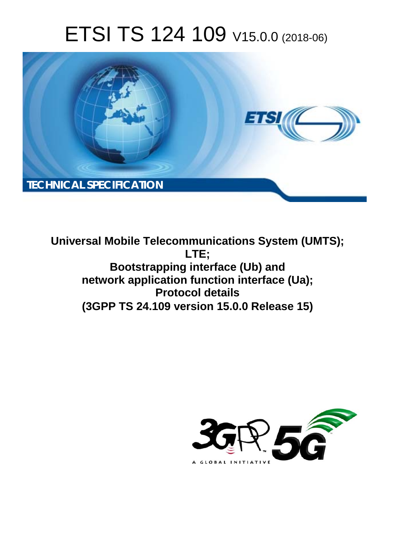# ETSI TS 124 109 V15.0.0 (2018-06)



**Universal Mobile Telecommunications System (UMTS); LTE; Bootstrapping interface (Ub) and network application function interface (Ua); Protocol details (3GPP TS 24.109 version 15.0.0 Release 15)** 

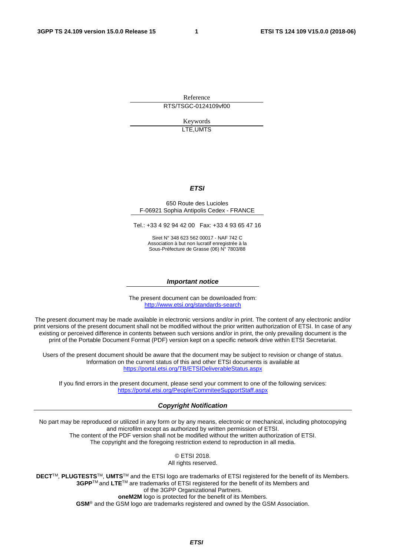Reference RTS/TSGC-0124109vf00

> Keywords LTE,UMTS

### *ETSI*

#### 650 Route des Lucioles F-06921 Sophia Antipolis Cedex - FRANCE

Tel.: +33 4 92 94 42 00 Fax: +33 4 93 65 47 16

Siret N° 348 623 562 00017 - NAF 742 C Association à but non lucratif enregistrée à la Sous-Préfecture de Grasse (06) N° 7803/88

#### *Important notice*

The present document can be downloaded from: <http://www.etsi.org/standards-search>

The present document may be made available in electronic versions and/or in print. The content of any electronic and/or print versions of the present document shall not be modified without the prior written authorization of ETSI. In case of any existing or perceived difference in contents between such versions and/or in print, the only prevailing document is the print of the Portable Document Format (PDF) version kept on a specific network drive within ETSI Secretariat.

Users of the present document should be aware that the document may be subject to revision or change of status. Information on the current status of this and other ETSI documents is available at <https://portal.etsi.org/TB/ETSIDeliverableStatus.aspx>

If you find errors in the present document, please send your comment to one of the following services: <https://portal.etsi.org/People/CommiteeSupportStaff.aspx>

#### *Copyright Notification*

No part may be reproduced or utilized in any form or by any means, electronic or mechanical, including photocopying and microfilm except as authorized by written permission of ETSI. The content of the PDF version shall not be modified without the written authorization of ETSI. The copyright and the foregoing restriction extend to reproduction in all media.

> © ETSI 2018. All rights reserved.

**DECT**TM, **PLUGTESTS**TM, **UMTS**TM and the ETSI logo are trademarks of ETSI registered for the benefit of its Members. **3GPP**TM and **LTE**TM are trademarks of ETSI registered for the benefit of its Members and of the 3GPP Organizational Partners. **oneM2M** logo is protected for the benefit of its Members.

**GSM**® and the GSM logo are trademarks registered and owned by the GSM Association.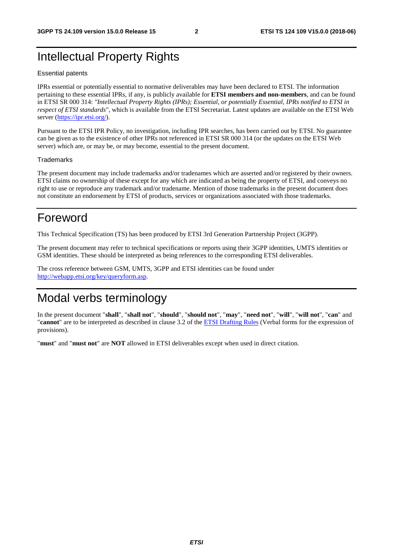## Intellectual Property Rights

#### Essential patents

IPRs essential or potentially essential to normative deliverables may have been declared to ETSI. The information pertaining to these essential IPRs, if any, is publicly available for **ETSI members and non-members**, and can be found in ETSI SR 000 314: *"Intellectual Property Rights (IPRs); Essential, or potentially Essential, IPRs notified to ETSI in respect of ETSI standards"*, which is available from the ETSI Secretariat. Latest updates are available on the ETSI Web server ([https://ipr.etsi.org/\)](https://ipr.etsi.org/).

Pursuant to the ETSI IPR Policy, no investigation, including IPR searches, has been carried out by ETSI. No guarantee can be given as to the existence of other IPRs not referenced in ETSI SR 000 314 (or the updates on the ETSI Web server) which are, or may be, or may become, essential to the present document.

#### **Trademarks**

The present document may include trademarks and/or tradenames which are asserted and/or registered by their owners. ETSI claims no ownership of these except for any which are indicated as being the property of ETSI, and conveys no right to use or reproduce any trademark and/or tradename. Mention of those trademarks in the present document does not constitute an endorsement by ETSI of products, services or organizations associated with those trademarks.

## Foreword

This Technical Specification (TS) has been produced by ETSI 3rd Generation Partnership Project (3GPP).

The present document may refer to technical specifications or reports using their 3GPP identities, UMTS identities or GSM identities. These should be interpreted as being references to the corresponding ETSI deliverables.

The cross reference between GSM, UMTS, 3GPP and ETSI identities can be found under [http://webapp.etsi.org/key/queryform.asp.](http://webapp.etsi.org/key/queryform.asp)

## Modal verbs terminology

In the present document "**shall**", "**shall not**", "**should**", "**should not**", "**may**", "**need not**", "**will**", "**will not**", "**can**" and "**cannot**" are to be interpreted as described in clause 3.2 of the [ETSI Drafting Rules](https://portal.etsi.org/Services/editHelp!/Howtostart/ETSIDraftingRules.aspx) (Verbal forms for the expression of provisions).

"**must**" and "**must not**" are **NOT** allowed in ETSI deliverables except when used in direct citation.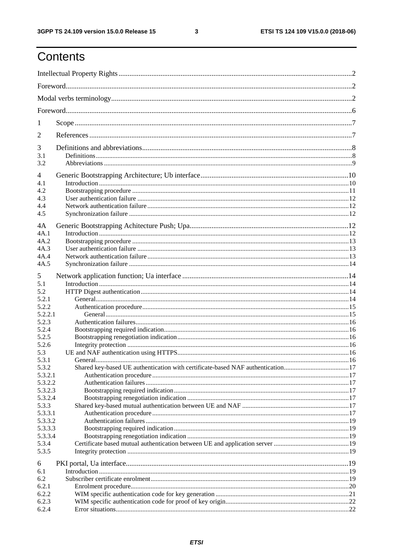## Contents

| 1        |                                                                                |  |  |
|----------|--------------------------------------------------------------------------------|--|--|
| 2        |                                                                                |  |  |
| 3        |                                                                                |  |  |
| 3.1      |                                                                                |  |  |
| 3.2      |                                                                                |  |  |
| 4<br>4.1 |                                                                                |  |  |
| 4.2      |                                                                                |  |  |
| 4.3      |                                                                                |  |  |
| 4.4      |                                                                                |  |  |
| 4.5      |                                                                                |  |  |
|          |                                                                                |  |  |
| 4A       |                                                                                |  |  |
| 4A.1     |                                                                                |  |  |
| 4A.2     |                                                                                |  |  |
| 4A.3     |                                                                                |  |  |
| 4A.4     |                                                                                |  |  |
| 4A.5     |                                                                                |  |  |
| 5        |                                                                                |  |  |
| 5.1      |                                                                                |  |  |
| 5.2      |                                                                                |  |  |
| 5.2.1    |                                                                                |  |  |
| 5.2.2    |                                                                                |  |  |
| 5.2.2.1  |                                                                                |  |  |
| 5.2.3    |                                                                                |  |  |
| 5.2.4    |                                                                                |  |  |
| 5.2.5    |                                                                                |  |  |
| 5.2.6    |                                                                                |  |  |
| 5.3      |                                                                                |  |  |
| 5.3.1    |                                                                                |  |  |
| 5.3.2    | Shared key-based UE authentication with certificate-based NAF authentication17 |  |  |
| 5.3.2.1  |                                                                                |  |  |
| 5.3.2.2  |                                                                                |  |  |
| 5.3.2.3  |                                                                                |  |  |
| 5.3.2.4  |                                                                                |  |  |
| 5.3.3    |                                                                                |  |  |
| 5.3.3.1  |                                                                                |  |  |
| 5.3.3.2  |                                                                                |  |  |
| 5.3.3.3  |                                                                                |  |  |
| 5.3.3.4  |                                                                                |  |  |
| 5.3.4    |                                                                                |  |  |
| 5.3.5    |                                                                                |  |  |
| 6        |                                                                                |  |  |
| 6.1      |                                                                                |  |  |
| 6.2      |                                                                                |  |  |
| 6.2.1    |                                                                                |  |  |
| 6.2.2    |                                                                                |  |  |
| 6.2.3    |                                                                                |  |  |
| 6.2.4    |                                                                                |  |  |
|          |                                                                                |  |  |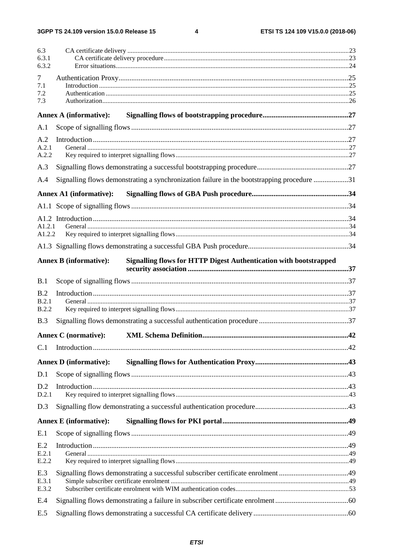$\overline{\mathbf{4}}$ 

| 6.3<br>6.3.1<br>6.3.2 |                                                                                 |                                                                                            |  |  |
|-----------------------|---------------------------------------------------------------------------------|--------------------------------------------------------------------------------------------|--|--|
|                       |                                                                                 |                                                                                            |  |  |
| 7<br>7.1              |                                                                                 |                                                                                            |  |  |
| 7.2                   |                                                                                 |                                                                                            |  |  |
| 7.3                   |                                                                                 |                                                                                            |  |  |
|                       | <b>Annex A (informative):</b>                                                   |                                                                                            |  |  |
| A.1                   |                                                                                 |                                                                                            |  |  |
| A.2                   |                                                                                 |                                                                                            |  |  |
| A.2.1                 |                                                                                 |                                                                                            |  |  |
| A.2.2                 |                                                                                 |                                                                                            |  |  |
| A.3                   |                                                                                 |                                                                                            |  |  |
| A.4                   |                                                                                 | Signalling flows demonstrating a synchronization failure in the bootstrapping procedure 31 |  |  |
|                       | <b>Annex A1 (informative):</b>                                                  |                                                                                            |  |  |
|                       |                                                                                 |                                                                                            |  |  |
|                       |                                                                                 |                                                                                            |  |  |
| A1.2.1                |                                                                                 |                                                                                            |  |  |
| A1.2.2                |                                                                                 |                                                                                            |  |  |
|                       |                                                                                 |                                                                                            |  |  |
|                       | <b>Annex B</b> (informative):                                                   | <b>Signalling flows for HTTP Digest Authentication with bootstrapped</b>                   |  |  |
| B.1                   |                                                                                 |                                                                                            |  |  |
| B.2                   |                                                                                 |                                                                                            |  |  |
| B.2.1                 |                                                                                 |                                                                                            |  |  |
| B.2.2                 |                                                                                 |                                                                                            |  |  |
| B.3                   |                                                                                 |                                                                                            |  |  |
|                       | <b>Annex C</b> (normative):                                                     |                                                                                            |  |  |
| C.1                   |                                                                                 |                                                                                            |  |  |
|                       | <b>Annex D</b> (informative):                                                   |                                                                                            |  |  |
| D.1                   |                                                                                 |                                                                                            |  |  |
| D.2                   |                                                                                 |                                                                                            |  |  |
| D.2.1                 |                                                                                 |                                                                                            |  |  |
| D.3                   |                                                                                 |                                                                                            |  |  |
|                       | <b>Annex E</b> (informative):                                                   |                                                                                            |  |  |
| E.1                   |                                                                                 |                                                                                            |  |  |
| E.2                   |                                                                                 |                                                                                            |  |  |
| E.2.1                 |                                                                                 |                                                                                            |  |  |
| E.2.2                 |                                                                                 |                                                                                            |  |  |
| E.3                   | Signalling flows demonstrating a successful subscriber certificate enrolment 49 |                                                                                            |  |  |
| E.3.1                 |                                                                                 |                                                                                            |  |  |
| E.3.2                 |                                                                                 |                                                                                            |  |  |
| E.4                   |                                                                                 |                                                                                            |  |  |
| E.5                   |                                                                                 |                                                                                            |  |  |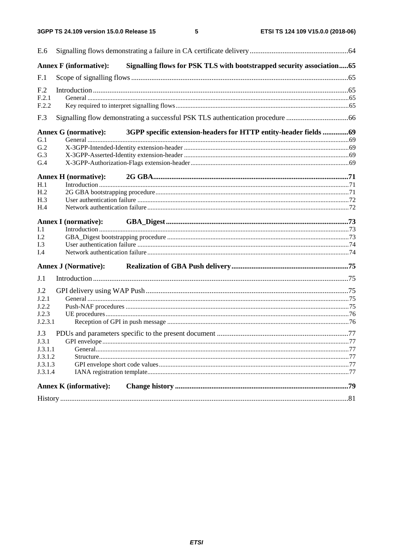| E.6             |                               |                                                                                |  |  |
|-----------------|-------------------------------|--------------------------------------------------------------------------------|--|--|
|                 | <b>Annex F</b> (informative): | Signalling flows for PSK TLS with bootstrapped security association65          |  |  |
| F.1             |                               |                                                                                |  |  |
| F <sub>.2</sub> |                               |                                                                                |  |  |
| F.2.1           |                               |                                                                                |  |  |
| F.2.2           |                               |                                                                                |  |  |
| F.3             |                               | Signalling flow demonstrating a successful PSK TLS authentication procedure 66 |  |  |
|                 | <b>Annex G (normative):</b>   | 3GPP specific extension-headers for HTTP entity-header fields 69               |  |  |
| G.1             |                               |                                                                                |  |  |
| G.2             |                               |                                                                                |  |  |
| G.3             |                               |                                                                                |  |  |
| G.4             |                               |                                                                                |  |  |
|                 |                               |                                                                                |  |  |
| H.1             |                               |                                                                                |  |  |
| H <sub>.2</sub> |                               |                                                                                |  |  |
| H.3             |                               |                                                                                |  |  |
| H.4             |                               |                                                                                |  |  |
|                 | <b>Annex I</b> (normative):   |                                                                                |  |  |
| I.1             |                               |                                                                                |  |  |
| I.2             |                               |                                                                                |  |  |
| I.3             |                               |                                                                                |  |  |
| I.4             |                               |                                                                                |  |  |
|                 | <b>Annex J (Normative):</b>   |                                                                                |  |  |
| J.1             |                               |                                                                                |  |  |
| J.2             |                               |                                                                                |  |  |
| J.2.1           |                               |                                                                                |  |  |
| J.2.2           |                               |                                                                                |  |  |
| J.2.3           |                               |                                                                                |  |  |
| J.2.3.1         |                               |                                                                                |  |  |
| J.3             |                               |                                                                                |  |  |
| J.3.1           |                               |                                                                                |  |  |
| J.3.1.1         |                               |                                                                                |  |  |
| J.3.1.2         |                               |                                                                                |  |  |
| J.3.1.3         |                               |                                                                                |  |  |
| J.3.1.4         |                               |                                                                                |  |  |
|                 | <b>Annex K</b> (informative): |                                                                                |  |  |
|                 |                               |                                                                                |  |  |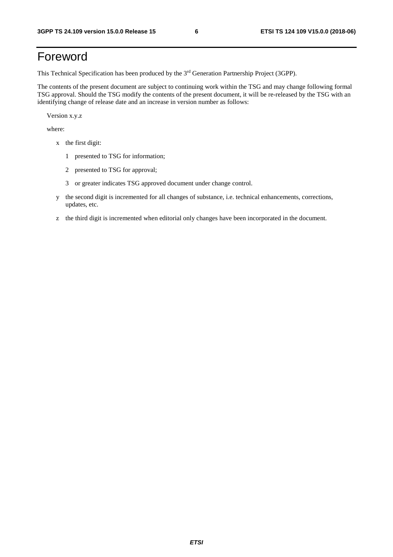## Foreword

This Technical Specification has been produced by the 3rd Generation Partnership Project (3GPP).

The contents of the present document are subject to continuing work within the TSG and may change following formal TSG approval. Should the TSG modify the contents of the present document, it will be re-released by the TSG with an identifying change of release date and an increase in version number as follows:

Version x.y.z

where:

- x the first digit:
	- 1 presented to TSG for information;
	- 2 presented to TSG for approval;
	- 3 or greater indicates TSG approved document under change control.
- y the second digit is incremented for all changes of substance, i.e. technical enhancements, corrections, updates, etc.
- z the third digit is incremented when editorial only changes have been incorporated in the document.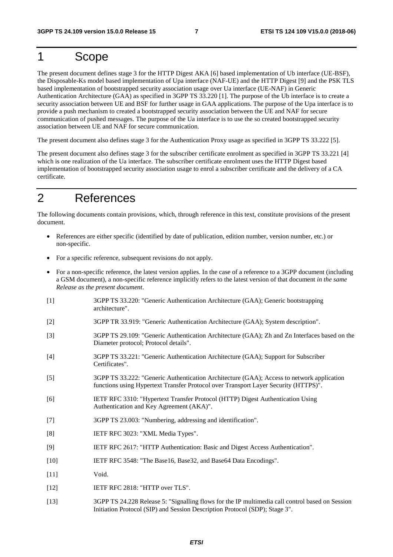## 1 Scope

The present document defines stage 3 for the HTTP Digest AKA [6] based implementation of Ub interface (UE-BSF), the Disposable-Ks model based implementation of Upa interface (NAF-UE) and the HTTP Digest [9] and the PSK TLS based implementation of bootstrapped security association usage over Ua interface (UE-NAF) in Generic Authentication Architecture (GAA) as specified in 3GPP TS 33.220 [1]. The purpose of the Ub interface is to create a security association between UE and BSF for further usage in GAA applications. The purpose of the Upa interface is to provide a push mechanism to created a bootstrapped security association between the UE and NAF for secure communication of pushed messages. The purpose of the Ua interface is to use the so created bootstrapped security association between UE and NAF for secure communication.

The present document also defines stage 3 for the Authentication Proxy usage as specified in 3GPP TS 33.222 [5].

The present document also defines stage 3 for the subscriber certificate enrolment as specified in 3GPP TS 33.221 [4] which is one realization of the Ua interface. The subscriber certificate enrolment uses the HTTP Digest based implementation of bootstrapped security association usage to enrol a subscriber certificate and the delivery of a CA certificate.

## 2 References

The following documents contain provisions, which, through reference in this text, constitute provisions of the present document.

- References are either specific (identified by date of publication, edition number, version number, etc.) or non-specific.
- For a specific reference, subsequent revisions do not apply.
- For a non-specific reference, the latest version applies. In the case of a reference to a 3GPP document (including a GSM document), a non-specific reference implicitly refers to the latest version of that document *in the same Release as the present document*.
- [1] 3GPP TS 33.220: "Generic Authentication Architecture (GAA); Generic bootstrapping architecture".
- [2] 3GPP TR 33.919: "Generic Authentication Architecture (GAA); System description".
- [3] 3GPP TS 29.109: "Generic Authentication Architecture (GAA); Zh and Zn Interfaces based on the Diameter protocol; Protocol details".
- [4] 3GPP TS 33.221: "Generic Authentication Architecture (GAA); Support for Subscriber Certificates".
- [5] 3GPP TS 33.222: "Generic Authentication Architecture (GAA); Access to network application functions using Hypertext Transfer Protocol over Transport Layer Security (HTTPS)".
- [6] IETF RFC 3310: "Hypertext Transfer Protocol (HTTP) Digest Authentication Using Authentication and Key Agreement (AKA)".
- [7] 3GPP TS 23.003: "Numbering, addressing and identification".
- [8] IETF RFC 3023: "XML Media Types".
- [9] IETF RFC 2617: "HTTP Authentication: Basic and Digest Access Authentication".
- [10] IETF RFC 3548: "The Base16, Base32, and Base64 Data Encodings".
- [11] **Void.**
- [12] **IETF RFC 2818: "HTTP over TLS".**
- [13] 3GPP TS 24.228 Release 5: "Signalling flows for the IP multimedia call control based on Session Initiation Protocol (SIP) and Session Description Protocol (SDP); Stage 3".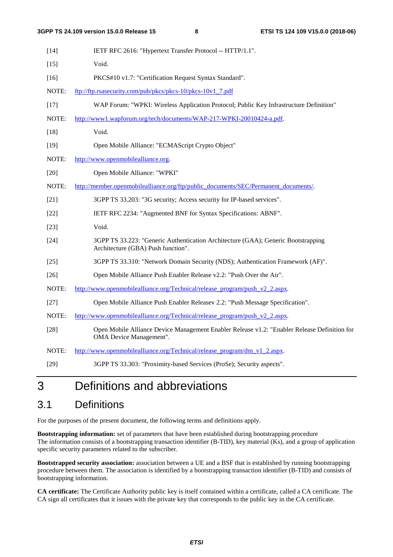| $[14]$ | IETF RFC 2616: "Hypertext Transfer Protocol -- HTTP/1.1".                                                               |
|--------|-------------------------------------------------------------------------------------------------------------------------|
| $[15]$ | Void.                                                                                                                   |
| $[16]$ | PKCS#10 v1.7: "Certification Request Syntax Standard".                                                                  |
| NOTE:  | ftp://ftp.rsasecurity.com/pub/pkcs/pkcs-10/pkcs-10v1_7.pdf                                                              |
| $[17]$ | WAP Forum: "WPKI: Wireless Application Protocol; Public Key Infrastructure Definition"                                  |
| NOTE:  | http://www1.wapforum.org/tech/documents/WAP-217-WPKI-20010424-a.pdf.                                                    |
| $[18]$ | Void.                                                                                                                   |
| $[19]$ | Open Mobile Alliance: "ECMAScript Crypto Object"                                                                        |
| NOTE:  | http://www.openmobilealliance.org.                                                                                      |
| $[20]$ | Open Mobile Alliance: "WPKI"                                                                                            |
| NOTE:  | http://member.openmobilealliance.org/ftp/public_documents/SEC/Permanent_documents/.                                     |
| $[21]$ | 3GPP TS 33.203: "3G security; Access security for IP-based services".                                                   |
| $[22]$ | IETF RFC 2234: "Augmented BNF for Syntax Specifications: ABNF".                                                         |
| $[23]$ | Void.                                                                                                                   |
| $[24]$ | 3GPP TS 33.223: "Generic Authentication Architecture (GAA); Generic Bootstrapping<br>Architecture (GBA) Push function". |
| $[25]$ | 3GPP TS 33.310: "Network Domain Security (NDS); Authentication Framework (AF)".                                         |
| $[26]$ | Open Mobile Alliance Push Enabler Release v2.2: "Push Over the Air".                                                    |
| NOTE:  | http://www.openmobilealliance.org/Technical/release_program/push_v2_2.aspx.                                             |
| $[27]$ | Open Mobile Alliance Push Enabler Releasev 2.2: "Push Message Specification".                                           |
| NOTE:  | http://www.openmobilealliance.org/Technical/release program/push v2 2.aspx.                                             |
| $[28]$ | Open Mobile Alliance Device Management Enabler Release v1.2: "Enabler Release Definition for<br>OMA Device Management". |
| NOTE:  | http://www.openmobilealliance.org/Technical/release program/dm v1 2.aspx.                                               |
| $[29]$ | 3GPP TS 33.303: "Proximity-based Services (ProSe); Security aspects".                                                   |

## 3 Definitions and abbreviations

## 3.1 Definitions

For the purposes of the present document, the following terms and definitions apply.

**Bootstrapping information:** set of parameters that have been established during bootstrapping procedure The information consists of a bootstrapping transaction identifier (B-TID), key material (Ks), and a group of application specific security parameters related to the subscriber.

**Bootstrapped security association:** association between a UE and a BSF that is established by running bootstrapping procedure between them. The association is identified by a bootstrapping transaction identifier (B-TID) and consists of bootstrapping information.

**CA certificate:** The Certificate Authority public key is itself contained within a certificate, called a CA certificate. The CA sign all certificates that it issues with the private key that corresponds to the public key in the CA certificate.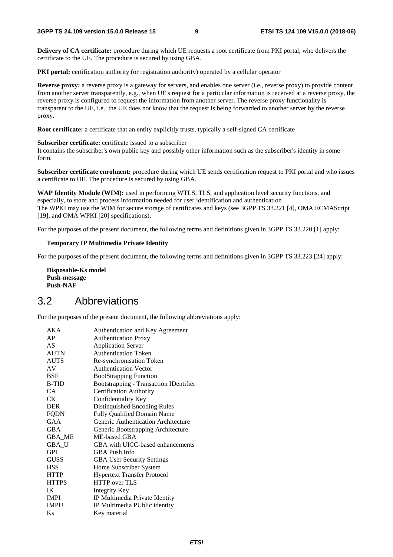**Delivery of CA certificate:** procedure during which UE requests a root certificate from PKI portal, who delivers the certificate to the UE. The procedure is secured by using GBA.

**PKI portal:** certification authority (or registration authority) operated by a cellular operator

**Reverse proxy:** a reverse proxy is a gateway for servers, and enables one server (i.e., reverse proxy) to provide content from another server transparently, e.g., when UE's request for a particular information is received at a reverse proxy, the reverse proxy is configured to request the information from another server. The reverse proxy functionality is transparent to the UE, i.e., the UE does not know that the request is being forwarded to another server by the reverse proxy.

**Root certificate:** a certificate that an entity explicitly trusts, typically a self-signed CA certificate

**Subscriber certificate:** certificate issued to a subscriber

It contains the subscriber's own public key and possibly other information such as the subscriber's identity in some form.

**Subscriber certificate enrolment:** procedure during which UE sends certification request to PKI portal and who issues a certificate to UE. The procedure is secured by using GBA.

**WAP Identity Module (WIM):** used in performing WTLS, TLS, and application level security functions, and especially, to store and process information needed for user identification and authentication The WPKI may use the WIM for secure storage of certificates and keys (see 3GPP TS 33.221 [4], OMA ECMAScript [19], and OMA WPKI [20] specifications).

For the purposes of the present document, the following terms and definitions given in 3GPP TS 33.220 [1] apply:

### **Temporary IP Multimedia Private Identity**

For the purposes of the present document, the following terms and definitions given in 3GPP TS 33.223 [24] apply:

**Disposable-Ks model Push-message Push-NAF** 

## 3.2 Abbreviations

For the purposes of the present document, the following abbreviations apply:

| <b>AKA</b>   | Authentication and Key Agreement              |
|--------------|-----------------------------------------------|
| AP           | <b>Authentication Proxy</b>                   |
| AS           | <b>Application Server</b>                     |
| <b>AUTN</b>  | <b>Authentication Token</b>                   |
| <b>AUTS</b>  | Re-synchronisation Token                      |
| AV           | <b>Authentication Vector</b>                  |
| <b>BSF</b>   | <b>BootStrapping Function</b>                 |
| <b>B-TID</b> | <b>Bootstrapping - Transaction IDentifier</b> |
| CA           | <b>Certification Authority</b>                |
| <b>CK</b>    | Confidentiality Key                           |
| <b>DER</b>   | Distinguished Encoding Rules                  |
| <b>FQDN</b>  | <b>Fully Qualified Domain Name</b>            |
| GAA          | Generic Authentication Architecture           |
| <b>GBA</b>   | Generic Bootstrapping Architecture            |
| GBA ME       | ME-based GBA                                  |
| GBA_U        | GBA with UICC-based enhancements              |
| GPI          | GBA Push Info                                 |
| <b>GUSS</b>  | <b>GBA User Security Settings</b>             |
| <b>HSS</b>   | Home Subscriber System                        |
| <b>HTTP</b>  | <b>Hypertext Transfer Protocol</b>            |
| <b>HTTPS</b> | <b>HTTP</b> over TLS                          |
| IK           | Integrity Key                                 |
| <b>IMPI</b>  | IP Multimedia Private Identity                |
| <b>IMPU</b>  | IP Multimedia PUblic identity                 |
| <b>Ks</b>    | Key material                                  |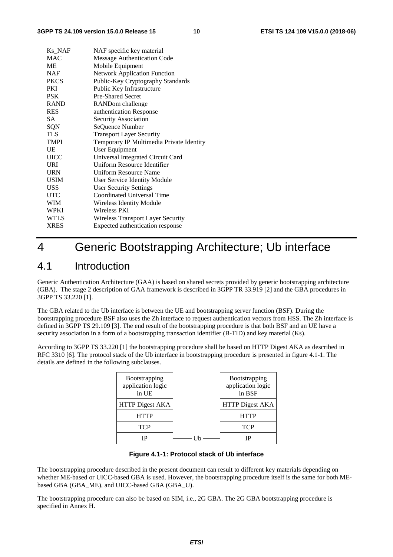| Ks_NAF      | NAF specific key material                |
|-------------|------------------------------------------|
| <b>MAC</b>  | <b>Message Authentication Code</b>       |
| <b>ME</b>   | Mobile Equipment                         |
| <b>NAF</b>  | <b>Network Application Function</b>      |
| <b>PKCS</b> | Public-Key Cryptography Standards        |
| <b>PKI</b>  | Public Key Infrastructure                |
| <b>PSK</b>  | <b>Pre-Shared Secret</b>                 |
| <b>RAND</b> | RANDom challenge                         |
| <b>RES</b>  | authentication Response                  |
| SA.         | <b>Security Association</b>              |
| SQN         | SeQuence Number                          |
| <b>TLS</b>  | <b>Transport Layer Security</b>          |
| <b>TMPI</b> | Temporary IP Multimedia Private Identity |
| <b>UE</b>   | <b>User Equipment</b>                    |
| <b>UICC</b> | Universal Integrated Circuit Card        |
| <b>URI</b>  | Uniform Resource Identifier              |
| <b>URN</b>  | Uniform Resource Name                    |
| <b>USIM</b> | User Service Identity Module             |
| <b>USS</b>  | <b>User Security Settings</b>            |
| <b>UTC</b>  | Coordinated Universal Time               |
| <b>WIM</b>  | Wireless Identity Module                 |
| <b>WPKI</b> | Wireless PKI                             |
| <b>WTLS</b> | <b>Wireless Transport Layer Security</b> |
| <b>XRES</b> | Expected authentication response         |

## 4 Generic Bootstrapping Architecture; Ub interface

### 4.1 Introduction

Generic Authentication Architecture (GAA) is based on shared secrets provided by generic bootstrapping architecture (GBA). The stage 2 description of GAA framework is described in 3GPP TR 33.919 [2] and the GBA procedures in 3GPP TS 33.220 [1].

The GBA related to the Ub interface is between the UE and bootstrapping server function (BSF). During the bootstrapping procedure BSF also uses the Zh interface to request authentication vectors from HSS. The Zh interface is defined in 3GPP TS 29.109 [3]. The end result of the bootstrapping procedure is that both BSF and an UE have a security association in a form of a bootstrapping transaction identifier (B-TID) and key material (Ks).

According to 3GPP TS 33.220 [1] the bootstrapping procedure shall be based on HTTP Digest AKA as described in RFC 3310 [6]. The protocol stack of the Ub interface in bootstrapping procedure is presented in figure 4.1-1. The details are defined in the following subclauses.

| <b>B</b> ootstrapping<br>application logic<br>in UE | <b>B</b> ootstrapping<br>application logic<br>in BSF |
|-----------------------------------------------------|------------------------------------------------------|
| HTTP Digest AKA                                     | HTTP Digest AKA                                      |
| <b>HTTP</b>                                         | <b>HTTP</b>                                          |
| <b>TCP</b>                                          | <b>TCP</b>                                           |
|                                                     | IР                                                   |

**Figure 4.1-1: Protocol stack of Ub interface** 

The bootstrapping procedure described in the present document can result to different key materials depending on whether ME-based or UICC-based GBA is used. However, the bootstrapping procedure itself is the same for both MEbased GBA (GBA\_ME), and UICC-based GBA (GBA\_U).

The bootstrapping procedure can also be based on SIM, i.e., 2G GBA. The 2G GBA bootstrapping procedure is specified in Annex H.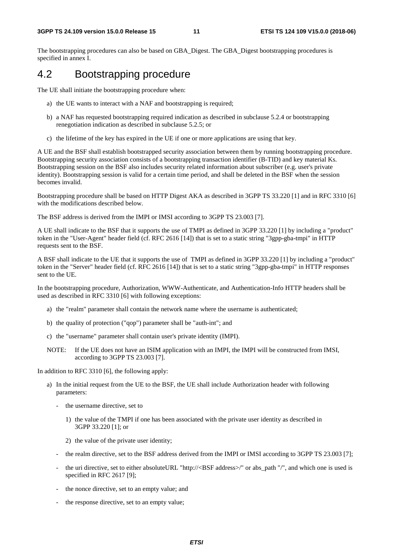The bootstrapping procedures can also be based on GBA\_Digest. The GBA\_Digest bootstrapping procedures is specified in annex I.

## 4.2 Bootstrapping procedure

The UE shall initiate the bootstrapping procedure when:

- a) the UE wants to interact with a NAF and bootstrapping is required;
- b) a NAF has requested bootstrapping required indication as described in subclause 5.2.4 or bootstrapping renegotiation indication as described in subclause 5.2.5; or
- c) the lifetime of the key has expired in the UE if one or more applications are using that key.

A UE and the BSF shall establish bootstrapped security association between them by running bootstrapping procedure. Bootstrapping security association consists of a bootstrapping transaction identifier (B-TID) and key material Ks. Bootstrapping session on the BSF also includes security related information about subscriber (e.g. user's private identity). Bootstrapping session is valid for a certain time period, and shall be deleted in the BSF when the session becomes invalid.

Bootstrapping procedure shall be based on HTTP Digest AKA as described in 3GPP TS 33.220 [1] and in RFC 3310 [6] with the modifications described below.

The BSF address is derived from the IMPI or IMSI according to 3GPP TS 23.003 [7].

A UE shall indicate to the BSF that it supports the use of TMPI as defined in 3GPP 33.220 [1] by including a "product" token in the "User-Agent" header field (cf. RFC 2616 [14]) that is set to a static string "3gpp-gba-tmpi" in HTTP requests sent to the BSF.

A BSF shall indicate to the UE that it supports the use of TMPI as defined in 3GPP 33.220 [1] by including a "product" token in the "Server" header field (cf. RFC 2616 [14]) that is set to a static string "3gpp-gba-tmpi" in HTTP responses sent to the UE.

In the bootstrapping procedure, Authorization, WWW-Authenticate, and Authentication-Info HTTP headers shall be used as described in RFC 3310 [6] with following exceptions:

- a) the "realm" parameter shall contain the network name where the username is authenticated;
- b) the quality of protection ("qop") parameter shall be "auth-int"; and
- c) the "username" parameter shall contain user's private identity (IMPI).
- NOTE: If the UE does not have an ISIM application with an IMPI, the IMPI will be constructed from IMSI, according to 3GPP TS 23.003 [7].

In addition to RFC 3310 [6], the following apply:

- a) In the initial request from the UE to the BSF, the UE shall include Authorization header with following parameters:
	- the username directive, set to
		- 1) the value of the TMPI if one has been associated with the private user identity as described in 3GPP 33.220 [1]; or
		- 2) the value of the private user identity;
	- the realm directive, set to the BSF address derived from the IMPI or IMSI according to 3GPP TS 23.003 [7];
	- the uri directive, set to either absoluteURL "http://<BSF address>/" or abs\_path "/", and which one is used is specified in RFC 2617 [9];
	- the nonce directive, set to an empty value; and
	- the response directive, set to an empty value;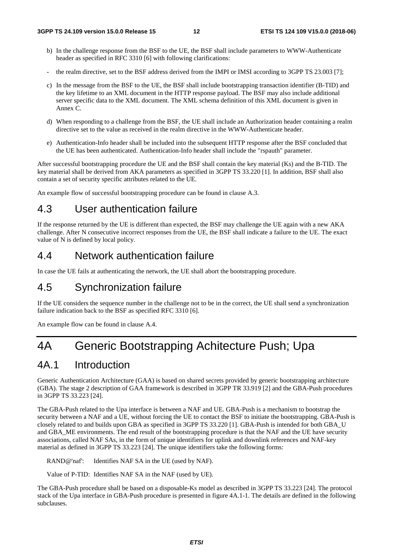- b) In the challenge response from the BSF to the UE, the BSF shall include parameters to WWW-Authenticate header as specified in RFC 3310 [6] with following clarifications:
- the realm directive, set to the BSF address derived from the IMPI or IMSI according to 3GPP TS 23.003 [7];
- c) In the message from the BSF to the UE, the BSF shall include bootstrapping transaction identifier (B-TID) and the key lifetime to an XML document in the HTTP response payload. The BSF may also include additional server specific data to the XML document. The XML schema definition of this XML document is given in Annex C.
- d) When responding to a challenge from the BSF, the UE shall include an Authorization header containing a realm directive set to the value as received in the realm directive in the WWW-Authenticate header.
- e) Authentication-Info header shall be included into the subsequent HTTP response after the BSF concluded that the UE has been authenticated. Authentication-Info header shall include the "rspauth" parameter.

After successful bootstrapping procedure the UE and the BSF shall contain the key material (Ks) and the B-TID. The key material shall be derived from AKA parameters as specified in 3GPP TS 33.220 [1]. In addition, BSF shall also contain a set of security specific attributes related to the UE.

An example flow of successful bootstrapping procedure can be found in clause A.3.

## 4.3 User authentication failure

If the response returned by the UE is different than expected, the BSF may challenge the UE again with a new AKA challenge. After N consecutive incorrect responses from the UE, the BSF shall indicate a failure to the UE. The exact value of N is defined by local policy.

## 4.4 Network authentication failure

In case the UE fails at authenticating the network, the UE shall abort the bootstrapping procedure.

## 4.5 Synchronization failure

If the UE considers the sequence number in the challenge not to be in the correct, the UE shall send a synchronization failure indication back to the BSF as specified RFC 3310 [6].

An example flow can be found in clause A.4.

## 4A Generic Bootstrapping Achitecture Push; Upa

## 4A.1 Introduction

Generic Authentication Architecture (GAA) is based on shared secrets provided by generic bootstrapping architecture (GBA). The stage 2 description of GAA framework is described in 3GPP TR 33.919 [2] and the GBA-Push procedures in 3GPP TS 33.223 [24].

The GBA-Push related to the Upa interface is between a NAF and UE. GBA-Push is a mechanism to bootstrap the security between a NAF and a UE, without forcing the UE to contact the BSF to initiate the bootstrapping. GBA-Push is closely related to and builds upon GBA as specified in 3GPP TS 33.220 [1]. GBA-Push is intended for both GBA\_U and GBA\_ME environments. The end result of the bootstrapping procedure is that the NAF and the UE have security associations, called NAF SAs, in the form of unique identifiers for uplink and downlink references and NAF-key material as defined in 3GPP TS 33.223 [24]. The unique identifiers take the following forms:

RAND@'naf': Identifies NAF SA in the UE (used by NAF).

Value of P-TID: Identifies NAF SA in the NAF (used by UE).

The GBA-Push procedure shall be based on a disposable-Ks model as described in 3GPP TS 33.223 [24]. The protocol stack of the Upa interface in GBA-Push procedure is presented in figure 4A.1-1. The details are defined in the following subclauses.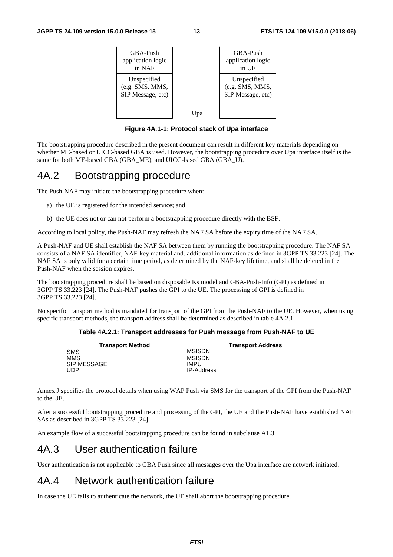

**Figure 4A.1-1: Protocol stack of Upa interface** 

The bootstrapping procedure described in the present document can result in different key materials depending on whether ME-based or UICC-based GBA is used. However, the bootstrapping procedure over Upa interface itself is the same for both ME-based GBA (GBA\_ME), and UICC-based GBA (GBA\_U).

## 4A.2 Bootstrapping procedure

The Push-NAF may initiate the bootstrapping procedure when:

- a) the UE is registered for the intended service; and
- b) the UE does not or can not perform a bootstrapping procedure directly with the BSF.

According to local policy, the Push-NAF may refresh the NAF SA before the expiry time of the NAF SA.

A Push-NAF and UE shall establish the NAF SA between them by running the bootstrapping procedure. The NAF SA consists of a NAF SA identifier, NAF-key material and. additional information as defined in 3GPP TS 33.223 [24]. The NAF SA is only valid for a certain time period, as determined by the NAF-key lifetime, and shall be deleted in the Push-NAF when the session expires.

The bootstrapping procedure shall be based on disposable Ks model and GBA-Push-Info (GPI) as defined in 3GPP TS 33.223 [24]. The Push-NAF pushes the GPI to the UE. The processing of GPI is defined in 3GPP TS 33.223 [24].

No specific transport method is mandated for transport of the GPI from the Push-NAF to the UE. However, when using specific transport methods, the transport address shall be determined as described in table 4A.2.1.

#### **Table 4A.2.1: Transport addresses for Push message from Push-NAF to UE**

| <b>Transport Method</b> | <b>Transport Address</b> |
|-------------------------|--------------------------|
| <b>SMS</b>              | <b>MSISDN</b>            |
| MMS                     | MSISDN                   |
| SIP MESSAGE             | IMPU                     |
| <b>UDP</b>              | <b>IP-Address</b>        |

Annex J specifies the protocol details when using WAP Push via SMS for the transport of the GPI from the Push-NAF to the UE.

After a successful bootstrapping procedure and processing of the GPI, the UE and the Push-NAF have established NAF SAs as described in 3GPP TS 33.223 [24].

An example flow of a successful bootstrapping procedure can be found in subclause A1.3.

## 4A.3 User authentication failure

User authentication is not applicable to GBA Push since all messages over the Upa interface are network initiated.

## 4A.4 Network authentication failure

In case the UE fails to authenticate the network, the UE shall abort the bootstrapping procedure.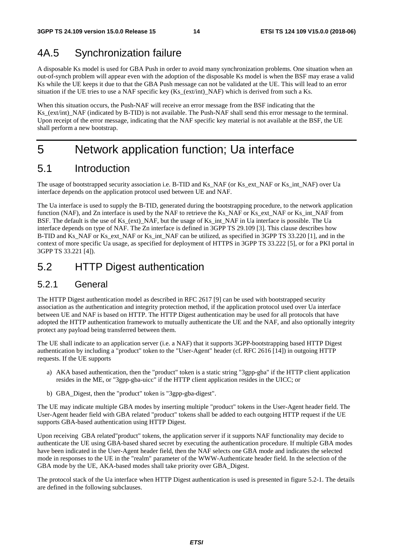## 4A.5 Synchronization failure

A disposable Ks model is used for GBA Push in order to avoid many synchronization problems. One situation when an out-of-synch problem will appear even with the adoption of the disposable Ks model is when the BSF may erase a valid Ks while the UE keeps it due to that the GBA Push message can not be validated at the UE. This will lead to an error situation if the UE tries to use a NAF specific key (Ks\_(ext/int)\_NAF) which is derived from such a Ks.

When this situation occurs, the Push-NAF will receive an error message from the BSF indicating that the Ks (ext/int) NAF (indicated by B-TID) is not available. The Push-NAF shall send this error message to the terminal. Upon receipt of the error message, indicating that the NAF specific key material is not available at the BSF, the UE shall perform a new bootstrap.

## 5 Network application function; Ua interface

## 5.1 Introduction

The usage of bootstrapped security association i.e. B-TID and Ks\_NAF (or Ks\_ext\_NAF or Ks\_int\_NAF) over Ua interface depends on the application protocol used between UE and NAF.

The Ua interface is used to supply the B-TID, generated during the bootstrapping procedure, to the network application function (NAF), and Zn interface is used by the NAF to retrieve the Ks\_NAF or Ks\_ext\_NAF or Ks\_int\_NAF from BSF. The default is the use of Ks (ext) NAF, but the usage of Ks int NAF in Ua interface is possible. The Ua interface depends on type of NAF. The Zn interface is defined in 3GPP TS 29.109 [3]. This clause describes how B-TID and Ks\_NAF or Ks\_ext\_NAF or Ks\_int\_NAF can be utilized, as specified in 3GPP TS 33.220 [1], and in the context of more specific Ua usage, as specified for deployment of HTTPS in 3GPP TS 33.222 [5], or for a PKI portal in 3GPP TS 33.221 [4]).

## 5.2 HTTP Digest authentication

### 5.2.1 General

The HTTP Digest authentication model as described in RFC 2617 [9] can be used with bootstrapped security association as the authentication and integrity protection method, if the application protocol used over Ua interface between UE and NAF is based on HTTP. The HTTP Digest authentication may be used for all protocols that have adopted the HTTP authentication framework to mutually authenticate the UE and the NAF, and also optionally integrity protect any payload being transferred between them.

The UE shall indicate to an application server (i.e. a NAF) that it supports 3GPP-bootstrapping based HTTP Digest authentication by including a "product" token to the "User-Agent" header (cf. RFC 2616 [14]) in outgoing HTTP requests. If the UE supports

- a) AKA based authentication, then the "product" token is a static string "3gpp-gba" if the HTTP client application resides in the ME, or "3gpp-gba-uicc" if the HTTP client application resides in the UICC; or
- b) GBA\_Digest, then the "product" token is "3gpp-gba-digest".

The UE may indicate multiple GBA modes by inserting multiple "product" tokens in the User-Agent header field. The User-Agent header field with GBA related "product" tokens shall be added to each outgoing HTTP request if the UE supports GBA-based authentication using HTTP Digest.

Upon receiving GBA related"product" tokens, the application server if it supports NAF functionality may decide to authenticate the UE using GBA-based shared secret by executing the authentication procedure. If multiple GBA modes have been indicated in the User-Agent header field, then the NAF selects one GBA mode and indicates the selected mode in responses to the UE in the "realm" parameter of the WWW-Authenticate header field. In the selection of the GBA mode by the UE, AKA-based modes shall take priority over GBA\_Digest.

The protocol stack of the Ua interface when HTTP Digest authentication is used is presented in figure 5.2-1. The details are defined in the following subclauses.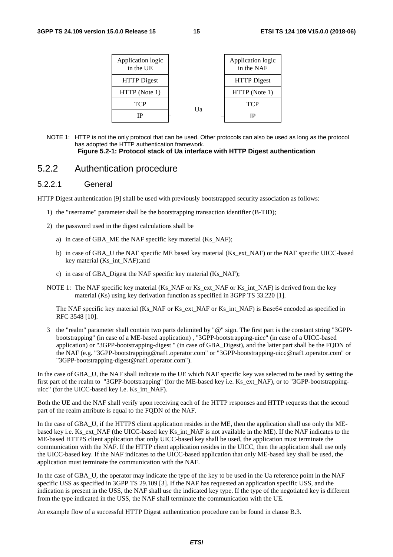| Application logic<br>in the UE |    | Application logic<br>in the NAF |
|--------------------------------|----|---------------------------------|
| <b>HTTP</b> Digest             |    | <b>HTTP</b> Digest              |
| HTTP (Note 1)                  |    | HTTP (Note 1)                   |
| <b>TCP</b>                     | Uа | <b>TCP</b>                      |
| ΙP                             |    | ΙP                              |

NOTE 1: HTTP is not the only protocol that can be used. Other protocols can also be used as long as the protocol has adopted the HTTP authentication framework. **Figure 5.2-1: Protocol stack of Ua interface with HTTP Digest authentication** 

### 5.2.2 Authentication procedure

### 5.2.2.1 General

HTTP Digest authentication [9] shall be used with previously bootstrapped security association as follows:

- 1) the "username" parameter shall be the bootstrapping transaction identifier (B-TID);
- 2) the password used in the digest calculations shall be
	- a) in case of GBA\_ME the NAF specific key material (Ks\_NAF);
	- b) in case of GBA\_U the NAF specific ME based key material (Ks\_ext\_NAF) or the NAF specific UICC-based key material (Ks\_int\_NAF);and
	- c) in case of GBA\_Digest the NAF specific key material (Ks\_NAF);
- NOTE 1: The NAF specific key material (Ks\_NAF or Ks\_ext\_NAF or Ks\_int\_NAF) is derived from the key material (Ks) using key derivation function as specified in 3GPP TS 33.220 [1].

The NAF specific key material (Ks\_NAF or Ks\_ext\_NAF or Ks\_int\_NAF) is Base64 encoded as specified in RFC 3548 [10].

3 the "realm" parameter shall contain two parts delimited by "@" sign. The first part is the constant string "3GPPbootstrapping" (in case of a ME-based application) , "3GPP-bootstrapping-uicc" (in case of a UICC-based application) or "3GPP-bootstrapping-digest " (in case of GBA\_Digest), and the latter part shall be the FQDN of the NAF (e.g. "3GPP-bootstrapping@naf1.operator.com" or "3GPP-bootstrapping-uicc@naf1.operator.com" or "3GPP-bootstrapping-digest@naf1.operator.com").

In the case of GBA\_U, the NAF shall indicate to the UE which NAF specific key was selected to be used by setting the first part of the realm to "3GPP-bootstrapping" (for the ME-based key i.e. Ks\_ext\_NAF), or to "3GPP-bootstrappinguicc" (for the UICC-based key i.e. Ks\_int\_NAF).

Both the UE and the NAF shall verify upon receiving each of the HTTP responses and HTTP requests that the second part of the realm attribute is equal to the FQDN of the NAF.

In the case of GBA\_U, if the HTTPS client application resides in the ME, then the application shall use only the MEbased key i.e. Ks\_ext\_NAF (the UICC-based key Ks\_int\_NAF is not available in the ME). If the NAF indicates to the ME-based HTTPS client application that only UICC-based key shall be used, the application must terminate the communication with the NAF. If the HTTP client application resides in the UICC, then the application shall use only the UICC-based key. If the NAF indicates to the UICC-based application that only ME-based key shall be used, the application must terminate the communication with the NAF.

In the case of GBA\_U, the operator may indicate the type of the key to be used in the Ua reference point in the NAF specific USS as specified in 3GPP TS 29.109 [3]. If the NAF has requested an application specific USS, and the indication is present in the USS, the NAF shall use the indicated key type. If the type of the negotiated key is different from the type indicated in the USS, the NAF shall terminate the communication with the UE.

An example flow of a successful HTTP Digest authentication procedure can be found in clause B.3.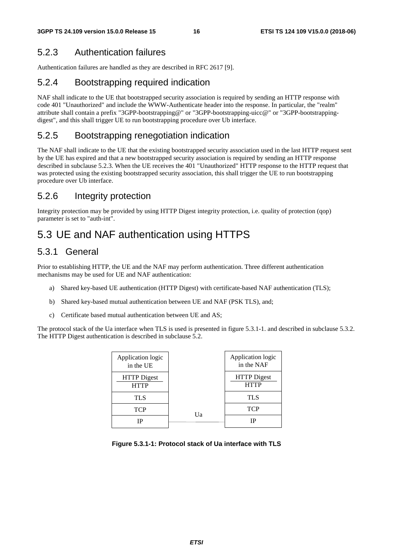### 5.2.3 Authentication failures

Authentication failures are handled as they are described in RFC 2617 [9].

### 5.2.4 Bootstrapping required indication

NAF shall indicate to the UE that bootstrapped security association is required by sending an HTTP response with code 401 "Unauthorized" and include the WWW-Authenticate header into the response. In particular, the "realm" attribute shall contain a prefix "3GPP-bootstrapping@" or "3GPP-bootstrapping-uicc@" or "3GPP-bootstrappingdigest", and this shall trigger UE to run bootstrapping procedure over Ub interface.

### 5.2.5 Bootstrapping renegotiation indication

The NAF shall indicate to the UE that the existing bootstrapped security association used in the last HTTP request sent by the UE has expired and that a new bootstrapped security association is required by sending an HTTP response described in subclause 5.2.3. When the UE receives the 401 "Unauthorized" HTTP response to the HTTP request that was protected using the existing bootstrapped security association, this shall trigger the UE to run bootstrapping procedure over Ub interface.

## 5.2.6 Integrity protection

Integrity protection may be provided by using HTTP Digest integrity protection, i.e. quality of protection (qop) parameter is set to "auth-int".

## 5.3 UE and NAF authentication using HTTPS

### 5.3.1 General

Prior to establishing HTTP, the UE and the NAF may perform authentication. Three different authentication mechanisms may be used for UE and NAF authentication:

- a) Shared key-based UE authentication (HTTP Digest) with certificate-based NAF authentication (TLS);
- b) Shared key-based mutual authentication between UE and NAF (PSK TLS), and;
- c) Certificate based mutual authentication between UE and AS;

The protocol stack of the Ua interface when TLS is used is presented in figure 5.3.1-1. and described in subclause 5.3.2. The HTTP Digest authentication is described in subclause 5.2.

| Application logic<br>in the UE    |    | Application logic<br>in the NAF   |
|-----------------------------------|----|-----------------------------------|
| <b>HTTP</b> Digest<br><b>HTTP</b> |    | <b>HTTP</b> Digest<br><b>HTTP</b> |
| <b>TLS</b>                        |    | <b>TLS</b>                        |
| TCP                               | Ua | <b>TCP</b>                        |
|                                   |    | IΡ                                |

### **Figure 5.3.1-1: Protocol stack of Ua interface with TLS**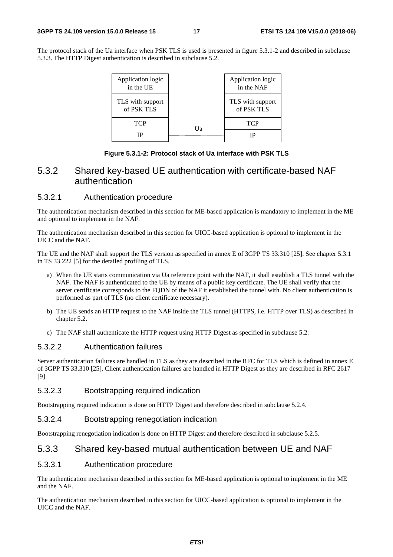The protocol stack of the Ua interface when PSK TLS is used is presented in figure 5.3.1-2 and described in subclause 5.3.3. The HTTP Digest authentication is described in subclause 5.2.

| Application logic<br>in the UE |    | Application logic<br>in the NAF |
|--------------------------------|----|---------------------------------|
| TLS with support<br>of PSK TLS |    | TLS with support<br>of PSK TLS  |
| TCP                            | Ua | <b>TCP</b>                      |
| ΙP                             |    |                                 |

### **Figure 5.3.1-2: Protocol stack of Ua interface with PSK TLS**

### 5.3.2 Shared key-based UE authentication with certificate-based NAF authentication

### 5.3.2.1 Authentication procedure

The authentication mechanism described in this section for ME-based application is mandatory to implement in the ME and optional to implement in the NAF.

The authentication mechanism described in this section for UICC-based application is optional to implement in the UICC and the NAF.

The UE and the NAF shall support the TLS version as specified in annex E of 3GPP TS 33.310 [25]. See chapter 5.3.1 in TS 33.222 [5] for the detailed profiling of TLS.

- a) When the UE starts communication via Ua reference point with the NAF, it shall establish a TLS tunnel with the NAF. The NAF is authenticated to the UE by means of a public key certificate. The UE shall verify that the server certificate corresponds to the FQDN of the NAF it established the tunnel with. No client authentication is performed as part of TLS (no client certificate necessary).
- b) The UE sends an HTTP request to the NAF inside the TLS tunnel (HTTPS, i.e. HTTP over TLS) as described in chapter 5.2.
- c) The NAF shall authenticate the HTTP request using HTTP Digest as specified in subclause 5.2.

### 5.3.2.2 Authentication failures

Server authentication failures are handled in TLS as they are described in the RFC for TLS which is defined in annex E of 3GPP TS 33.310 [25]. Client authentication failures are handled in HTTP Digest as they are described in RFC 2617 [9].

### 5.3.2.3 Bootstrapping required indication

Bootstrapping required indication is done on HTTP Digest and therefore described in subclause 5.2.4.

### 5.3.2.4 Bootstrapping renegotiation indication

Bootstrapping renegotiation indication is done on HTTP Digest and therefore described in subclause 5.2.5.

### 5.3.3 Shared key-based mutual authentication between UE and NAF

### 5.3.3.1 Authentication procedure

The authentication mechanism described in this section for ME-based application is optional to implement in the ME and the NAF.

The authentication mechanism described in this section for UICC-based application is optional to implement in the UICC and the NAF.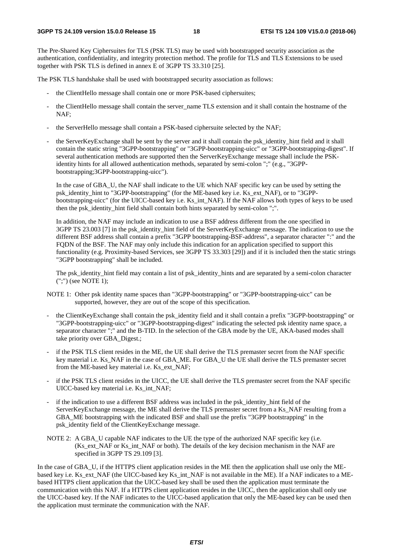The Pre-Shared Key Ciphersuites for TLS (PSK TLS) may be used with bootstrapped security association as the authentication, confidentiality, and integrity protection method. The profile for TLS and TLS Extensions to be used together with PSK TLS is defined in annex E of 3GPP TS 33.310 [25].

The PSK TLS handshake shall be used with bootstrapped security association as follows:

- the ClientHello message shall contain one or more PSK-based ciphersuites;
- the ClientHello message shall contain the server\_name TLS extension and it shall contain the hostname of the NAF;
- the ServerHello message shall contain a PSK-based ciphersuite selected by the NAF;
- the ServerKeyExchange shall be sent by the server and it shall contain the psk\_identity\_hint field and it shall contain the static string "3GPP-bootstrapping" or "3GPP-bootstrapping-uicc" or "3GPP-bootstrapping-digest". If several authentication methods are supported then the ServerKeyExchange message shall include the PSKidentity hints for all allowed authentication methods, separated by semi-colon ";" (e.g., "3GPPbootstrapping;3GPP-bootstrapping-uicc").

In the case of GBA\_U, the NAF shall indicate to the UE which NAF specific key can be used by setting the psk\_identity\_hint to "3GPP-bootstrapping" (for the ME-based key i.e. Ks\_ext\_NAF), or to "3GPPbootstrapping-uicc" (for the UICC-based key i.e. Ks\_int\_NAF). If the NAF allows both types of keys to be used then the psk identity hint field shall contain both hints separated by semi-colon ";".

 In addition, the NAF may include an indication to use a BSF address different from the one specified in 3GPP TS 23.003 [7] in the psk\_identity\_hint field of the ServerKeyExchange message. The indication to use the different BSF address shall contain a prefix "3GPP bootstrapping-BSF-address", a separator character ":" and the FQDN of the BSF. The NAF may only include this indication for an application specified to support this functionality (e.g. Proximity-based Services, see 3GPP TS 33.303 [29]) and if it is included then the static strings "3GPP bootstrapping" shall be included.

The psk\_identity\_hint field may contain a list of psk\_identity\_hints and are separated by a semi-colon character (";") (see NOTE 1);

- NOTE 1: Other psk identity name spaces than "3GPP-bootstrapping" or "3GPP-bootstrapping-uicc" can be supported, however, they are out of the scope of this specification.
- the ClientKeyExchange shall contain the psk\_identity field and it shall contain a prefix "3GPP-bootstrapping" or "3GPP-bootstrapping-uicc" or "3GPP-bootstrapping-digest" indicating the selected psk identity name space, a separator character ";" and the B-TID. In the selection of the GBA mode by the UE, AKA-based modes shall take priority over GBA\_Digest.;
- if the PSK TLS client resides in the ME, the UE shall derive the TLS premaster secret from the NAF specific key material i.e. Ks\_NAF in the case of GBA\_ME. For GBA\_U the UE shall derive the TLS premaster secret from the ME-based key material i.e. Ks\_ext\_NAF;
- if the PSK TLS client resides in the UICC, the UE shall derive the TLS premaster secret from the NAF specific UICC-based key material i.e. Ks\_int\_NAF;
- if the indication to use a different BSF address was included in the psk identity hint field of the ServerKeyExchange message, the ME shall derive the TLS premaster secret from a Ks\_NAF resulting from a GBA\_ME bootstrapping with the indicated BSF and shall use the prefix "3GPP bootstrapping" in the psk\_identity field of the ClientKeyExchange message.
- NOTE 2: A GBA U capable NAF indicates to the UE the type of the authorized NAF specific key (i.e. (Ks ext. NAF or Ks. int. NAF or both). The details of the key decision mechanism in the NAF are specified in 3GPP TS 29.109 [3].

In the case of GBA\_U, if the HTTPS client application resides in the ME then the application shall use only the MEbased key i.e. Ks\_ext\_NAF (the UICC-based key Ks\_int\_NAF is not available in the ME). If a NAF indicates to a MEbased HTTPS client application that the UICC-based key shall be used then the application must terminate the communication with this NAF. If a HTTPS client application resides in the UICC, then the application shall only use the UICC-based key. If the NAF indicates to the UICC-based application that only the ME-based key can be used then the application must terminate the communication with the NAF.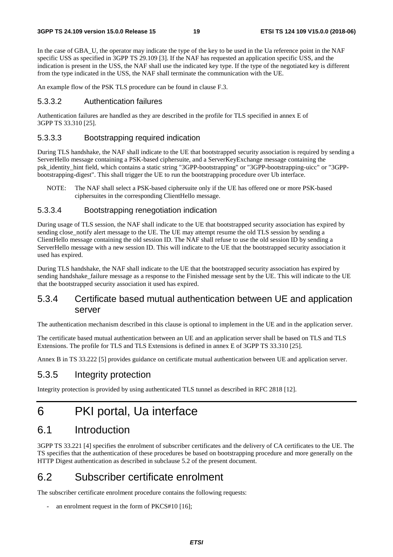In the case of GBA\_U, the operator may indicate the type of the key to be used in the Ua reference point in the NAF specific USS as specified in 3GPP TS 29.109 [3]. If the NAF has requested an application specific USS, and the indication is present in the USS, the NAF shall use the indicated key type. If the type of the negotiated key is different from the type indicated in the USS, the NAF shall terminate the communication with the UE.

An example flow of the PSK TLS procedure can be found in clause F.3.

### 5.3.3.2 Authentication failures

Authentication failures are handled as they are described in the profile for TLS specified in annex E of 3GPP TS 33.310 [25].

### 5.3.3.3 Bootstrapping required indication

During TLS handshake, the NAF shall indicate to the UE that bootstrapped security association is required by sending a ServerHello message containing a PSK-based ciphersuite, and a ServerKeyExchange message containing the psk\_identity\_hint field, which contains a static string "3GPP-bootstrapping" or "3GPP-bootstrapping-uicc" or "3GPPbootstrapping-digest". This shall trigger the UE to run the bootstrapping procedure over Ub interface.

NOTE: The NAF shall select a PSK-based ciphersuite only if the UE has offered one or more PSK-based ciphersuites in the corresponding ClientHello message.

### 5.3.3.4 Bootstrapping renegotiation indication

During usage of TLS session, the NAF shall indicate to the UE that bootstrapped security association has expired by sending close notify alert message to the UE. The UE may attempt resume the old TLS session by sending a ClientHello message containing the old session ID. The NAF shall refuse to use the old session ID by sending a ServerHello message with a new session ID. This will indicate to the UE that the bootstrapped security association it used has expired.

During TLS handshake, the NAF shall indicate to the UE that the bootstrapped security association has expired by sending handshake\_failure message as a response to the Finished message sent by the UE. This will indicate to the UE that the bootstrapped security association it used has expired.

### 5.3.4 Certificate based mutual authentication between UE and application server

The authentication mechanism described in this clause is optional to implement in the UE and in the application server.

The certificate based mutual authentication between an UE and an application server shall be based on TLS and TLS Extensions. The profile for TLS and TLS Extensions is defined in annex E of 3GPP TS 33.310 [25].

Annex B in TS 33.222 [5] provides guidance on certificate mutual authentication between UE and application server.

### 5.3.5 Integrity protection

Integrity protection is provided by using authenticated TLS tunnel as described in RFC 2818 [12].

## 6 PKI portal, Ua interface

## 6.1 Introduction

3GPP TS 33.221 [4] specifies the enrolment of subscriber certificates and the delivery of CA certificates to the UE. The TS specifies that the authentication of these procedures be based on bootstrapping procedure and more generally on the HTTP Digest authentication as described in subclause 5.2 of the present document.

## 6.2 Subscriber certificate enrolment

The subscriber certificate enrolment procedure contains the following requests:

an enrolment request in the form of PKCS#10 [16];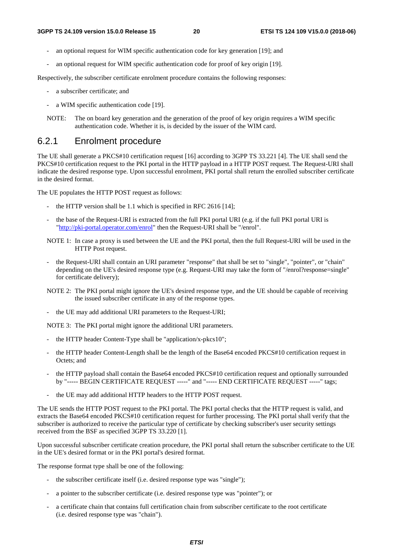- an optional request for WIM specific authentication code for key generation [19]; and
- an optional request for WIM specific authentication code for proof of key origin [19].

Respectively, the subscriber certificate enrolment procedure contains the following responses:

- a subscriber certificate; and
- a WIM specific authentication code [19].
- NOTE: The on board key generation and the generation of the proof of key origin requires a WIM specific authentication code. Whether it is, is decided by the issuer of the WIM card.

### 6.2.1 Enrolment procedure

The UE shall generate a PKCS#10 certification request [16] according to 3GPP TS 33.221 [4]. The UE shall send the PKCS#10 certification request to the PKI portal in the HTTP payload in a HTTP POST request. The Request-URI shall indicate the desired response type. Upon successful enrolment, PKI portal shall return the enrolled subscriber certificate in the desired format.

The UE populates the HTTP POST request as follows:

- the HTTP version shall be 1.1 which is specified in RFC 2616  $[14]$ ;
- the base of the Request-URI is extracted from the full PKI portal URI (e.g. if the full PKI portal URI is ["http://pki-portal.operator.com/enrol](http://pki-portal.operator.com/enrol)" then the Request-URI shall be "/enrol".
- NOTE 1: In case a proxy is used between the UE and the PKI portal, then the full Request-URI will be used in the HTTP Post request.
- the Request-URI shall contain an URI parameter "response" that shall be set to "single", "pointer", or "chain" depending on the UE's desired response type (e.g. Request-URI may take the form of "/enrol?response=single" for certificate delivery);
- NOTE 2: The PKI portal might ignore the UE's desired response type, and the UE should be capable of receiving the issued subscriber certificate in any of the response types.
- the UE may add additional URI parameters to the Request-URI;

NOTE 3: The PKI portal might ignore the additional URI parameters.

- the HTTP header Content-Type shall be "application/x-pkcs10";
- the HTTP header Content-Length shall be the length of the Base64 encoded PKCS#10 certification request in Octets; and
- the HTTP payload shall contain the Base64 encoded PKCS#10 certification request and optionally surrounded by "----- BEGIN CERTIFICATE REQUEST -----" and "----- END CERTIFICATE REQUEST -----" tags;
- the UE may add additional HTTP headers to the HTTP POST request.

The UE sends the HTTP POST request to the PKI portal. The PKI portal checks that the HTTP request is valid, and extracts the Base64 encoded PKCS#10 certification request for further processing. The PKI portal shall verify that the subscriber is authorized to receive the particular type of certificate by checking subscriber's user security settings received from the BSF as specified 3GPP TS 33.220 [1].

Upon successful subscriber certificate creation procedure, the PKI portal shall return the subscriber certificate to the UE in the UE's desired format or in the PKI portal's desired format.

The response format type shall be one of the following:

- the subscriber certificate itself (i.e. desired response type was "single");
- a pointer to the subscriber certificate (i.e. desired response type was "pointer"); or
- a certificate chain that contains full certification chain from subscriber certificate to the root certificate (i.e. desired response type was "chain").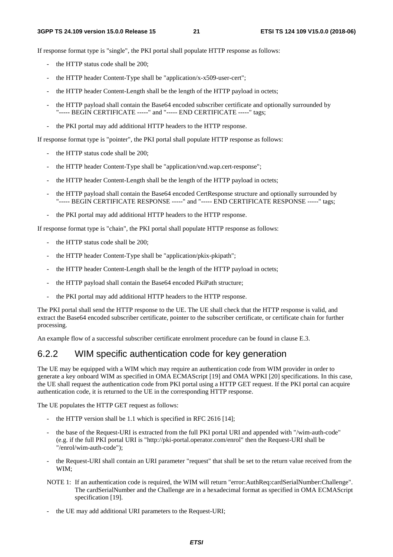If response format type is "single", the PKI portal shall populate HTTP response as follows:

- the HTTP status code shall be 200;
- the HTTP header Content-Type shall be "application/x-x509-user-cert";
- the HTTP header Content-Length shall be the length of the HTTP payload in octets;
- the HTTP payload shall contain the Base64 encoded subscriber certificate and optionally surrounded by "----- BEGIN CERTIFICATE -----" and "----- END CERTIFICATE -----" tags;
- the PKI portal may add additional HTTP headers to the HTTP response.

If response format type is "pointer", the PKI portal shall populate HTTP response as follows:

- the HTTP status code shall be 200;
- the HTTP header Content-Type shall be "application/vnd.wap.cert-response";
- the HTTP header Content-Length shall be the length of the HTTP payload in octets;
- the HTTP payload shall contain the Base64 encoded CertResponse structure and optionally surrounded by "----- BEGIN CERTIFICATE RESPONSE -----" and "----- END CERTIFICATE RESPONSE -----" tags;
- the PKI portal may add additional HTTP headers to the HTTP response.

If response format type is "chain", the PKI portal shall populate HTTP response as follows:

- the HTTP status code shall be 200;
- the HTTP header Content-Type shall be "application/pkix-pkipath";
- the HTTP header Content-Length shall be the length of the HTTP payload in octets;
- the HTTP payload shall contain the Base64 encoded PkiPath structure;
- the PKI portal may add additional HTTP headers to the HTTP response.

The PKI portal shall send the HTTP response to the UE. The UE shall check that the HTTP response is valid, and extract the Base64 encoded subscriber certificate, pointer to the subscriber certificate, or certificate chain for further processing.

An example flow of a successful subscriber certificate enrolment procedure can be found in clause E.3.

### 6.2.2 WIM specific authentication code for key generation

The UE may be equipped with a WIM which may require an authentication code from WIM provider in order to generate a key onboard WIM as specified in OMA ECMAScript [19] and OMA WPKI [20] specifications. In this case, the UE shall request the authentication code from PKI portal using a HTTP GET request. If the PKI portal can acquire authentication code, it is returned to the UE in the corresponding HTTP response.

The UE populates the HTTP GET request as follows:

- the HTTP version shall be 1.1 which is specified in RFC 2616 [14];
- the base of the Request-URI is extracted from the full PKI portal URI and appended with "/wim-auth-code" (e.g. if the full PKI portal URI is "http://pki-portal.operator.com/enrol" then the Request-URI shall be "/enrol/wim-auth-code");
- the Request-URI shall contain an URI parameter "request" that shall be set to the return value received from the WIM;
- NOTE 1: If an authentication code is required, the WIM will return "error:AuthReq:cardSerialNumber:Challenge". The cardSerialNumber and the Challenge are in a hexadecimal format as specified in OMA ECMAScript specification [19].
- the UE may add additional URI parameters to the Request-URI;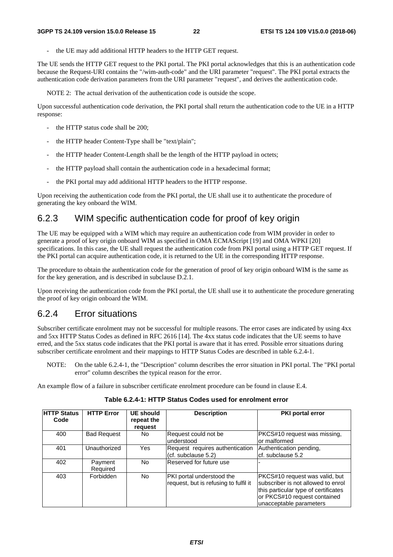- the UE may add additional HTTP headers to the HTTP GET request.

The UE sends the HTTP GET request to the PKI portal. The PKI portal acknowledges that this is an authentication code because the Request-URI contains the "/wim-auth-code" and the URI parameter "request". The PKI portal extracts the authentication code derivation parameters from the URI parameter "request", and derives the authentication code.

NOTE 2: The actual derivation of the authentication code is outside the scope.

Upon successful authentication code derivation, the PKI portal shall return the authentication code to the UE in a HTTP response:

- the HTTP status code shall be 200;
- the HTTP header Content-Type shall be "text/plain";
- the HTTP header Content-Length shall be the length of the HTTP payload in octets;
- the HTTP payload shall contain the authentication code in a hexadecimal format;
- the PKI portal may add additional HTTP headers to the HTTP response.

Upon receiving the authentication code from the PKI portal, the UE shall use it to authenticate the procedure of generating the key onboard the WIM.

### 6.2.3 WIM specific authentication code for proof of key origin

The UE may be equipped with a WIM which may require an authentication code from WIM provider in order to generate a proof of key origin onboard WIM as specified in OMA ECMAScript [19] and OMA WPKI [20] specifications. In this case, the UE shall request the authentication code from PKI portal using a HTTP GET request. If the PKI portal can acquire authentication code, it is returned to the UE in the corresponding HTTP response.

The procedure to obtain the authentication code for the generation of proof of key origin onboard WIM is the same as for the key generation, and is described in subclause D.2.1.

Upon receiving the authentication code from the PKI portal, the UE shall use it to authenticate the procedure generating the proof of key origin onboard the WIM.

### 6.2.4 Error situations

Subscriber certificate enrolment may not be successful for multiple reasons. The error cases are indicated by using 4xx and 5xx HTTP Status Codes as defined in RFC 2616 [14]. The 4xx status code indicates that the UE seems to have erred, and the 5xx status code indicates that the PKI portal is aware that it has erred. Possible error situations during subscriber certificate enrolment and their mappings to HTTP Status Codes are described in table 6.2.4-1.

NOTE: On the table 6.2.4-1, the "Description" column describes the error situation in PKI portal. The "PKI portal error" column describes the typical reason for the error.

An example flow of a failure in subscriber certificate enrolment procedure can be found in clause E.4.

| <b>HTTP Status</b><br>Code | <b>HTTP Error</b>   | UE should<br>repeat the<br>request | <b>Description</b>                                                 | <b>PKI</b> portal error                                                                                                                                                 |
|----------------------------|---------------------|------------------------------------|--------------------------------------------------------------------|-------------------------------------------------------------------------------------------------------------------------------------------------------------------------|
| 400                        | <b>Bad Request</b>  | No.                                | Request could not be<br>understood                                 | PKCS#10 request was missing,<br>or malformed                                                                                                                            |
| 401                        | Unauthorized        | Yes                                | Request requires authentication<br>(cf. subclause 5.2)             | Authentication pending,<br>cf. subclause 5.2                                                                                                                            |
| 402                        | Payment<br>Required | No                                 | Reserved for future use                                            |                                                                                                                                                                         |
| 403                        | Forbidden           | No                                 | PKI portal understood the<br>request, but is refusing to fulfil it | PKCS#10 request was valid, but<br>subscriber is not allowed to enrol<br>this particular type of certificates<br>or PKCS#10 request contained<br>unacceptable parameters |

#### **Table 6.2.4-1: HTTP Status Codes used for enrolment error**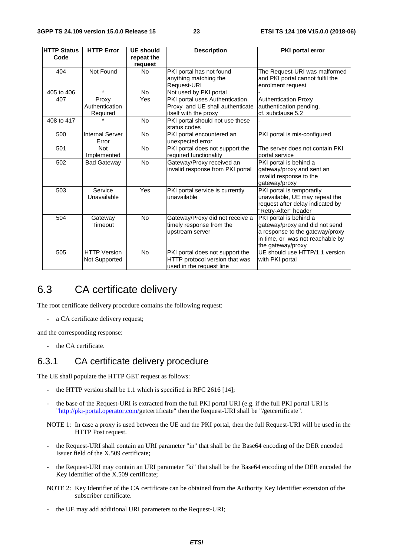| <b>HTTP Status</b> | <b>HTTP Error</b>      | <b>UE should</b>     | <b>Description</b>               | <b>PKI</b> portal error          |
|--------------------|------------------------|----------------------|----------------------------------|----------------------------------|
| Code               |                        | repeat the           |                                  |                                  |
| 404                | Not Found              | request<br><b>No</b> | PKI portal has not found         | The Request-URI was malformed    |
|                    |                        |                      | anything matching the            | and PKI portal cannot fulfil the |
|                    |                        |                      | Request-URI                      | enrolment request                |
| 405 to 406         | $\star$                | <b>No</b>            | Not used by PKI portal           |                                  |
| 407                | Proxy                  | Yes                  | PKI portal uses Authentication   | <b>Authentication Proxy</b>      |
|                    | Authentication         |                      | Proxy and UE shall authenticate  | authentication pending,          |
|                    | Required               |                      | itself with the proxy            | cf. subclause 5.2                |
| 408 to 417         |                        | <b>No</b>            | PKI portal should not use these  |                                  |
|                    |                        |                      | status codes                     |                                  |
| 500                | <b>Internal Server</b> | <b>No</b>            | PKI portal encountered an        | PKI portal is mis-configured     |
|                    | Error                  |                      | unexpected error                 |                                  |
| 501                | <b>Not</b>             | <b>No</b>            | PKI portal does not support the  | The server does not contain PKI  |
|                    | Implemented            |                      | required functionality           | portal service                   |
| 502                | <b>Bad Gateway</b>     | <b>No</b>            | Gateway/Proxy received an        | PKI portal is behind a           |
|                    |                        |                      | invalid response from PKI portal | gateway/proxy and sent an        |
|                    |                        |                      |                                  | invalid response to the          |
|                    |                        |                      |                                  | gateway/proxy                    |
| 503                | Service                | Yes                  | PKI portal service is currently  | PKI portal is temporarily        |
|                    | Unavailable            |                      | unavailable                      | unavailable, UE may repeat the   |
|                    |                        |                      |                                  | request after delay indicated by |
|                    |                        |                      |                                  | "Retry-After" header             |
| 504                | Gateway                | No.                  | Gateway/Proxy did not receive a  | PKI portal is behind a           |
|                    | Timeout                |                      | timely response from the         | gateway/proxy and did not send   |
|                    |                        |                      | upstream server                  | a response to the gateway/proxy  |
|                    |                        |                      |                                  | in time, or was not reachable by |
|                    |                        |                      |                                  | the gateway/proxy                |
| 505                | <b>HTTP Version</b>    | <b>No</b>            | PKI portal does not support the  | UE should use HTTP/1.1 version   |
|                    | Not Supported          |                      | HTTP protocol version that was   | with PKI portal                  |
|                    |                        |                      | used in the request line         |                                  |

## 6.3 CA certificate delivery

The root certificate delivery procedure contains the following request:

- a CA certificate delivery request;

and the corresponding response:

- the CA certificate.

### 6.3.1 CA certificate delivery procedure

The UE shall populate the HTTP GET request as follows:

- the HTTP version shall be 1.1 which is specified in RFC 2616  $[14]$ ;
- the base of the Request-URI is extracted from the full PKI portal URI (e.g. if the full PKI portal URI is ["http://pki-portal.operator.com/](http://pki-portal.operator.com/)getcertificate" then the Request-URI shall be "/getcertificate".
- NOTE 1: In case a proxy is used between the UE and the PKI portal, then the full Request-URI will be used in the HTTP Post request.
- the Request-URI shall contain an URI parameter "in" that shall be the Base64 encoding of the DER encoded Issuer field of the X.509 certificate;
- the Request-URI may contain an URI parameter "ki" that shall be the Base64 encoding of the DER encoded the Key Identifier of the X.509 certificate;
- NOTE 2: Key Identifier of the CA certificate can be obtained from the Authority Key Identifier extension of the subscriber certificate.
- the UE may add additional URI parameters to the Request-URI;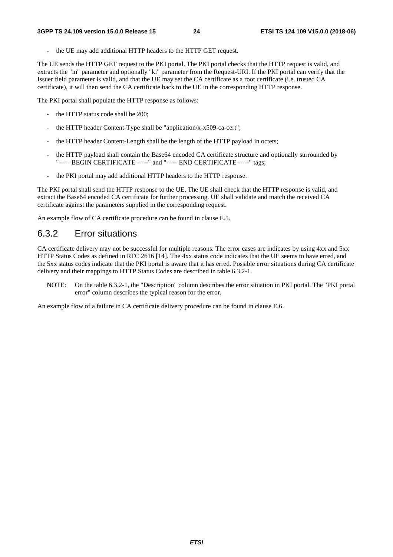the UE may add additional HTTP headers to the HTTP GET request.

The UE sends the HTTP GET request to the PKI portal. The PKI portal checks that the HTTP request is valid, and extracts the "in" parameter and optionally "ki" parameter from the Request-URI. If the PKI portal can verify that the Issuer field parameter is valid, and that the UE may set the CA certificate as a root certificate (i.e. trusted CA certificate), it will then send the CA certificate back to the UE in the corresponding HTTP response.

The PKI portal shall populate the HTTP response as follows:

- the HTTP status code shall be 200;
- the HTTP header Content-Type shall be "application/x-x509-ca-cert";
- the HTTP header Content-Length shall be the length of the HTTP payload in octets;
- the HTTP payload shall contain the Base64 encoded CA certificate structure and optionally surrounded by "----- BEGIN CERTIFICATE -----" and "----- END CERTIFICATE -----" tags;
- the PKI portal may add additional HTTP headers to the HTTP response.

The PKI portal shall send the HTTP response to the UE. The UE shall check that the HTTP response is valid, and extract the Base64 encoded CA certificate for further processing. UE shall validate and match the received CA certificate against the parameters supplied in the corresponding request.

An example flow of CA certificate procedure can be found in clause E.5.

### 6.3.2 Error situations

CA certificate delivery may not be successful for multiple reasons. The error cases are indicates by using 4xx and 5xx HTTP Status Codes as defined in RFC 2616 [14]. The 4xx status code indicates that the UE seems to have erred, and the 5xx status codes indicate that the PKI portal is aware that it has erred. Possible error situations during CA certificate delivery and their mappings to HTTP Status Codes are described in table 6.3.2-1.

NOTE: On the table 6.3.2-1, the "Description" column describes the error situation in PKI portal. The "PKI portal error" column describes the typical reason for the error.

An example flow of a failure in CA certificate delivery procedure can be found in clause E.6.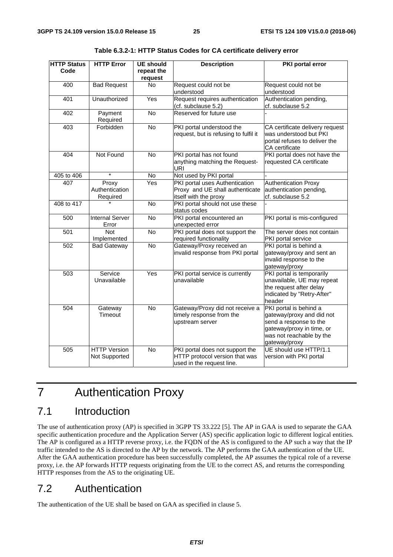| <b>HTTP Status</b><br>Code | <b>HTTP Error</b>                    | <b>UE should</b><br>repeat the | <b>Description</b>                                                                             | <b>PKI</b> portal error                                                                                                                                 |
|----------------------------|--------------------------------------|--------------------------------|------------------------------------------------------------------------------------------------|---------------------------------------------------------------------------------------------------------------------------------------------------------|
|                            |                                      | request                        |                                                                                                |                                                                                                                                                         |
| 400                        | <b>Bad Request</b>                   | <b>No</b>                      | Request could not be<br>understood                                                             | Request could not be<br>understood                                                                                                                      |
| 401                        | Unauthorized                         | Yes                            | Request requires authentication<br>(cf. subclause 5.2)                                         | Authentication pending,<br>cf. subclause 5.2                                                                                                            |
| 402                        | Payment<br>Required                  | <b>No</b>                      | Reserved for future use                                                                        |                                                                                                                                                         |
| 403                        | Forbidden                            | $\overline{N}$                 | PKI portal understood the<br>request, but is refusing to fulfil it                             | CA certificate delivery request<br>was understood but PKI<br>portal refuses to deliver the<br>CA certificate                                            |
| 404                        | Not Found                            | No                             | PKI portal has not found<br>anything matching the Request-<br>URI                              | PKI portal does not have the<br>requested CA certificate                                                                                                |
| 405 to 406                 |                                      | No                             | Not used by PKI portal                                                                         |                                                                                                                                                         |
| 407                        | Proxy<br>Authentication<br>Required  | Yes                            | PKI portal uses Authentication<br>Proxy and UE shall authenticate<br>itself with the proxy     | <b>Authentication Proxy</b><br>authentication pending,<br>cf. subclause 5.2                                                                             |
| 408 to 417                 |                                      | $\overline{N}$                 | PKI portal should not use these<br>status codes                                                |                                                                                                                                                         |
| 500                        | <b>Internal Server</b><br>Error      | $\overline{N}$                 | PKI portal encountered an<br>unexpected error                                                  | PKI portal is mis-configured                                                                                                                            |
| 501                        | <b>Not</b><br>Implemented            | $\overline{N}$                 | PKI portal does not support the<br>required functionality                                      | The server does not contain<br>PKI portal service                                                                                                       |
| 502                        | <b>Bad Gateway</b>                   | No                             | Gateway/Proxy received an<br>invalid response from PKI portal                                  | PKI portal is behind a<br>gateway/proxy and sent an<br>invalid response to the<br>gateway/proxy                                                         |
| 503                        | Service<br>Unavailable               | Yes                            | PKI portal service is currently<br>unavailable                                                 | PKI portal is temporarily<br>unavailable, UE may repeat<br>the request after delay<br>indicated by "Retry-After"<br>header                              |
| 504                        | Gateway<br>Timeout                   | No                             | Gateway/Proxy did not receive a<br>timely response from the<br>upstream server                 | PKI portal is behind a<br>gateway/proxy and did not<br>send a response to the<br>gateway/proxy in time, or<br>was not reachable by the<br>gateway/proxy |
| 505                        | <b>HTTP Version</b><br>Not Supported | No                             | PKI portal does not support the<br>HTTP protocol version that was<br>used in the request line. | UE should use HTTP/1.1<br>version with PKI portal                                                                                                       |

**Table 6.3.2-1: HTTP Status Codes for CA certificate delivery error** 

## 7 Authentication Proxy

## 7.1 Introduction

The use of authentication proxy (AP) is specified in 3GPP TS 33.222 [5]. The AP in GAA is used to separate the GAA specific authentication procedure and the Application Server (AS) specific application logic to different logical entities. The AP is configured as a HTTP reverse proxy, i.e. the FQDN of the AS is configured to the AP such a way that the IP traffic intended to the AS is directed to the AP by the network. The AP performs the GAA authentication of the UE. After the GAA authentication procedure has been successfully completed, the AP assumes the typical role of a reverse proxy, i.e. the AP forwards HTTP requests originating from the UE to the correct AS, and returns the corresponding HTTP responses from the AS to the originating UE.

## 7.2 Authentication

The authentication of the UE shall be based on GAA as specified in clause 5.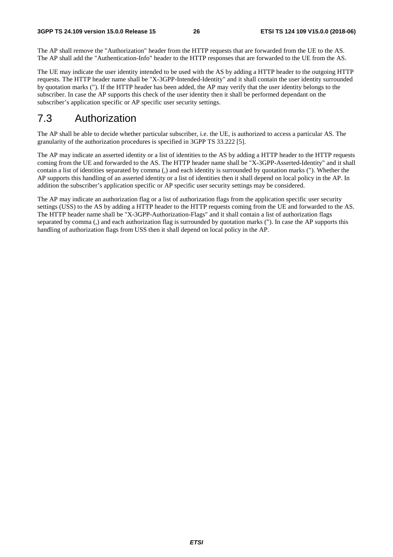The AP shall remove the "Authorization" header from the HTTP requests that are forwarded from the UE to the AS. The AP shall add the "Authentication-Info" header to the HTTP responses that are forwarded to the UE from the AS.

The UE may indicate the user identity intended to be used with the AS by adding a HTTP header to the outgoing HTTP requests. The HTTP header name shall be "X-3GPP-Intended-Identity" and it shall contain the user identity surrounded by quotation marks ("). If the HTTP header has been added, the AP may verify that the user identity belongs to the subscriber. In case the AP supports this check of the user identity then it shall be performed dependant on the subscriber's application specific or AP specific user security settings.

## 7.3 Authorization

The AP shall be able to decide whether particular subscriber, i.e. the UE, is authorized to access a particular AS. The granularity of the authorization procedures is specified in 3GPP TS 33.222 [5].

The AP may indicate an asserted identity or a list of identities to the AS by adding a HTTP header to the HTTP requests coming from the UE and forwarded to the AS. The HTTP header name shall be "X-3GPP-Asserted-Identity" and it shall contain a list of identities separated by comma (,) and each identity is surrounded by quotation marks ("). Whether the AP supports this handling of an asserted identity or a list of identities then it shall depend on local policy in the AP. In addition the subscriber's application specific or AP specific user security settings may be considered.

The AP may indicate an authorization flag or a list of authorization flags from the application specific user security settings (USS) to the AS by adding a HTTP header to the HTTP requests coming from the UE and forwarded to the AS. The HTTP header name shall be "X-3GPP-Authorization-Flags" and it shall contain a list of authorization flags separated by comma (,) and each authorization flag is surrounded by quotation marks ("). In case the AP supports this handling of authorization flags from USS then it shall depend on local policy in the AP.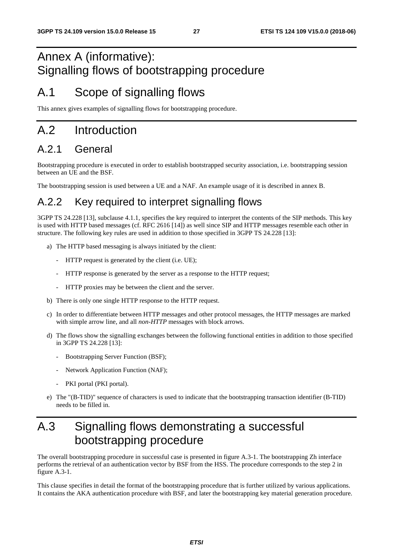## Annex A (informative): Signalling flows of bootstrapping procedure

## A.1 Scope of signalling flows

This annex gives examples of signalling flows for bootstrapping procedure.

## A.2 Introduction

## A.2.1 General

Bootstrapping procedure is executed in order to establish bootstrapped security association, i.e. bootstrapping session between an UE and the BSF.

The bootstrapping session is used between a UE and a NAF. An example usage of it is described in annex B.

## A.2.2 Key required to interpret signalling flows

3GPP TS 24.228 [13], subclause 4.1.1, specifies the key required to interpret the contents of the SIP methods. This key is used with HTTP based messages (cf. RFC 2616 [14]) as well since SIP and HTTP messages resemble each other in structure. The following key rules are used in addition to those specified in 3GPP TS 24.228 [13]:

- a) The HTTP based messaging is always initiated by the client:
	- HTTP request is generated by the client (i.e. UE);
	- HTTP response is generated by the server as a response to the HTTP request;
	- HTTP proxies may be between the client and the server.
- b) There is only one single HTTP response to the HTTP request.
- c) In order to differentiate between HTTP messages and other protocol messages, the HTTP messages are marked with simple arrow line, and all *non-HTTP* messages with block arrows.
- d) The flows show the signalling exchanges between the following functional entities in addition to those specified in 3GPP TS 24.228 [13]:
	- Bootstrapping Server Function (BSF);
	- Network Application Function (NAF);
	- PKI portal (PKI portal).
- e) The "(B-TID)" sequence of characters is used to indicate that the bootstrapping transaction identifier (B-TID) needs to be filled in.

## A.3 Signalling flows demonstrating a successful bootstrapping procedure

The overall bootstrapping procedure in successful case is presented in figure A.3-1. The bootstrapping Zh interface performs the retrieval of an authentication vector by BSF from the HSS. The procedure corresponds to the step 2 in figure A.3-1.

This clause specifies in detail the format of the bootstrapping procedure that is further utilized by various applications. It contains the AKA authentication procedure with BSF, and later the bootstrapping key material generation procedure.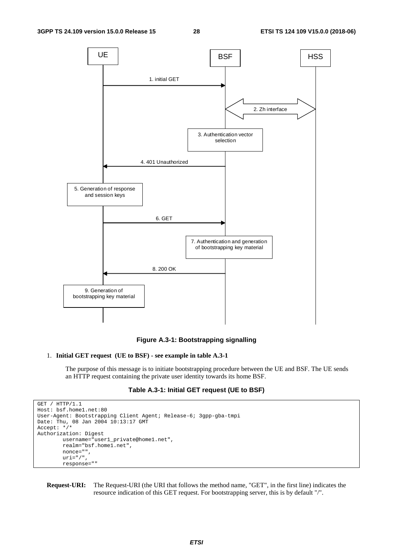

**Figure A.3-1: Bootstrapping signalling** 

### 1. **Initial GET request (UE to BSF) - see example in table A.3-1**

 The purpose of this message is to initiate bootstrapping procedure between the UE and BSF. The UE sends an HTTP request containing the private user identity towards its home BSF.

### **Table A.3-1: Initial GET request (UE to BSF)**

```
GET / HTTP/1.1 
Host: bsf.home1.net:80 
User-Agent: Bootstrapping Client Agent; Release-6; 3gpp-gba-tmpi 
Date: Thu, 08 Jan 2004 10:13:17 GMT 
Accept: */* 
Authorization: Digest 
         username="user1_private@home1.net", 
         realm="bsf.home1.net", 
         nonce="", 
        uri="/",
         response=""
```
**Request-URI:** The Request-URI (the URI that follows the method name, "GET", in the first line) indicates the resource indication of this GET request. For bootstrapping server, this is by default "/".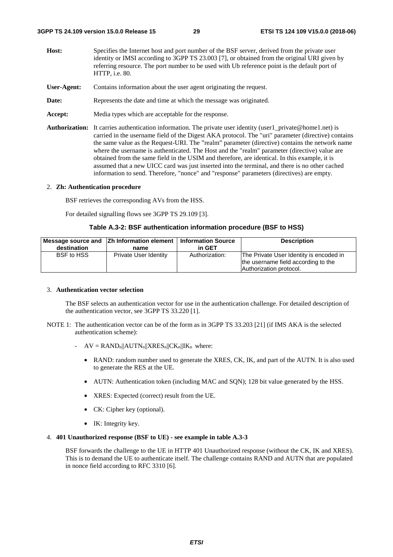#### **3GPP TS 24.109 version 15.0.0 Release 15 29 ETSI TS 124 109 V15.0.0 (2018-06)**

- **Host:** Specifies the Internet host and port number of the BSF server, derived from the private user identity or IMSI according to 3GPP TS 23.003 [7], or obtained from the original URI given by referring resource. The port number to be used with Ub reference point is the default port of HTTP, i.e. 80.
- **User-Agent:** Contains information about the user agent originating the request.
- **Date:** Represents the date and time at which the message was originated.
- **Accept:** Media types which are acceptable for the response.
- **Authorization:** It carries authentication information. The private user identity (user1 private@home1.net) is carried in the username field of the Digest AKA protocol. The "uri" parameter (directive) contains the same value as the Request-URI. The "realm" parameter (directive) contains the network name where the username is authenticated. The Host and the "realm" parameter (directive) value are obtained from the same field in the USIM and therefore, are identical. In this example, it is assumed that a new UICC card was just inserted into the terminal, and there is no other cached information to send. Therefore, "nonce" and "response" parameters (directives) are empty.

#### 2. **Zh: Authentication procedure**

BSF retrieves the corresponding AVs from the HSS.

For detailed signalling flows see 3GPP TS 29.109 [3].

#### **Table A.3-2: BSF authentication information procedure (BSF to HSS)**

| destination       | Message source and  Zh Information element   Information Source<br>name | in GET         | <b>Description</b>                                                                                        |
|-------------------|-------------------------------------------------------------------------|----------------|-----------------------------------------------------------------------------------------------------------|
| <b>BSF to HSS</b> | Private User Identity                                                   | Authorization: | The Private User Identity is encoded in<br>the username field according to the<br>Authorization protocol. |

#### 3. **Authentication vector selection**

 The BSF selects an authentication vector for use in the authentication challenge. For detailed description of the authentication vector, see 3GPP TS 33.220 [1].

- NOTE 1: The authentication vector can be of the form as in 3GPP TS 33.203 [21] (if IMS AKA is the selected authentication scheme):
	- $AV = RAND_n||AUTN_n||XRES_n||CK_n||IK_n$  where:
		- RAND: random number used to generate the XRES, CK, IK, and part of the AUTN. It is also used to generate the RES at the UE.
		- AUTN: Authentication token (including MAC and SQN); 128 bit value generated by the HSS.
		- XRES: Expected (correct) result from the UE.
		- CK: Cipher key (optional).
		- IK: Integrity key.

### 4. **401 Unauthorized response (BSF to UE) - see example in table A.3-3**

 BSF forwards the challenge to the UE in HTTP 401 Unauthorized response (without the CK, IK and XRES). This is to demand the UE to authenticate itself. The challenge contains RAND and AUTN that are populated in nonce field according to RFC 3310 [6].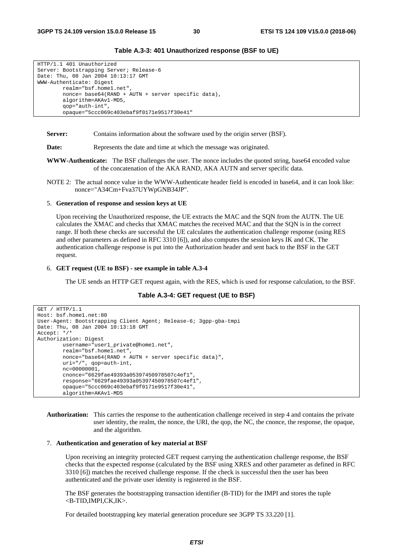**Table A.3-3: 401 Unauthorized response (BSF to UE)** 

```
HTTP/1.1 401 Unauthorized 
Server: Bootstrapping Server; Release-6 
Date: Thu, 08 Jan 2004 10:13:17 GMT 
WWW-Authenticate: Digest 
         realm="bsf.home1.net", 
         nonce= base64(RAND + AUTN + server specific data), 
         algorithm=AKAv1-MD5, 
         qop="auth-int", 
         opaque="5ccc069c403ebaf9f0171e9517f30e41"
```
**Server:** Contains information about the software used by the origin server (BSF).

**Date:** Represents the date and time at which the message was originated.

**WWW-Authenticate:** The BSF challenges the user. The nonce includes the quoted string, base64 encoded value of the concatenation of the AKA RAND, AKA AUTN and server specific data.

NOTE 2: The actual nonce value in the WWW-Authenticate header field is encoded in base64, and it can look like: nonce="A34Cm+Fva37UYWpGNB34JP".

#### 5. **Generation of response and session keys at UE**

 Upon receiving the Unauthorized response, the UE extracts the MAC and the SQN from the AUTN. The UE calculates the XMAC and checks that XMAC matches the received MAC and that the SQN is in the correct range. If both these checks are successful the UE calculates the authentication challenge response (using RES and other parameters as defined in RFC 3310 [6]), and also computes the session keys IK and CK. The authentication challenge response is put into the Authorization header and sent back to the BSF in the GET request.

#### 6. **GET request (UE to BSF) - see example in table A.3-4**

The UE sends an HTTP GET request again, with the RES, which is used for response calculation, to the BSF.

#### **Table A.3-4: GET request (UE to BSF)**

```
GET / HTTP/1.1 
Host: bsf.home1.net:80 
User-Agent: Bootstrapping Client Agent; Release-6; 3gpp-gba-tmpi 
Date: Thu, 08 Jan 2004 10:13:18 GMT 
Accept: */* 
Authorization: Digest 
         username="user1_private@home1.net", 
         realm="bsf.home1.net", 
         nonce="base64(RAND + AUTN + server specific data)", 
         uri="/", qop=auth-int, 
         nc=00000001, 
         cnonce="6629fae49393a05397450978507c4ef1", 
         response="6629fae49393a05397450978507c4ef1", 
         opaque="5ccc069c403ebaf9f0171e9517f30e41", 
         algorithm=AKAv1-MD5
```
**Authorization:** This carries the response to the authentication challenge received in step 4 and contains the private user identity, the realm, the nonce, the URI, the qop, the NC, the cnonce, the response, the opaque, and the algorithm.

#### 7. **Authentication and generation of key material at BSF**

 Upon receiving an integrity protected GET request carrying the authentication challenge response, the BSF checks that the expected response (calculated by the BSF using XRES and other parameter as defined in RFC 3310 [6]) matches the received challenge response. If the check is successful then the user has been authenticated and the private user identity is registered in the BSF.

 The BSF generates the bootstrapping transaction identifier (B-TID) for the IMPI and stores the tuple <B-TID,IMPI,CK,IK>.

For detailed bootstrapping key material generation procedure see 3GPP TS 33.220 [1].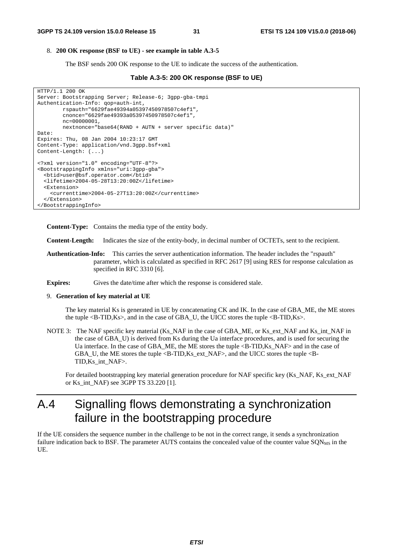### 8. **200 OK response (BSF to UE) - see example in table A.3-5**

The BSF sends 200 OK response to the UE to indicate the success of the authentication.

```
Table A.3-5: 200 OK response (BSF to UE)
```

```
HTTP/1.1 200 OK 
Server: Bootstrapping Server; Release-6; 3gpp-gba-tmpi 
Authentication-Info: qop=auth-int, 
         rspauth="6629fae49394a05397450978507c4ef1", 
         cnonce="6629fae49393a05397450978507c4ef1", 
         nc=00000001, 
         nextnonce="base64(RAND + AUTN + server specific data)" 
Date: 
Expires: Thu, 08 Jan 2004 10:23:17 GMT 
Content-Type: application/vnd.3gpp.bsf+xml 
Content-Length: (...) 
<?xml version="1.0" encoding="UTF-8"?> 
<BootstrappingInfo xmlns="uri:3gpp-gba"> 
   <btid>user@bsf.operator.com</btid> 
   <lifetime>2004-05-28T13:20:00Z</lifetime> 
   <Extension> 
     <currenttime>2004-05-27T13:20:00Z</currenttime> 
   </Extension> 
</BootstrappingInfo>
```
**Content-Type:** Contains the media type of the entity body.

**Content-Length:** Indicates the size of the entity-body, in decimal number of OCTETs, sent to the recipient.

**Authentication-Info:** This carries the server authentication information. The header includes the "rspauth" parameter, which is calculated as specified in RFC 2617 [9] using RES for response calculation as specified in RFC 3310 [6].

**Expires:** Gives the date/time after which the response is considered stale.

### 9. **Generation of key material at UE**

 The key material Ks is generated in UE by concatenating CK and IK. In the case of GBA\_ME, the ME stores the tuple <B-TID,Ks>, and in the case of GBA\_U, the UICC stores the tuple <B-TID,Ks>.

NOTE 3: The NAF specific key material (Ks\_NAF in the case of GBA\_ME, or Ks\_ext\_NAF and Ks\_int\_NAF in the case of GBA\_U) is derived from Ks during the Ua interface procedures, and is used for securing the Ua interface. In the case of GBA\_ME, the ME stores the tuple <B-TID,Ks\_NAF> and in the case of GBA\_U, the ME stores the tuple <B-TID,Ks\_ext\_NAF>, and the UICC stores the tuple <B-TID,Ks\_int\_NAF>.

For detailed bootstrapping key material generation procedure for NAF specific key (Ks\_NAF, Ks\_ext\_NAF) or Ks\_int\_NAF) see 3GPP TS 33.220 [1].

## A.4 Signalling flows demonstrating a synchronization failure in the bootstrapping procedure

If the UE considers the sequence number in the challenge to be not in the correct range, it sends a synchronization failure indication back to BSF. The parameter AUTS contains the concealed value of the counter value  $SQN<sub>MS</sub>$  in the UE.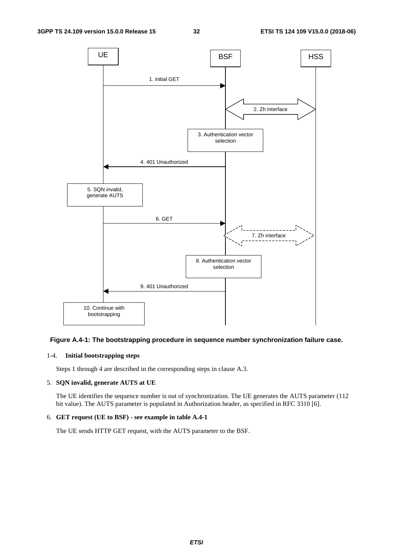

#### **Figure A.4-1: The bootstrapping procedure in sequence number synchronization failure case.**

#### 1-4. **Initial bootstrapping steps**

Steps 1 through 4 are described in the corresponding steps in clause A.3.

#### 5. **SQN invalid, generate AUTS at UE**

 The UE identifies the sequence number is out of synchronization. The UE generates the AUTS parameter (112 bit value). The AUTS parameter is populated in Authorization header, as specified in RFC 3310 [6].

### 6. **GET request (UE to BSF) - see example in table A.4-1**

The UE sends HTTP GET request, with the AUTS parameter to the BSF.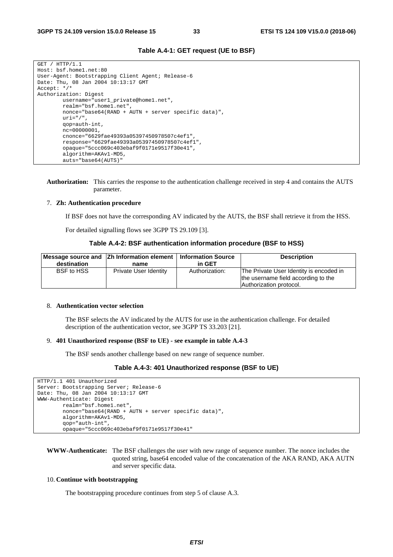```
Table A.4-1: GET request (UE to BSF)
```

```
GET / HTTP/1.1 
Host: bsf.home1.net:80 
User-Agent: Bootstrapping Client Agent; Release-6 
Date: Thu, 08 Jan 2004 10:13:17 GMT 
Accept: */* 
Authorization: Digest 
         username="user1_private@home1.net", 
         realm="bsf.home1.net", 
         nonce="base64(RAND + AUTN + server specific data)", 
        uri="/",
         qop=auth-int, 
         nc=00000001, 
         cnonce="6629fae49393a05397450978507c4ef1", 
         response="6629fae49393a05397450978507c4ef1", 
         opaque="5ccc069c403ebaf9f0171e9517f30e41", 
         algorithm=AKAv1-MD5, 
         auts="base64(AUTS)"
```
**Authorization:** This carries the response to the authentication challenge received in step 4 and contains the AUTS parameter.

#### 7. **Zh: Authentication procedure**

If BSF does not have the corresponding AV indicated by the AUTS, the BSF shall retrieve it from the HSS.

For detailed signalling flows see 3GPP TS 29.109 [3].

### **Table A.4-2: BSF authentication information procedure (BSF to HSS)**

| destination       | Message source and Zh Information element   Information Source<br>name | in GET         | <b>Description</b>                                                                                        |
|-------------------|------------------------------------------------------------------------|----------------|-----------------------------------------------------------------------------------------------------------|
| <b>BSF to HSS</b> | Private User Identity                                                  | Authorization: | The Private User Identity is encoded in<br>the username field according to the<br>Authorization protocol. |

#### 8. **Authentication vector selection**

 The BSF selects the AV indicated by the AUTS for use in the authentication challenge. For detailed description of the authentication vector, see 3GPP TS 33.203 [21].

#### 9. **401 Unauthorized response (BSF to UE) - see example in table A.4-3**

The BSF sends another challenge based on new range of sequence number.

### **Table A.4-3: 401 Unauthorized response (BSF to UE)**

```
HTTP/1.1 401 Unauthorized 
Server: Bootstrapping Server; Release-6 
Date: Thu, 08 Jan 2004 10:13:17 GMT 
WWW-Authenticate: Digest 
         realm="bsf.home1.net", 
         nonce="base64(RAND + AUTN + server specific data)", 
         algorithm=AKAv1-MD5, 
         qop="auth-int", 
         opaque="5ccc069c403ebaf9f0171e9517f30e41"
```
**WWW-Authenticate:** The BSF challenges the user with new range of sequence number. The nonce includes the quoted string, base64 encoded value of the concatenation of the AKA RAND, AKA AUTN and server specific data.

#### 10. **Continue with bootstrapping**

The bootstrapping procedure continues from step 5 of clause A.3.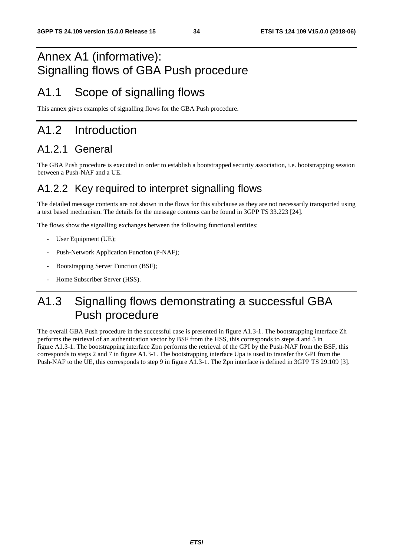## Annex A1 (informative): Signalling flows of GBA Push procedure

## A1.1 Scope of signalling flows

This annex gives examples of signalling flows for the GBA Push procedure.

## A1.2 Introduction

## A1.2.1 General

The GBA Push procedure is executed in order to establish a bootstrapped security association, i.e. bootstrapping session between a Push-NAF and a UE.

## A1.2.2 Key required to interpret signalling flows

The detailed message contents are not shown in the flows for this subclause as they are not necessarily transported using a text based mechanism. The details for the message contents can be found in 3GPP TS 33.223 [24].

The flows show the signalling exchanges between the following functional entities:

- User Equipment (UE);
- Push-Network Application Function (P-NAF);
- Bootstrapping Server Function (BSF);
- Home Subscriber Server (HSS).

## A1.3 Signalling flows demonstrating a successful GBA Push procedure

The overall GBA Push procedure in the successful case is presented in figure A1.3-1. The bootstrapping interface Zh performs the retrieval of an authentication vector by BSF from the HSS, this corresponds to steps 4 and 5 in figure A1.3-1. The bootstrapping interface Zpn performs the retrieval of the GPI by the Push-NAF from the BSF, this corresponds to steps 2 and 7 in figure A1.3-1. The bootstrapping interface Upa is used to transfer the GPI from the Push-NAF to the UE, this corresponds to step 9 in figure A1.3-1. The Zpn interface is defined in 3GPP TS 29.109 [3].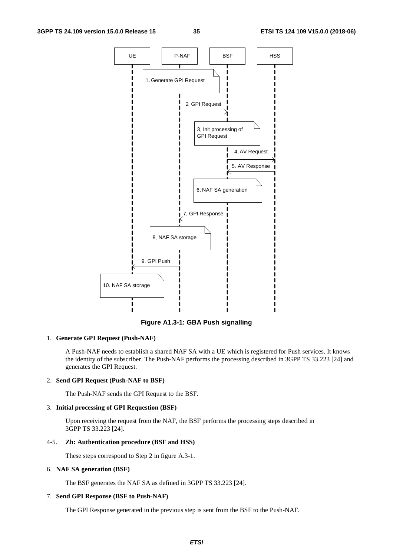

**Figure A1.3-1: GBA Push signalling** 

### 1. **Generate GPI Request (Push-NAF)**

 A Push-NAF needs to establish a shared NAF SA with a UE which is registered for Push services. It knows the identity of the subscriber. The Push-NAF performs the processing described in 3GPP TS 33.223 [24] and generates the GPI Request.

### 2. **Send GPI Request (Push-NAF to BSF)**

The Push-NAF sends the GPI Request to the BSF.

### 3. **Initial processing of GPI Requestion (BSF)**

 Upon receiving the request from the NAF, the BSF performs the processing steps described in 3GPP TS 33.223 [24].

### 4-5. **Zh: Authentication procedure (BSF and HSS)**

These steps correspond to Step 2 in figure A.3-1.

#### 6. **NAF SA generation (BSF)**

The BSF generates the NAF SA as defined in 3GPP TS 33.223 [24].

#### 7. **Send GPI Response (BSF to Push-NAF)**

The GPI Response generated in the previous step is sent from the BSF to the Push-NAF.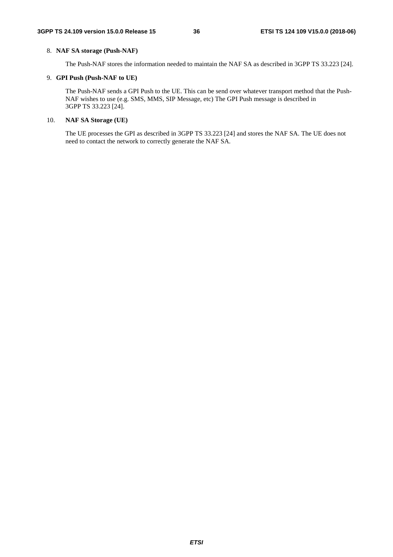### 8. **NAF SA storage (Push-NAF)**

The Push-NAF stores the information needed to maintain the NAF SA as described in 3GPP TS 33.223 [24].

#### 9. **GPI Push (Push-NAF to UE)**

 The Push-NAF sends a GPI Push to the UE. This can be send over whatever transport method that the Push-NAF wishes to use (e.g. SMS, MMS, SIP Message, etc) The GPI Push message is described in 3GPP TS 33.223 [24].

### 10. **NAF SA Storage (UE)**

 The UE processes the GPI as described in 3GPP TS 33.223 [24] and stores the NAF SA. The UE does not need to contact the network to correctly generate the NAF SA.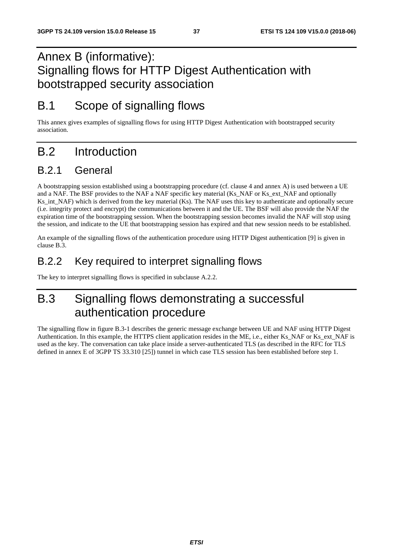# Annex B (informative): Signalling flows for HTTP Digest Authentication with bootstrapped security association

# B.1 Scope of signalling flows

This annex gives examples of signalling flows for using HTTP Digest Authentication with bootstrapped security association.

# B.2 Introduction

# B.2.1 General

A bootstrapping session established using a bootstrapping procedure (cf. clause 4 and annex A) is used between a UE and a NAF. The BSF provides to the NAF a NAF specific key material (Ks\_NAF or Ks\_ext\_NAF and optionally Ks int NAF) which is derived from the key material (Ks). The NAF uses this key to authenticate and optionally secure (i.e. integrity protect and encrypt) the communications between it and the UE. The BSF will also provide the NAF the expiration time of the bootstrapping session. When the bootstrapping session becomes invalid the NAF will stop using the session, and indicate to the UE that bootstrapping session has expired and that new session needs to be established.

An example of the signalling flows of the authentication procedure using HTTP Digest authentication [9] is given in clause B.3.

# B.2.2 Key required to interpret signalling flows

The key to interpret signalling flows is specified in subclause A.2.2.

# B.3 Signalling flows demonstrating a successful authentication procedure

The signalling flow in figure B.3-1 describes the generic message exchange between UE and NAF using HTTP Digest Authentication. In this example, the HTTPS client application resides in the ME, i.e., either Ks\_NAF or Ks\_ext\_NAF is used as the key. The conversation can take place inside a server-authenticated TLS (as described in the RFC for TLS defined in annex E of 3GPP TS 33.310 [25]) tunnel in which case TLS session has been established before step 1.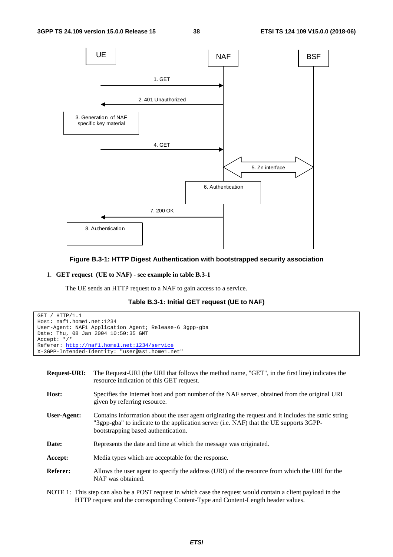

### **Figure B.3-1: HTTP Digest Authentication with bootstrapped security association**

### 1. **GET request (UE to NAF) - see example in table B.3-1**

The UE sends an HTTP request to a NAF to gain access to a service.

**Table B.3-1: Initial GET request (UE to NAF)** 

```
GET / HTTP/1.1 
Host: naf1.home1.net:1234 
User-Agent: NAF1 Application Agent; Release-6 3gpp-gba 
Date: Thu, 08 Jan 2004 10:50:35 GMT 
Accept: */* 
Referer: http://naf1.home1.net:1234/service
X-3GPP-Intended-Identity: "user@as1.home1.net"
```

| <b>Request-URI:</b>                                                                                          | The Request-URI (the URI that follows the method name, "GET", in the first line) indicates the<br>resource indication of this GET request.                                                                                           |  |
|--------------------------------------------------------------------------------------------------------------|--------------------------------------------------------------------------------------------------------------------------------------------------------------------------------------------------------------------------------------|--|
| Host:                                                                                                        | Specifies the Internet host and port number of the NAF server, obtained from the original URI<br>given by referring resource.                                                                                                        |  |
| User-Agent:                                                                                                  | Contains information about the user agent originating the request and it includes the static string<br>"3gpp-gba" to indicate to the application server (i.e. NAF) that the UE supports 3GPP-<br>bootstrapping based authentication. |  |
| Date:                                                                                                        | Represents the date and time at which the message was originated.                                                                                                                                                                    |  |
| Accept:                                                                                                      | Media types which are acceptable for the response.                                                                                                                                                                                   |  |
| <b>Referer:</b>                                                                                              | Allows the user agent to specify the address (URI) of the resource from which the URI for the<br>NAF was obtained.                                                                                                                   |  |
| NOTE 1: This step can also be a POST request in which case the request would contain a client payload in the |                                                                                                                                                                                                                                      |  |

NOTE 1: This step can also be a POST request in which case the request would contain a client payload in the HTTP request and the corresponding Content-Type and Content-Length header values.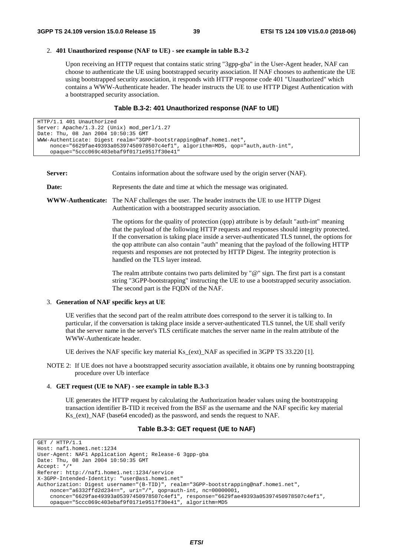#### 2. **401 Unauthorized response (NAF to UE) - see example in table B.3-2**

 Upon receiving an HTTP request that contains static string "3gpp-gba" in the User-Agent header, NAF can choose to authenticate the UE using bootstrapped security association. If NAF chooses to authenticate the UE using bootstrapped security association, it responds with HTTP response code 401 "Unauthorized" which contains a WWW-Authenticate header. The header instructs the UE to use HTTP Digest Authentication with a bootstrapped security association.

#### **Table B.3-2: 401 Unauthorized response (NAF to UE)**

```
HTTP/1.1 401 Unauthorized 
Server: Apache/1.3.22 (Unix) mod_perl/1.27 
Date: Thu, 08 Jan 2004 10:50:35 GMT 
WWW-Authenticate: Digest realm="3GPP-bootstrapping@naf.home1.net", 
    nonce="6629fae49393a05397450978507c4ef1", algorithm=MD5, qop="auth,auth-int", 
    opaque="5ccc069c403ebaf9f0171e9517f30e41"
```

```
Server: Contains information about the software used by the origin server (NAF).
Date: Represents the date and time at which the message was originated.
WWW-Authenticate: The NAF challenges the user. The header instructs the UE to use HTTP Digest 
                      Authentication with a bootstrapped security association. 
                       The options for the quality of protection (qop) attribute is by default "auth-int" meaning 
                      that the payload of the following HTTP requests and responses should integrity protected.
```
If the conversation is taking place inside a server-authenticated TLS tunnel, the options for the qop attribute can also contain "auth" meaning that the payload of the following HTTP requests and responses are not protected by HTTP Digest. The integrity protection is handled on the TLS layer instead.

The realm attribute contains two parts delimited by " $@$ " sign. The first part is a constant string "3GPP-bootstrapping" instructing the UE to use a bootstrapped security association. The second part is the FQDN of the NAF.

## 3. **Generation of NAF specific keys at UE**

 UE verifies that the second part of the realm attribute does correspond to the server it is talking to. In particular, if the conversation is taking place inside a server-authenticated TLS tunnel, the UE shall verify that the server name in the server's TLS certificate matches the server name in the realm attribute of the WWW-Authenticate header.

UE derives the NAF specific key material Ks\_(ext)\_NAF as specified in 3GPP TS 33.220 [1].

NOTE 2: If UE does not have a bootstrapped security association available, it obtains one by running bootstrapping procedure over Ub interface

### 4. **GET request (UE to NAF) - see example in table B.3-3**

 UE generates the HTTP request by calculating the Authorization header values using the bootstrapping transaction identifier B**-**TID it received from the BSF as the username and the NAF specific key material Ks\_(ext)\_NAF (base64 encoded) as the password, and sends the request to NAF.

#### **Table B.3-3: GET request (UE to NAF)**

```
GET / HTTP/1.1Host: naf1.home1.net:1234 
User-Agent: NAF1 Application Agent; Release-6 3gpp-gba 
Date: Thu, 08 Jan 2004 10:50:35 GMT 
Accept: */* 
Referer: http://naf1.home1.net:1234/service 
X-3GPP-Intended-Identity: "user@as1.home1.net" 
Authorization: Digest username="(B-TID)", realm="3GPP-bootstrapping@naf.home1.net", 
   nonce="a6332ffd2d234==", uri="," qop=auth-int, nc=00000001,cnonce="6629fae49393a05397450978507c4ef1", response="6629fae49393a05397450978507c4ef1", 
    opaque="5ccc069c403ebaf9f0171e9517f30e41", algorithm=MD5
```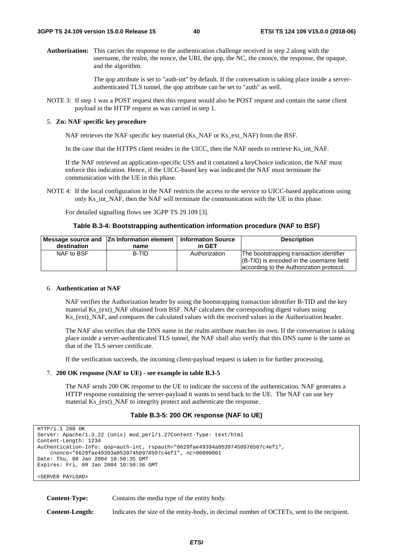**Authorization:** This carries the response to the authentication challenge received in step 2 along with the username, the realm, the nonce, the URI, the qop, the NC, the cnonce, the response, the opaque, and the algorithm.

> The qop attribute is set to "auth-int" by default. If the conversation is taking place inside a serverauthenticated TLS tunnel, the qop attribute can be set to "auth" as well.

NOTE 3: If step 1 was a POST request then this request would also be POST request and contain the same client payload in the HTTP request as was carried in step 1.

#### 5. **Zn: NAF specific key procedure**

NAF retrieves the NAF specific key material (Ks\_NAF or Ks\_ext\_NAF) from the BSF.

In the case that the HTTPS client resides in the UICC, then the NAF needs to retrieve Ks int NAF.

 If the NAF retrieved an application-specific USS and it contained a keyChoice indication, the NAF must enforce this indication. Hence, if the UICC-based key was indicated the NAF must terminate the communication with the UE in this phase.

NOTE 4: If the local configuration in the NAF restricts the access to the service to UICC-based applications using only Ks int NAF, then the NAF will terminate the communication with the UE in this phase.

For detailed signalling flows see 3GPP TS 29.109 [3].

#### **Table B.3-4: Bootstrapping authentication information procedure (NAF to BSF)**

| destination | name  | in GET        | <b>Description</b>                                                                                                               |
|-------------|-------|---------------|----------------------------------------------------------------------------------------------------------------------------------|
| NAF to BSF  | B-TID | Authorization | The bootstrapping transaction identifier<br>(B-TID) is encoded in the username field<br>according to the Authorization protocol. |

#### 6. **Authentication at NAF**

 NAF verifies the Authorization header by using the bootstrapping transaction identifier B-TID and the key material Ks (ext) NAF obtained from BSF. NAF calculates the corresponding digest values using Ks\_(ext)\_NAF, and compares the calculated values with the received values in the Authorization header.

 The NAF also verifies that the DNS name in the realm attribute matches its own. If the conversation is taking place inside a server-authenticated TLS tunnel, the NAF shall also verify that this DNS name is the same as that of the TLS server certificate.

If the verification succeeds, the incoming client-payload request is taken in for further processing.

#### 7. **200 OK response (NAF to UE) - see example in table B.3-5**

 The NAF sends 200 OK response to the UE to indicate the success of the authentication. NAF generates a HTTP response containing the server-payload it wants to send back to the UE. The NAF can use key material Ks (ext) NAF to integrity protect and authenticate the response.

### **Table B.3-5: 200 OK response (NAF to UE)**

```
HTTP/1.1 200 OK 
Server: Apache/1.3.22 (Unix) mod_perl/1.27Content-Type: text/html 
Content-Length: 1234 
Authentication-Info: qop=auth-int, rspauth="6629fae49394a05397450978507c4ef1", 
   cnonce="6629fae49393a05397450978507c4ef1", nc=00000001 
Date: Thu, 08 Jan 2004 10:50:35 GMT 
Expires: Fri, 09 Jan 2004 10:50:36 GMT
```

```
<SERVER PAYLOAD>
```
**Content-Type:** Contains the media type of the entity body.

**Content-Length:** Indicates the size of the entity-body, in decimal number of OCTETs, sent to the recipient.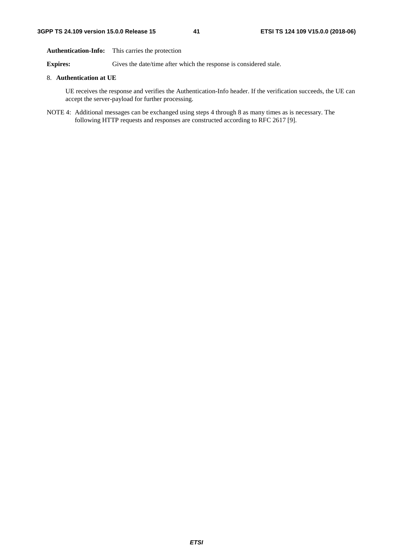### **Authentication-Info:** This carries the protection

**Expires:** Gives the date/time after which the response is considered stale.

### 8. **Authentication at UE**

 UE receives the response and verifies the Authentication-Info header. If the verification succeeds, the UE can accept the server-payload for further processing.

NOTE 4: Additional messages can be exchanged using steps 4 through 8 as many times as is necessary. The following HTTP requests and responses are constructed according to RFC 2617 [9].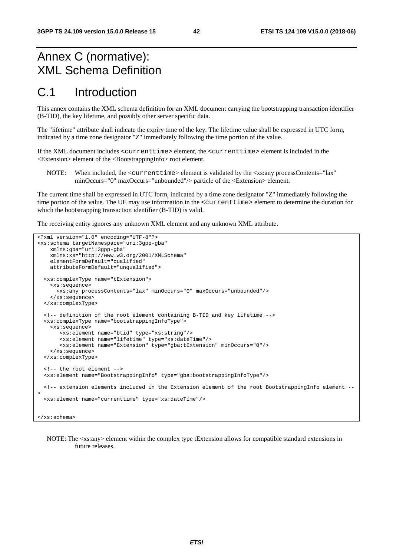# Annex C (normative): XML Schema Definition

# C.1 Introduction

This annex contains the XML schema definition for an XML document carrying the bootstrapping transaction identifier (B-TID), the key lifetime, and possibly other server specific data.

The "lifetime" attribute shall indicate the expiry time of the key. The lifetime value shall be expressed in UTC form, indicated by a time zone designator "Z" immediately following the time portion of the value.

If the XML document includes <currenttime> element, the <currenttime> element is included in the <Extension> element of the <BootstrappingInfo> root element.

NOTE: When included, the <currenttime> element is validated by the <xs:any processContents="lax" minOccurs="0" maxOccurs="unbounded"/> particle of the <Extension> element.

The current time shall be expressed in UTC form, indicated by a time zone designator "Z" immediately following the time portion of the value. The UE may use information in the <currenttime> element to determine the duration for which the bootstrapping transaction identifier (B-TID) is valid.

The receiving entity ignores any unknown XML element and any unknown XML attribute.

```
<?xml version="1.0" encoding="UTF-8"?> 
<xs:schema targetNamespace="uri:3gpp-gba" 
    xmlns:gba="uri:3gpp-gba" 
    xmlns:xs="http://www.w3.org/2001/XMLSchema" 
    elementFormDefault="qualified" 
    attributeFormDefault="unqualified"> 
  <xs:complexType name="tExtension"> 
    <xs:sequence> 
      <xs:any processContents="lax" minOccurs="0" maxOccurs="unbounded"/> 
    </xs:sequence> 
  </xs:complexType> 
  <!-- definition of the root element containing B-TID and key lifetime --> 
  <xs:complexType name="bootstrappingInfoType"> 
    <xs:sequence> 
       <xs:element name="btid" type="xs:string"/> 
        <xs:element name="lifetime" type="xs:dateTime"/> 
        <xs:element name="Extension" type="gba:tExtension" minOccurs="0"/> 
    </xs:sequence> 
  </xs:complexType> 
  <!-- the root element --> 
  <xs:element name="BootstrappingInfo" type="gba:bootstrappingInfoType"/> 
  <!-- extension elements included in the Extension element of the root BootstrappingInfo element --
> <xs:element name="currenttime" type="xs:dateTime"/> 
</xs:schema>
```
NOTE: The <xs:any> element within the complex type tExtension allows for compatible standard extensions in future releases.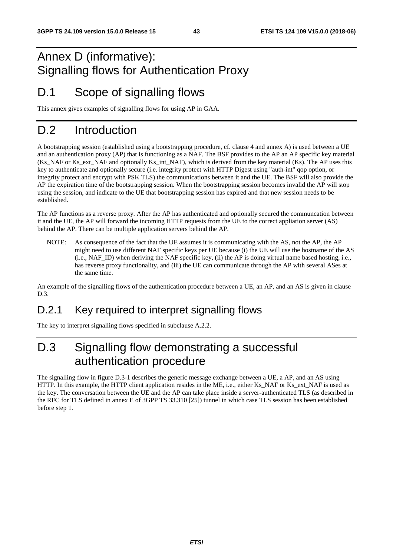# Annex D (informative): Signalling flows for Authentication Proxy

# D.1 Scope of signalling flows

This annex gives examples of signalling flows for using AP in GAA.

# D.2 Introduction

A bootstrapping session (established using a bootstrapping procedure, cf. clause 4 and annex A) is used between a UE and an authentication proxy (AP) that is functioning as a NAF. The BSF provides to the AP an AP specific key material (Ks\_NAF or Ks\_ext\_NAF and optionally Ks\_int\_NAF), which is derived from the key material (Ks). The AP uses this key to authenticate and optionally secure (i.e. integrity protect with HTTP Digest using "auth-int" qop option, or integrity protect and encrypt with PSK TLS) the communications between it and the UE. The BSF will also provide the AP the expiration time of the bootstrapping session. When the bootstrapping session becomes invalid the AP will stop using the session, and indicate to the UE that bootstrapping session has expired and that new session needs to be established.

The AP functions as a reverse proxy. After the AP has authenticated and optionally secured the communcation between it and the UE, the AP will forward the incoming HTTP requests from the UE to the correct appliation server (AS) behind the AP. There can be multiple application servers behind the AP.

NOTE: As consequence of the fact that the UE assumes it is communicating with the AS, not the AP, the AP might need to use different NAF specific keys per UE because (i) the UE will use the hostname of the AS  $(i.e., NAFID)$  when deriving the NAF specific key, (ii) the AP is doing virtual name based hosting, i.e., has reverse proxy functionality, and (iii) the UE can communicate through the AP with several ASes at the same time.

An example of the signalling flows of the authentication procedure between a UE, an AP, and an AS is given in clause D.3.

# D.2.1 Key required to interpret signalling flows

The key to interpret signalling flows specified in subclause A.2.2.

# D.3 Signalling flow demonstrating a successful authentication procedure

The signalling flow in figure D.3-1 describes the generic message exchange between a UE, a AP, and an AS using HTTP. In this example, the HTTP client application resides in the ME, i.e., either Ks\_NAF or Ks\_ext\_NAF is used as the key. The conversation between the UE and the AP can take place inside a server-authenticated TLS (as described in the RFC for TLS defined in annex E of 3GPP TS 33.310 [25]) tunnel in which case TLS session has been established before step 1.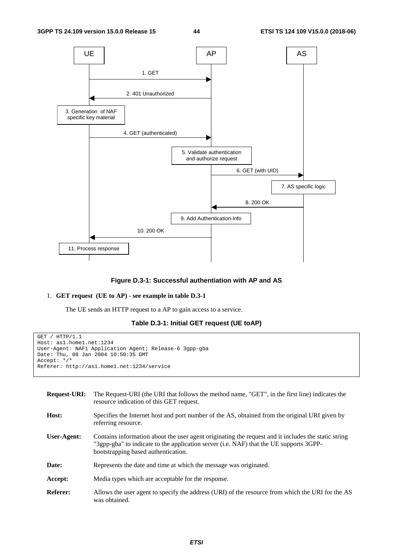

**Figure D.3-1: Successful authentiation with AP and AS** 

## 1. **GET request (UE to AP) - see example in table D.3-1**

The UE sends an HTTP request to a AP to gain access to a service.

```
Table D.3-1: Initial GET request (UE toAP)
```

```
GET / HTTP/1.1 
Host: as1.home1.net:1234 
User-Agent: NAF1 Application Agent; Release-6 3gpp-gba 
Date: Thu, 08 Jan 2004 10:50:35 GMT 
Accept: */* 
Referer: http://as1.home1.net:1234/service
```

| <b>Request-URI:</b> | The Request-URI (the URI that follows the method name, "GET", in the first line) indicates the<br>resource indication of this GET request.                                                                                           |
|---------------------|--------------------------------------------------------------------------------------------------------------------------------------------------------------------------------------------------------------------------------------|
| Host:               | Specifies the Internet host and port number of the AS, obtained from the original URI given by<br>referring resource.                                                                                                                |
| User-Agent:         | Contains information about the user agent originating the request and it includes the static string<br>"3gpp-gba" to indicate to the application server (i.e. NAF) that the UE supports 3GPP-<br>bootstrapping based authentication. |
| Date:               | Represents the date and time at which the message was originated.                                                                                                                                                                    |
| Accept:             | Media types which are acceptable for the response.                                                                                                                                                                                   |
| <b>Referer:</b>     | Allows the user agent to specify the address (URI) of the resource from which the URI for the AS<br>was obtained.                                                                                                                    |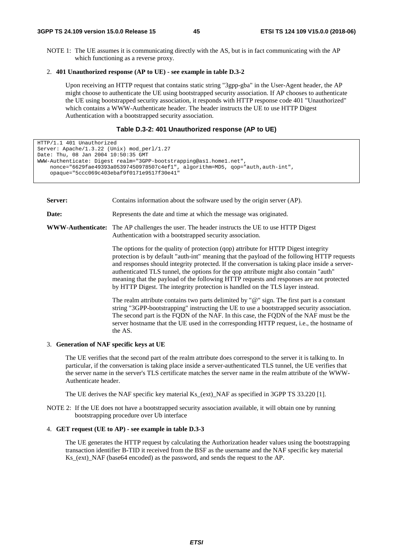NOTE 1: The UE assumes it is communicating directly with the AS, but is in fact communicating with the AP which functioning as a reverse proxy.

### 2. **401 Unauthorized response (AP to UE) - see example in table D.3-2**

 Upon receiving an HTTP request that contains static string "3gpp-gba" in the User-Agent header, the AP might choose to authenticate the UE using bootstrapped security association. If AP chooses to authenticate the UE using bootstrapped security association, it responds with HTTP response code 401 "Unauthorized" which contains a WWW-Authenticate header. The header instructs the UE to use HTTP Digest Authentication with a bootstrapped security association.

#### **Table D.3-2: 401 Unauthorized response (AP to UE)**

```
HTTP/1.1 401 Unauthorized 
Server: Apache/1.3.22 (Unix) mod_perl/1.27 
Date: Thu, 08 Jan 2004 10:50:35 GMT 
WWW-Authenticate: Digest realm="3GPP-bootstrapping@as1.home1.net", 
    nonce="6629fae49393a05397450978507c4ef1", algorithm=MD5, qop="auth,auth-int", 
    opaque="5ccc069c403ebaf9f0171e9517f30e41"
```
**Server:** Contains information about the software used by the origin server (AP).

### **Date:** Represents the date and time at which the message was originated.

**WWW-Authenticate:** The AP challenges the user. The header instructs the UE to use HTTP Digest Authentication with a bootstrapped security association.

> The options for the quality of protection (qop) attribute for HTTP Digest integrity protection is by default "auth-int" meaning that the payload of the following HTTP requests and responses should integrity protected. If the conversation is taking place inside a serverauthenticated TLS tunnel, the options for the qop attribute might also contain "auth" meaning that the payload of the following HTTP requests and responses are not protected by HTTP Digest. The integrity protection is handled on the TLS layer instead.

> The realm attribute contains two parts delimited by "@" sign. The first part is a constant string "3GPP-bootstrapping" instructing the UE to use a bootstrapped security association. The second part is the FQDN of the NAF. In this case, the FQDN of the NAF must be the server hostname that the UE used in the corresponding HTTP request, i.e., the hostname of the AS.

#### 3. **Generation of NAF specific keys at UE**

 The UE verifies that the second part of the realm attribute does correspond to the server it is talking to. In particular, if the conversation is taking place inside a server-authenticated TLS tunnel, the UE verifies that the server name in the server's TLS certificate matches the server name in the realm attribute of the WWW-Authenticate header.

The UE derives the NAF specific key material Ks\_(ext)\_NAF as specified in 3GPP TS 33.220 [1].

NOTE 2: If the UE does not have a bootstrapped security association available, it will obtain one by running bootstrapping procedure over Ub interface

#### 4. **GET request (UE to AP) - see example in table D.3-3**

 The UE generates the HTTP request by calculating the Authorization header values using the bootstrapping transaction identifier B**-**TID it received from the BSF as the username and the NAF specific key material Ks (ext) NAF (base64 encoded) as the password, and sends the request to the AP.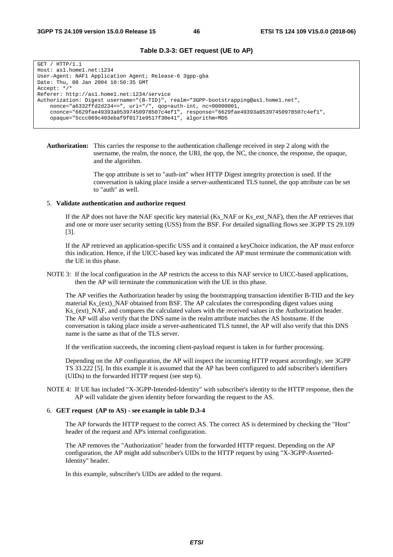### **Table D.3-3: GET request (UE to AP)**

```
GET / HTTP/1.1 
Host: as1.home1.net:1234 
User-Agent: NAF1 Application Agent; Release-6 3gpp-gba 
Date: Thu, 08 Jan 2004 10:50:35 GMT 
Accept: */* 
Referer: http://as1.home1.net:1234/service 
Authorization: Digest username="(B-TID)", realm="3GPP-bootstrapping@as1.home1.net", 
    nonce="a6332ffd2d234==", uri="/", qop=auth-int, nc=00000001, 
    cnonce="6629fae49393a05397450978507c4ef1", response="6629fae49393a05397450978507c4ef1", 
    opaque="5ccc069c403ebaf9f0171e9517f30e41", algorithm=MD5
```
**Authorization:** This carries the response to the authentication challenge received in step 2 along with the username, the realm, the nonce, the URI, the qop, the NC, the cnonce, the response, the opaque, and the algorithm.

> The qop attribute is set to "auth-int" when HTTP Digest integrity protection is used. If the conversation is taking place inside a server-authenticated TLS tunnel, the qop attribute can be set to "auth" as well.

#### 5. **Validate authentication and authorize request**

If the AP does not have the NAF specific key material (Ks NAF or Ks ext NAF), then the AP retrieves that and one or more user security setting (USS) from the BSF. For detailed signalling flows see 3GPP TS 29.109 [3].

 If the AP retrieved an application-specific USS and it contained a keyChoice indication, the AP must enforce this indication. Hence, if the UICC-based key was indicated the AP must terminate the communication with the UE in this phase.

NOTE 3: If the local configuration in the AP restricts the access to this NAF service to UICC-based applications, then the AP will terminate the communication with the UE in this phase.

 The AP verifies the Authorization header by using the bootstrapping transaction identifier B-TID and the key material Ks\_(ext)\_NAF obtained from BSF. The AP calculates the corresponding digest values using Ks\_(ext)\_NAF, and compares the calculated values with the received values in the Authorization header. The AP will also verify that the DNS name in the realm attribute matches the AS hostname. If the conversation is taking place inside a server-authenticated TLS tunnel, the AP will also verify that this DNS name is the same as that of the TLS server.

If the verification succeeds, the incoming client-payload request is taken in for further processing.

 Depending on the AP configuration, the AP will inspect the incoming HTTP request accordingly, see 3GPP TS 33.222 [5]. In this example it is assumed that the AP has been configured to add subscriber's identifiers (UIDs) to the forwarded HTTP request (see step 6).

NOTE 4: If UE has included "X-3GPP-Intended-Identity" with subscriber's identity to the HTTP response, then the AP will validate the given identity before forwarding the request to the AS.

### 6. **GET request (AP to AS) - see example in table D.3-4**

 The AP forwards the HTTP request to the correct AS. The correct AS is determined by checking the "Host" header of the request and AP's internal configuration.

 The AP removes the "Authorization" header from the forwarded HTTP request. Depending on the AP configuration, the AP might add subscriber's UIDs to the HTTP request by using "X-3GPP-Asserted-Identity" header.

In this example, subscriber's UIDs are added to the request.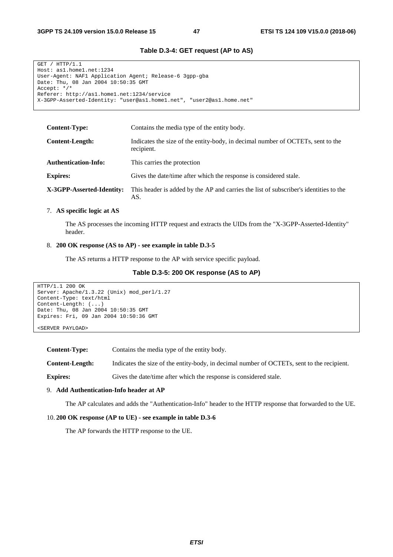#### **Table D.3-4: GET request (AP to AS)**

GET / HTTP/1.1 Host: as1.home1.net:1234 User-Agent: NAF1 Application Agent; Release-6 3gpp-gba Date: Thu, 08 Jan 2004 10:50:35 GMT Accept: \*/\* Referer: http://as1.home1.net:1234/service X-3GPP-Asserted-Identity: "user@as1.home1.net", "user2@as1.home.net"

| <b>Content-Type:</b>        | Contains the media type of the entity body.                                                   |
|-----------------------------|-----------------------------------------------------------------------------------------------|
| <b>Content-Length:</b>      | Indicates the size of the entity-body, in decimal number of OCTETs, sent to the<br>recipient. |
| <b>Authentication-Info:</b> | This carries the protection                                                                   |
| <b>Expires:</b>             | Gives the date/time after which the response is considered stale.                             |
| X-3GPP-Asserted-Identity:   | This header is added by the AP and carries the list of subscriber's identities to the<br>AS.  |

#### 7. **AS specific logic at AS**

 The AS processes the incoming HTTP request and extracts the UIDs from the "X-3GPP-Asserted-Identity" header.

#### 8. **200 OK response (AS to AP) - see example in table D.3-5**

The AS returns a HTTP response to the AP with service specific payload.

```
Table D.3-5: 200 OK response (AS to AP)
```

```
HTTP/1.1 200 OK 
Server: Apache/1.3.22 (Unix) mod_perl/1.27 
Content-Type: text/html 
Content-Length: (...) 
Date: Thu, 08 Jan 2004 10:50:35 GMT 
Expires: Fri, 09 Jan 2004 10:50:36 GMT
```
<SERVER PAYLOAD>

**Content-Type:** Contains the media type of the entity body.

**Content-Length:** Indicates the size of the entity-body, in decimal number of OCTETs, sent to the recipient.

**Expires:** Gives the date/time after which the response is considered stale.

### 9. **Add Authentication-Info header at AP**

The AP calculates and adds the "Authentication-Info" header to the HTTP response that forwarded to the UE.

### 10. **200 OK response (AP to UE) - see example in table D.3-6**

The AP forwards the HTTP response to the UE.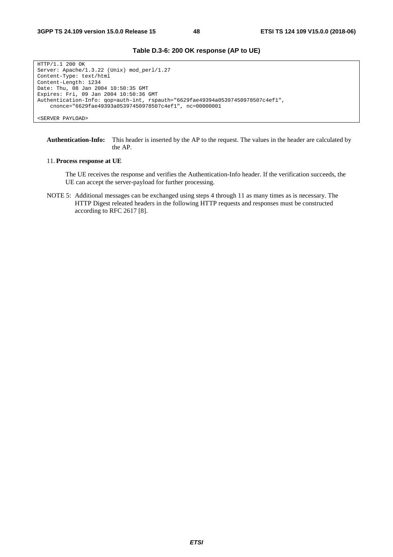## **Table D.3-6: 200 OK response (AP to UE)**

HTTP/1.1 200 OK Server: Apache/1.3.22 (Unix) mod\_perl/1.27 Content-Type: text/html Content-Length: 1234 Date: Thu, 08 Jan 2004 10:50:35 GMT Expires: Fri, 09 Jan 2004 10:50:36 GMT Authentication-Info: qop=auth-int, rspauth="6629fae49394a05397450978507c4ef1", cnonce="6629fae49393a05397450978507c4ef1", nc=00000001

**Authentication-Info:** This header is inserted by the AP to the request. The values in the header are calculated by the AP.

#### 11. **Process response at UE**

 The UE receives the response and verifies the Authentication-Info header. If the verification succeeds, the UE can accept the server-payload for further processing.

NOTE 5: Additional messages can be exchanged using steps 4 through 11 as many times as is necessary. The HTTP Digest releated headers in the following HTTP requests and responses must be constructed according to RFC 2617 [8].

<sup>&</sup>lt;SERVER PAYLOAD>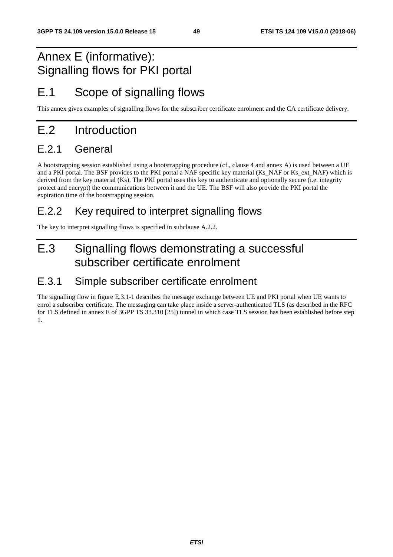# Annex E (informative): Signalling flows for PKI portal

# E.1 Scope of signalling flows

This annex gives examples of signalling flows for the subscriber certificate enrolment and the CA certificate delivery.

# E.2 Introduction

# E.2.1 General

A bootstrapping session established using a bootstrapping procedure (cf., clause 4 and annex A) is used between a UE and a PKI portal. The BSF provides to the PKI portal a NAF specific key material (Ks\_NAF or Ks\_ext\_NAF) which is derived from the key material (Ks). The PKI portal uses this key to authenticate and optionally secure (i.e. integrity protect and encrypt) the communications between it and the UE. The BSF will also provide the PKI portal the expiration time of the bootstrapping session.

# E.2.2 Key required to interpret signalling flows

The key to interpret signalling flows is specified in subclause A.2.2.

# E.3 Signalling flows demonstrating a successful subscriber certificate enrolment

# E.3.1 Simple subscriber certificate enrolment

The signalling flow in figure E.3.1-1 describes the message exchange between UE and PKI portal when UE wants to enrol a subscriber certificate. The messaging can take place inside a server-authenticated TLS (as described in the RFC for TLS defined in annex E of 3GPP TS 33.310 [25]) tunnel in which case TLS session has been established before step 1.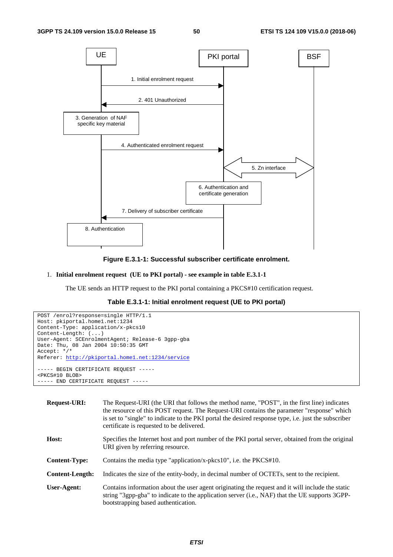

**Figure E.3.1-1: Successful subscriber certificate enrolment.** 

#### 1. **Initial enrolment request (UE to PKI portal) - see example in table E.3.1-1**

The UE sends an HTTP request to the PKI portal containing a PKCS#10 certification request.

### **Table E.3.1-1: Initial enrolment request (UE to PKI portal)**

```
POST /enrol?response=single HTTP/1.1 
Host: pkiportal.home1.net:1234 
Content-Type: application/x-pkcs10 
Content-Length: (...) 
User-Agent: SCEnrolmentAgent; Release-6 3gpp-gba 
Date: Thu, 08 Jan 2004 10:50:35 GMT 
Accept: */* 
Referer: http://pkiportal.home1.net:1234/service
 ----- BEGIN CERTIFICATE REQUEST ----- 
<PKCS#10 BLOB> 
----- END CERTIFICATE REQUEST -----
```

| <b>Request-URI:</b>    | The Request-URI (the URI that follows the method name, "POST", in the first line) indicates<br>the resource of this POST request. The Request-URI contains the parameter "response" which<br>is set to "single" to indicate to the PKI portal the desired response type, i.e. just the subscriber<br>certificate is requested to be delivered. |  |
|------------------------|------------------------------------------------------------------------------------------------------------------------------------------------------------------------------------------------------------------------------------------------------------------------------------------------------------------------------------------------|--|
| Host:                  | Specifies the Internet host and port number of the PKI portal server, obtained from the original<br>URI given by referring resource.                                                                                                                                                                                                           |  |
| <b>Content-Type:</b>   | Contains the media type "application/x-pkcs10", i.e. the $PKCS#10$ .                                                                                                                                                                                                                                                                           |  |
| <b>Content-Length:</b> | Indicates the size of the entity-body, in decimal number of OCTETs, sent to the recipient.                                                                                                                                                                                                                                                     |  |
| User-Agent:            | Contains information about the user agent originating the request and it will include the static<br>string "3gpp-gba" to indicate to the application server (i.e., NAF) that the UE supports 3GPP-<br>bootstrapping based authentication.                                                                                                      |  |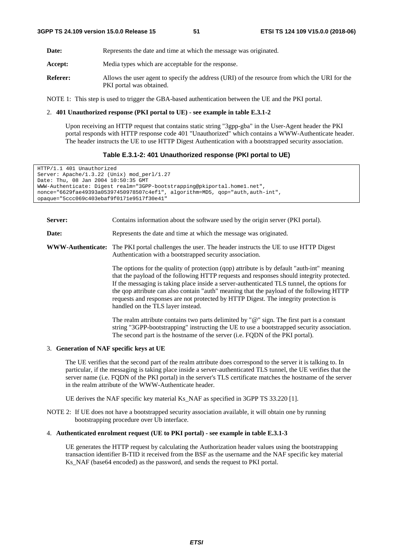**Date:** Represents the date and time at which the message was originated.

Accept: Media types which are acceptable for the response.

**Referer:** Allows the user agent to specify the address (URI) of the resource from which the URI for the PKI portal was obtained.

NOTE 1: This step is used to trigger the GBA-based authentication between the UE and the PKI portal.

#### 2. **401 Unauthorized response (PKI portal to UE) - see example in table E.3.1-2**

 Upon receiving an HTTP request that contains static string "3gpp-gba" in the User-Agent header the PKI portal responds with HTTP response code 401 "Unauthorized" which contains a WWW-Authenticate header. The header instructs the UE to use HTTP Digest Authentication with a bootstrapped security association.

#### **Table E.3.1-2: 401 Unauthorized response (PKI portal to UE)**

| HTTP/1.1 401 Unauthorized                                                     |
|-------------------------------------------------------------------------------|
| Server: $A$ pache/1.3.22 (Unix) mod per $1/1.27$                              |
| Date: Thu, 08 Jan 2004 10:50:35 GMT                                           |
| WWW-Authenticate: Digest realm="3GPP-bootstrapping@pkiportal.home1.net",      |
| nonce="6629fae49393a05397450978507c4ef1", algorithm=MD5, gop="auth,auth-int", |
| opaque="5ccc069c403ebaf9f0171e9517f30e41"                                     |

**Server:** Contains information about the software used by the origin server (PKI portal).

**Date:** Represents the date and time at which the message was originated.

#### **WWW-Authenticate:** The PKI portal challenges the user. The header instructs the UE to use HTTP Digest Authentication with a bootstrapped security association.

 The options for the quality of protection (qop) attribute is by default "auth-int" meaning that the payload of the following HTTP requests and responses should integrity protected. If the messaging is taking place inside a server-authenticated TLS tunnel, the options for the qop attribute can also contain "auth" meaning that the payload of the following HTTP requests and responses are not protected by HTTP Digest. The integrity protection is handled on the TLS layer instead.

 The realm attribute contains two parts delimited by "@" sign. The first part is a constant string "3GPP-bootstrapping" instructing the UE to use a bootstrapped security association. The second part is the hostname of the server (i.e. FQDN of the PKI portal).

#### 3. **Generation of NAF specific keys at UE**

 The UE verifies that the second part of the realm attribute does correspond to the server it is talking to. In particular, if the messaging is taking place inside a server-authenticated TLS tunnel, the UE verifies that the server name (i.e. FQDN of the PKI portal) in the server's TLS certificate matches the hostname of the server in the realm attribute of the WWW-Authenticate header.

UE derives the NAF specific key material Ks\_NAF as specified in 3GPP TS 33.220 [1].

NOTE 2: If UE does not have a bootstrapped security association available, it will obtain one by running bootstrapping procedure over Ub interface.

## 4. **Authenticated enrolment request (UE to PKI portal) - see example in table E.3.1-3**

 UE generates the HTTP request by calculating the Authorization header values using the bootstrapping transaction identifier B**-**TID it received from the BSF as the username and the NAF specific key material Ks NAF (base64 encoded) as the password, and sends the request to PKI portal.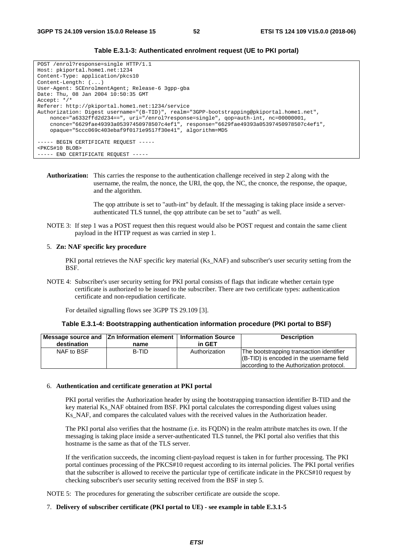```
POST /enrol?response=single HTTP/1.1 
Host: pkiportal.home1.net:1234 
Content-Type: application/pkcs10 
Content-Length: (...) 
User-Agent: SCEnrolmentAgent; Release-6 3gpp-gba 
Date: Thu, 08 Jan 2004 10:50:35 GMT 
Accept: */* 
Referer: http://pkiportal.home1.net:1234/service 
Authorization: Digest username="(B-TID)", realm="3GPP-bootstrapping@pkiportal.home1.net", 
    nonce="a6332ffd2d234==", uri="/enrol?response=single", qop=auth-int, nc=00000001, 
    cnonce="6629fae49393a05397450978507c4ef1", response="6629fae49393a05397450978507c4ef1", 
    opaque="5ccc069c403ebaf9f0171e9517f30e41", algorithm=MD5 
----- BEGIN CERTIFICATE REQUEST -----
<PKCS#10 BLOB> 
 ----- END CERTIFICATE REQUEST -----
```
**Table E.3.1-3: Authenticated enrolment request (UE to PKI portal)** 

**Authorization:** This carries the response to the authentication challenge received in step 2 along with the username, the realm, the nonce, the URI, the qop, the NC, the cnonce, the response, the opaque, and the algorithm.

> The qop attribute is set to "auth-int" by default. If the messaging is taking place inside a serverauthenticated TLS tunnel, the qop attribute can be set to "auth" as well.

NOTE 3: If step 1 was a POST request then this request would also be POST request and contain the same client payload in the HTTP request as was carried in step 1.

#### 5. **Zn: NAF specific key procedure**

PKI portal retrieves the NAF specific key material (Ks\_NAF) and subscriber's user security setting from the BSF.

NOTE 4: Subscriber's user security setting for PKI portal consists of flags that indicate whether certain type certificate is authorized to be issued to the subscriber. There are two certificate types: authentication certificate and non-repudiation certificate.

For detailed signalling flows see 3GPP TS 29.109 [3].

## **Table E.3.1-4: Bootstrapping authentication information procedure (PKI portal to BSF)**

| destination | Message source and  Zn Information element   Information Source<br>name | in GET        | <b>Description</b>                                                                                                               |
|-------------|-------------------------------------------------------------------------|---------------|----------------------------------------------------------------------------------------------------------------------------------|
| NAF to BSF  | B-TID                                                                   | Authorization | The bootstrapping transaction identifier<br>(B-TID) is encoded in the username field<br>according to the Authorization protocol. |

#### 6. **Authentication and certificate generation at PKI portal**

 PKI portal verifies the Authorization header by using the bootstrapping transaction identifier B-TID and the key material Ks\_NAF obtained from BSF. PKI portal calculates the corresponding digest values using Ks\_NAF, and compares the calculated values with the received values in the Authorization header.

 The PKI portal also verifies that the hostname (i.e. its FQDN) in the realm attribute matches its own. If the messaging is taking place inside a server-authenticated TLS tunnel, the PKI portal also verifies that this hostname is the same as that of the TLS server.

 If the verification succeeds, the incoming client-payload request is taken in for further processing. The PKI portal continues processing of the PKCS#10 request according to its internal policies. The PKI portal verifies that the subscriber is allowed to receive the particular type of certificate indicate in the PKCS#10 request by checking subscriber's user security setting received from the BSF in step 5.

NOTE 5: The procedures for generating the subscriber certificate are outside the scope.

#### 7. **Delivery of subscriber certificate (PKI portal to UE) - see example in table E.3.1-5**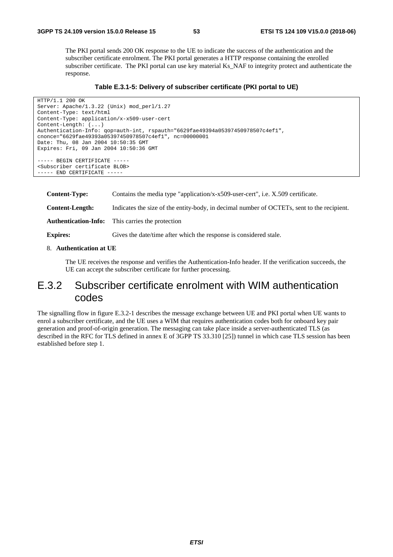The PKI portal sends 200 OK response to the UE to indicate the success of the authentication and the subscriber certificate enrolment. The PKI portal generates a HTTP response containing the enrolled subscriber certificate. The PKI portal can use key material Ks\_NAF to integrity protect and authenticate the response.

**Table E.3.1-5: Delivery of subscriber certificate (PKI portal to UE)** 

```
HTTP/1.1 200 OK 
Server: Apache/1.3.22 (Unix) mod_perl/1.27 
Content-Type: text/html 
Content-Type: application/x-x509-user-cert 
Content-Length: (...) 
Authentication-Info: qop=auth-int, rspauth="6629fae49394a05397450978507c4ef1", 
cnonce="6629fae49393a05397450978507c4ef1", nc=00000001 
Date: Thu, 08 Jan 2004 10:50:35 GMT 
Expires: Fri, 09 Jan 2004 10:50:36 GMT 
----- BEGIN CERTIFICATE ----- 
<Subscriber certificate BLOB> 
----- END CERTIFICATE -----
```

| <b>Content-Type:</b>        | Contains the media type "application/x-x509-user-cert", i.e. X.509 certificate.            |
|-----------------------------|--------------------------------------------------------------------------------------------|
| <b>Content-Length:</b>      | Indicates the size of the entity-body, in decimal number of OCTETs, sent to the recipient. |
| <b>Authentication-Info:</b> | This carries the protection                                                                |
| <b>Expires:</b>             | Gives the date/time after which the response is considered stale.                          |

#### 8. **Authentication at UE**

 The UE receives the response and verifies the Authentication-Info header. If the verification succeeds, the UE can accept the subscriber certificate for further processing.

## E.3.2 Subscriber certificate enrolment with WIM authentication codes

The signalling flow in figure E.3.2-1 describes the message exchange between UE and PKI portal when UE wants to enrol a subscriber certificate, and the UE uses a WIM that requires authentication codes both for onboard key pair generation and proof-of-origin generation. The messaging can take place inside a server-authenticated TLS (as described in the RFC for TLS defined in annex E of 3GPP TS 33.310 [25]) tunnel in which case TLS session has been established before step 1.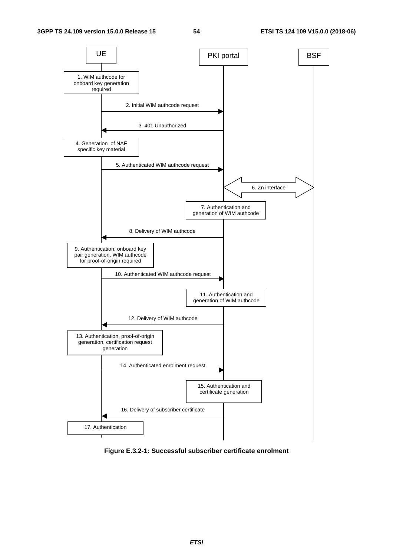

**Figure E.3.2-1: Successful subscriber certificate enrolment**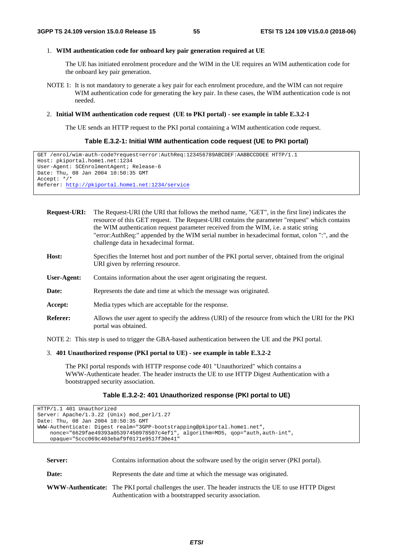## 1. **WIM authentication code for onboard key pair generation required at UE**

 The UE has initiated enrolment procedure and the WIM in the UE requires an WIM authentication code for the onboard key pair generation.

NOTE 1: It is not mandatory to generate a key pair for each enrolment procedure, and the WIM can not require WIM authentication code for generating the key pair. In these cases, the WIM authentication code is not needed.

## 2. **Initial WIM authentication code request (UE to PKI portal) - see example in table E.3.2-1**

The UE sends an HTTP request to the PKI portal containing a WIM authentication code request.

## **Table E.3.2-1: Initial WIM authentication code request (UE to PKI portal)**

GET /enrol/wim-auth-code?request=error:AuthReq:123456789ABCDEF:AABBCCDDEE HTTP/1.1 Host: pkiportal.home1.net:1234 User-Agent: SCEnrolmentAgent; Release-6 Date: Thu, 08 Jan 2004 10:50:35 GMT Accept: \*/\* Referer: http://pkiportal.home1.net:1234/service

| <b>Request-URI:</b> | The Request-URI (the URI that follows the method name, "GET", in the first line) indicates the<br>resource of this GET request. The Request-URI contains the parameter "request" which contains<br>the WIM authentication request parameter received from the WIM, i.e. a static string<br>"error: AuthReq:" appended by the WIM serial number in hexadecimal format, colon ":", and the<br>challenge data in hexadecimal format. |
|---------------------|-----------------------------------------------------------------------------------------------------------------------------------------------------------------------------------------------------------------------------------------------------------------------------------------------------------------------------------------------------------------------------------------------------------------------------------|
| Host:               | Specifies the Internet host and port number of the PKI portal server, obtained from the original<br>URI given by referring resource.                                                                                                                                                                                                                                                                                              |
| User-Agent:         | Contains information about the user agent originating the request.                                                                                                                                                                                                                                                                                                                                                                |
| Date:               | Represents the date and time at which the message was originated.                                                                                                                                                                                                                                                                                                                                                                 |
| Accept:             | Media types which are acceptable for the response.                                                                                                                                                                                                                                                                                                                                                                                |
| <b>Referer:</b>     | Allows the user agent to specify the address (URI) of the resource from which the URI for the PKI<br>portal was obtained.                                                                                                                                                                                                                                                                                                         |
|                     | $\mathbf{r}$ , and the set of the set of the set of the set of the set of the set of the set of the set of the set of the set of the set of the set of the set of the set of the set of the set of the set of the set of the set                                                                                                                                                                                                  |

NOTE 2: This step is used to trigger the GBA-based authentication between the UE and the PKI portal.

## 3. **401 Unauthorized response (PKI portal to UE) - see example in table E.3.2-2**

 The PKI portal responds with HTTP response code 401 "Unauthorized" which contains a WWW-Authenticate header. The header instructs the UE to use HTTP Digest Authentication with a bootstrapped security association.

## **Table E.3.2-2: 401 Unauthorized response (PKI portal to UE)**

```
HTTP/1.1 401 Unauthorized 
Server: Apache/1.3.22 (Unix) mod_perl/1.27 
Date: Thu, 08 Jan 2004 10:50:35 GMT 
WWW-Authenticate: Digest realm="3GPP-bootstrapping@pkiportal.home1.net", 
    nonce="6629fae49393a05397450978507c4ef1", algorithm=MD5, qop="auth,auth-int", 
    opaque="5ccc069c403ebaf9f0171e9517f30e41"
```

| Server: | Contains information about the software used by the origin server (PKI portal).                                                                                         |
|---------|-------------------------------------------------------------------------------------------------------------------------------------------------------------------------|
| Date:   | Represents the date and time at which the message was originated.                                                                                                       |
|         | <b>WWW-Authenticate:</b> The PKI portal challenges the user. The header instructs the UE to use HTTP Digest<br>Authentication with a bootstrapped security association. |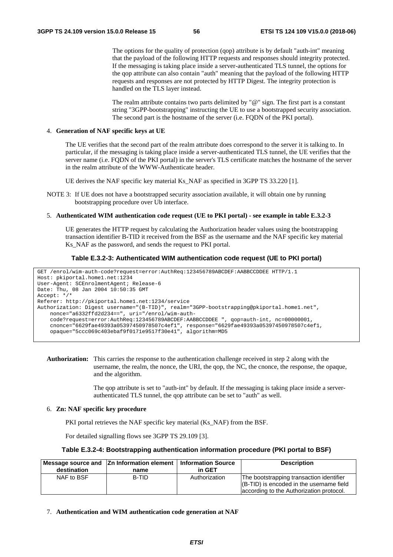The options for the quality of protection (qop) attribute is by default "auth-int" meaning that the payload of the following HTTP requests and responses should integrity protected. If the messaging is taking place inside a server-authenticated TLS tunnel, the options for the qop attribute can also contain "auth" meaning that the payload of the following HTTP requests and responses are not protected by HTTP Digest. The integrity protection is handled on the TLS layer instead.

The realm attribute contains two parts delimited by "@" sign. The first part is a constant string "3GPP-bootstrapping" instructing the UE to use a bootstrapped security association. The second part is the hostname of the server (i.e. FQDN of the PKI portal).

#### 4. **Generation of NAF specific keys at UE**

 The UE verifies that the second part of the realm attribute does correspond to the server it is talking to. In particular, if the messaging is taking place inside a server-authenticated TLS tunnel, the UE verifies that the server name (i.e. FQDN of the PKI portal) in the server's TLS certificate matches the hostname of the server in the realm attribute of the WWW-Authenticate header.

UE derives the NAF specific key material Ks\_NAF as specified in 3GPP TS 33.220 [1].

#### 5. **Authenticated WIM authentication code request (UE to PKI portal) - see example in table E.3.2-3**

 UE generates the HTTP request by calculating the Authorization header values using the bootstrapping transaction identifier B**-**TID it received from the BSF as the username and the NAF specific key material Ks NAF as the password, and sends the request to PKI portal.

### **Table E.3.2-3: Authenticated WIM authentication code request (UE to PKI portal)**

```
GET /enrol/wim-auth-code?request=error:AuthReq:123456789ABCDEF:AABBCCDDEE HTTP/1.1 
Host: pkiportal.home1.net:1234 
User-Agent: SCEnrolmentAgent; Release-6 
Date: Thu, 08 Jan 2004 10:50:35 GMT 
Accept: */* 
Referer: http://pkiportal.home1.net:1234/service 
Authorization: Digest username="(B-TID)", realm="3GPP-bootstrapping@pkiportal.home1.net", 
   nonce="a6332ffd2d234==", uri="/enrol/wim-auth-
    code?request=error:AuthReq:123456789ABCDEF:AABBCCDDEE ", qop=auth-int, nc=00000001, 
    cnonce="6629fae49393a05397450978507c4ef1", response="6629fae49393a05397450978507c4ef1, 
    opaque="5ccc069c403ebaf9f0171e9517f30e41", algorithm=MD5
```
#### **Authorization:** This carries the response to the authentication challenge received in step 2 along with the username, the realm, the nonce, the URI, the qop, the NC, the cnonce, the response, the opaque, and the algorithm.

The gop attribute is set to "auth-int" by default. If the messaging is taking place inside a serverauthenticated TLS tunnel, the qop attribute can be set to "auth" as well.

### 6. **Zn: NAF specific key procedure**

PKI portal retrieves the NAF specific key material (Ks\_NAF) from the BSF.

For detailed signalling flows see 3GPP TS 29.109 [3].

#### **Table E.3.2-4: Bootstrapping authentication information procedure (PKI portal to BSF)**

| destination | Message source and  Zn Information element   Information Source<br>name | in GET        | <b>Description</b>                                                                                                               |
|-------------|-------------------------------------------------------------------------|---------------|----------------------------------------------------------------------------------------------------------------------------------|
| NAF to BSF  | B-TID                                                                   | Authorization | The bootstrapping transaction identifier<br>(B-TID) is encoded in the username field<br>according to the Authorization protocol. |

7. **Authentication and WIM authentication code generation at NAF** 

NOTE 3: If UE does not have a bootstrapped security association available, it will obtain one by running bootstrapping procedure over Ub interface.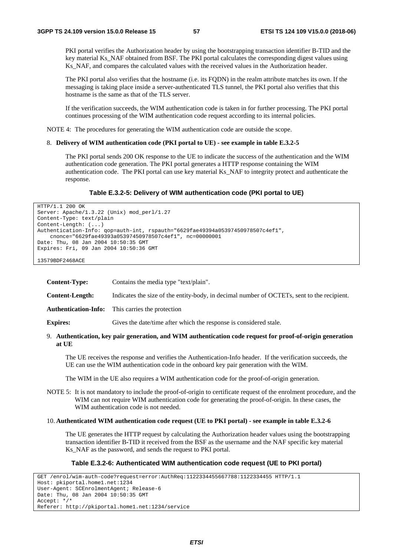PKI portal verifies the Authorization header by using the bootstrapping transaction identifier B-TID and the key material Ks\_NAF obtained from BSF. The PKI portal calculates the corresponding digest values using Ks\_NAF, and compares the calculated values with the received values in the Authorization header.

 The PKI portal also verifies that the hostname (i.e. its FQDN) in the realm attribute matches its own. If the messaging is taking place inside a server-authenticated TLS tunnel, the PKI portal also verifies that this hostname is the same as that of the TLS server.

 If the verification succeeds, the WIM authentication code is taken in for further processing. The PKI portal continues processing of the WIM authentication code request according to its internal policies.

NOTE 4: The procedures for generating the WIM authentication code are outside the scope.

#### 8. **Delivery of WIM authentication code (PKI portal to UE) - see example in table E.3.2-5**

 The PKI portal sends 200 OK response to the UE to indicate the success of the authentication and the WIM authentication code generation. The PKI portal generates a HTTP response containing the WIM authentication code. The PKI portal can use key material Ks\_NAF to integrity protect and authenticate the response.

#### **Table E.3.2-5: Delivery of WIM authentication code (PKI portal to UE)**

```
HTTP/1.1 200 OK 
Server: Apache/1.3.22 (Unix) mod_perl/1.27 
Content-Type: text/plain 
Content-Length: (...) 
Authentication-Info: qop=auth-int, rspauth="6629fae49394a05397450978507c4ef1", 
   cnonce="6629fae49393a05397450978507c4ef1", nc=00000001 
Date: Thu, 08 Jan 2004 10:50:35 GMT 
Expires: Fri, 09 Jan 2004 10:50:36 GMT
```
13579BDF2468ACE

| <b>Content-Type:</b>        | Contains the media type "text/plain".                                                      |
|-----------------------------|--------------------------------------------------------------------------------------------|
| <b>Content-Length:</b>      | Indicates the size of the entity-body, in decimal number of OCTETs, sent to the recipient. |
| <b>Authentication-Info:</b> | This carries the protection                                                                |
| <b>Expires:</b>             | Gives the date/time after which the response is considered stale.                          |

### 9. **Authentication, key pair generation, and WIM authentication code request for proof-of-origin generation at UE**

 The UE receives the response and verifies the Authentication-Info header. If the verification succeeds, the UE can use the WIM authentication code in the onboard key pair generation with the WIM.

The WIM in the UE also requires a WIM authentication code for the proof-of-origin generation.

NOTE 5: It is not mandatory to include the proof-of-origin to certificate request of the enrolment procedure, and the WIM can not require WIM authentication code for generating the proof-of-origin. In these cases, the WIM authentication code is not needed.

#### 10. **Authenticated WIM authentication code request (UE to PKI portal) - see example in table E.3.2-6**

 The UE generates the HTTP request by calculating the Authorization header values using the bootstrapping transaction identifier B**-**TID it received from the BSF as the username and the NAF specific key material Ks\_NAF as the password, and sends the request to PKI portal.

#### **Table E.3.2-6: Authenticated WIM authentication code request (UE to PKI portal)**

```
GET /enrol/wim-auth-code?request=error:AuthReq:1122334455667788:1122334455 HTTP/1.1 
Host: pkiportal.home1.net:1234 
User-Agent: SCEnrolmentAgent; Release-6 
Date: Thu, 08 Jan 2004 10:50:35 GMT 
Accept: */* 
Referer: http://pkiportal.home1.net:1234/service
```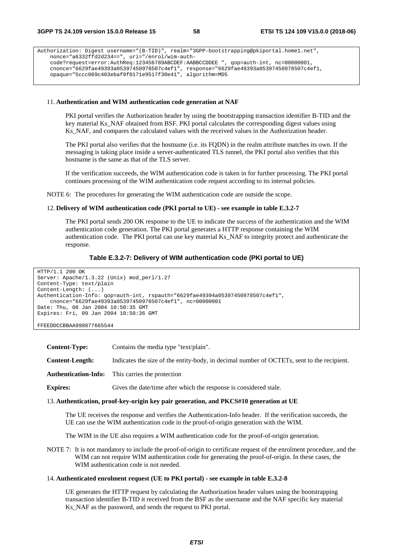```
Authorization: Digest username="(B-TID)", realm="3GPP-bootstrapping@pkiportal.home1.net", 
   nonce="a6332ffd2d234==", uri="/enrol/wim-auth-
   code?request=error:AuthReq:123456789ABCDEF:AABBCCDDEE ", qop=auth-int, nc=00000001, 
   cnonce="6629fae49393a05397450978507c4ef1", response="6629fae49393a05397450978507c4ef1, 
   opaque="5ccc069c403ebaf9f0171e9517f30e41", algorithm=MD5
```
#### 11. **Authentication and WIM authentication code generation at NAF**

 PKI portal verifies the Authorization header by using the bootstrapping transaction identifier B-TID and the key material Ks\_NAF obtained from BSF. PKI portal calculates the corresponding digest values using Ks NAF, and compares the calculated values with the received values in the Authorization header.

 The PKI portal also verifies that the hostname (i.e. its FQDN) in the realm attribute matches its own. If the messaging is taking place inside a server-authenticated TLS tunnel, the PKI portal also verifies that this hostname is the same as that of the TLS server.

 If the verification succeeds, the WIM authentication code is taken in for further processing. The PKI portal continues processing of the WIM authentication code request according to its internal policies.

NOTE 6: The procedures for generating the WIM authentication code are outside the scope.

### 12. **Delivery of WIM authentication code (PKI portal to UE) - see example in table E.3.2-7**

 The PKI portal sends 200 OK response to the UE to indicate the success of the authentication and the WIM authentication code generation. The PKI portal generates a HTTP response containing the WIM authentication code. The PKI portal can use key material Ks\_NAF to integrity protect and authenticate the response.

### **Table E.3.2-7: Delivery of WIM authentication code (PKI portal to UE)**

```
HTTP/1.1 200 OK 
Server: Apache/1.3.22 (Unix) mod_perl/1.27 
Content-Type: text/plain 
Content-Length: (...) 
Authentication-Info: qop=auth-int, rspauth="6629fae49394a05397450978507c4ef1", 
    cnonce="6629fae49393a05397450978507c4ef1", nc=00000001 
Date: Thu, 08 Jan 2004 10:50:35 GMT 
Expires: Fri, 09 Jan 2004 10:50:36 GMT 
FFEEDDCCBBAA998877665544
```
**Content-Type:** Contains the media type "text/plain". **Content-Length:** Indicates the size of the entity-body, in decimal number of OCTETs, sent to the recipient. **Authentication-Info:** This carries the protection **Expires:** Gives the date/time after which the response is considered stale.

#### 13. **Authentication, proof-key-origin key pair generation, and PKCS#10 generation at UE**

 The UE receives the response and verifies the Authentication-Info header. If the verification succeeds, the UE can use the WIM authentication code in the proof-of-origin generation with the WIM.

The WIM in the UE also requires a WIM authentication code for the proof-of-origin generation.

NOTE 7: It is not mandatory to include the proof-of-origin to certificate request of the enrolment procedure, and the WIM can not require WIM authentication code for generating the proof-of-origin. In these cases, the WIM authentication code is not needed.

#### 14. **Authenticated enrolment request (UE to PKI portal) - see example in table E.3.2-8**

 UE generates the HTTP request by calculating the Authorization header values using the bootstrapping transaction identifier B**-**TID it received from the BSF as the username and the NAF specific key material Ks\_NAF as the password, and sends the request to PKI portal.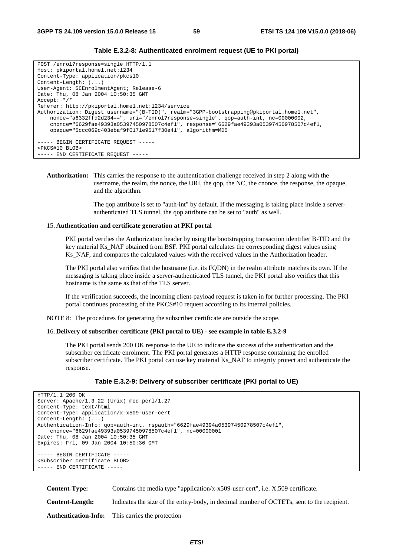```
POST /enrol?response=single HTTP/1.1 
Host: pkiportal.home1.net:1234 
Content-Type: application/pkcs10 
Content-Length: (...) 
User-Agent: SCEnrolmentAgent; Release-6 
Date: Thu, 08 Jan 2004 10:50:35 GMT 
Accept: */* 
Referer: http://pkiportal.home1.net:1234/service 
Authorization: Digest username="(B-TID)", realm="3GPP-bootstrapping@pkiportal.home1.net", 
    nonce="a6332ffd2d234==", uri="/enrol?response=single", qop=auth-int, nc=00000002, 
    cnonce="6629fae49393a05397450978507c4ef1", response="6629fae49393a05397450978507c4ef1, 
    opaque="5ccc069c403ebaf9f0171e9517f30e41", algorithm=MD5 
----- BEGIN CERTIFICATE REQUEST -----
<PKCS#10 BLOB> 
----- END CERTIFICATE REQUEST -----
```
### **Table E.3.2-8: Authenticated enrolment request (UE to PKI portal)**

```
Authorization: This carries the response to the authentication challenge received in step 2 along with the 
                 username, the realm, the nonce, the URI, the qop, the NC, the cnonce, the response, the opaque, 
                 and the algorithm.
```
The qop attribute is set to "auth-int" by default. If the messaging is taking place inside a serverauthenticated TLS tunnel, the qop attribute can be set to "auth" as well.

#### 15. **Authentication and certificate generation at PKI portal**

 PKI portal verifies the Authorization header by using the bootstrapping transaction identifier B-TID and the key material Ks\_NAF obtained from BSF. PKI portal calculates the corresponding digest values using Ks NAF, and compares the calculated values with the received values in the Authorization header.

 The PKI portal also verifies that the hostname (i.e. its FQDN) in the realm attribute matches its own. If the messaging is taking place inside a server-authenticated TLS tunnel, the PKI portal also verifies that this hostname is the same as that of the TLS server.

 If the verification succeeds, the incoming client-payload request is taken in for further processing. The PKI portal continues processing of the PKCS#10 request according to its internal policies.

NOTE 8: The procedures for generating the subscriber certificate are outside the scope.

#### 16. **Delivery of subscriber certificate (PKI portal to UE) - see example in table E.3.2-9**

 The PKI portal sends 200 OK response to the UE to indicate the success of the authentication and the subscriber certificate enrolment. The PKI portal generates a HTTP response containing the enrolled subscriber certificate. The PKI portal can use key material Ks\_NAF to integrity protect and authenticate the response.

#### **Table E.3.2-9: Delivery of subscriber certificate (PKI portal to UE)**

```
HTTP/1.1 200 OK 
Server: Apache/1.3.22 (Unix) mod_perl/1.27 
Content-Type: text/html 
Content-Type: application/x-x509-user-cert 
Content-Length: (...) 
Authentication-Info: qop=auth-int, rspauth="6629fae49394a05397450978507c4ef1", 
   cnonce="6629fae49393a05397450978507c4ef1", nc=00000001 
Date: Thu, 08 Jan 2004 10:50:35 GMT 
Expires: Fri, 09 Jan 2004 10:50:36 GMT 
  --- BEGIN CERTIFICATE -----
<Subscriber certificate BLOB> 
----- END CERTIFICATE ----
```
**Content-Type:** Contains the media type "application/x-x509-user-cert", i.e. X.509 certificate.

**Content-Length:** Indicates the size of the entity-body, in decimal number of OCTETs, sent to the recipient.

**Authentication-Info:** This carries the protection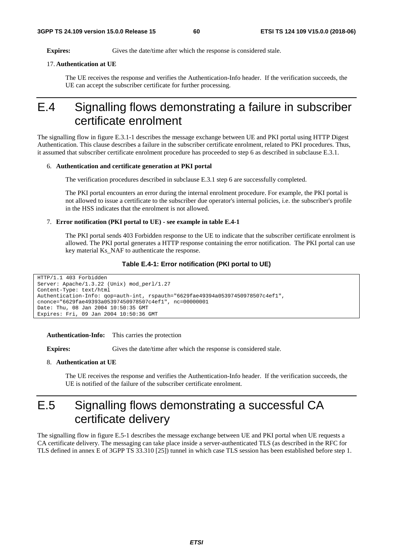#### **Expires:** Gives the date/time after which the response is considered stale.

### 17. **Authentication at UE**

 The UE receives the response and verifies the Authentication-Info header. If the verification succeeds, the UE can accept the subscriber certificate for further processing.

# E.4 Signalling flows demonstrating a failure in subscriber certificate enrolment

The signalling flow in figure E.3.1-1 describes the message exchange between UE and PKI portal using HTTP Digest Authentication. This clause describes a failure in the subscriber certificate enrolment, related to PKI procedures. Thus, it assumed that subscriber certificate enrolment procedure has proceeded to step 6 as described in subclause E.3.1.

#### 6. **Authentication and certificate generation at PKI portal**

The verification procedures described in subclause E.3.1 step 6 are successfully completed.

 The PKI portal encounters an error during the internal enrolment procedure. For example, the PKI portal is not allowed to issue a certificate to the subscriber due operator's internal policies, i.e. the subscriber's profile in the HSS indicates that the enrolment is not allowed.

#### 7. **Error notification (PKI portal to UE) - see example in table E.4-1**

 The PKI portal sends 403 Forbidden response to the UE to indicate that the subscriber certificate enrolment is allowed. The PKI portal generates a HTTP response containing the error notification. The PKI portal can use key material Ks\_NAF to authenticate the response.

#### **Table E.4-1: Error notification (PKI portal to UE)**

```
HTTP/1.1 403 Forbidden 
Server: Apache/1.3.22 (Unix) mod_perl/1.27 
Content-Type: text/html 
Authentication-Info: qop=auth-int, rspauth="6629fae49394a05397450978507c4ef1", 
cnonce="6629fae49393a05397450978507c4ef1", nc=00000001 
Date: Thu, 08 Jan 2004 10:50:35 GMT 
Expires: Fri, 09 Jan 2004 10:50:36 GMT
```
#### **Authentication-Info:** This carries the protection

**Expires:** Gives the date/time after which the response is considered stale.

#### 8. **Authentication at UE**

 The UE receives the response and verifies the Authentication-Info header. If the verification succeeds, the UE is notified of the failure of the subscriber certificate enrolment.

# E.5 Signalling flows demonstrating a successful CA certificate delivery

The signalling flow in figure E.5-1 describes the message exchange between UE and PKI portal when UE requests a CA certificate delivery. The messaging can take place inside a server-authenticated TLS (as described in the RFC for TLS defined in annex E of 3GPP TS 33.310 [25]) tunnel in which case TLS session has been established before step 1.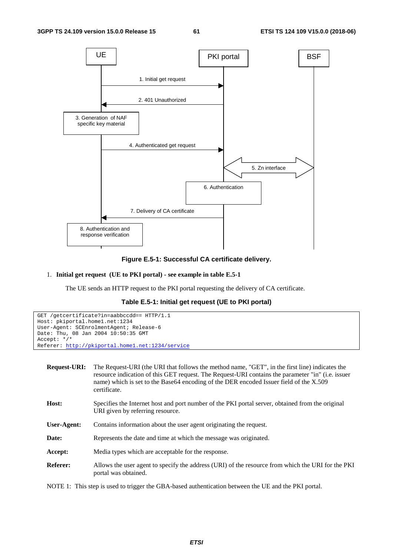

**Figure E.5-1: Successful CA certificate delivery.** 

#### 1. **Initial get request (UE to PKI portal) - see example in table E.5-1**

The UE sends an HTTP request to the PKI portal requesting the delivery of CA certificate.

## **Table E.5-1: Initial get request (UE to PKI portal)**

```
GET /getcertificate?in=aabbccdd== HTTP/1.1 
Host: pkiportal.home1.net:1234 
User-Agent: SCEnrolmentAgent; Release-6 
Date: Thu, 08 Jan 2004 10:50:35 GMT 
Accept: */* 
Referer: http://pkiportal.home1.net:1234/service
```

| <b>Request-URI:</b> | The Request-URI (the URI that follows the method name, "GET", in the first line) indicates the<br>resource indication of this GET request. The Request-URI contains the parameter "in" (i.e. issuer<br>name) which is set to the Base64 encoding of the DER encoded Issuer field of the X.509<br>certificate. |  |
|---------------------|---------------------------------------------------------------------------------------------------------------------------------------------------------------------------------------------------------------------------------------------------------------------------------------------------------------|--|
| Host:               | Specifies the Internet host and port number of the PKI portal server, obtained from the original<br>URI given by referring resource.                                                                                                                                                                          |  |
| User-Agent:         | Contains information about the user agent originating the request.                                                                                                                                                                                                                                            |  |
| Date:               | Represents the date and time at which the message was originated.                                                                                                                                                                                                                                             |  |
| Accept:             | Media types which are acceptable for the response.                                                                                                                                                                                                                                                            |  |
| <b>Referer:</b>     | Allows the user agent to specify the address (URI) of the resource from which the URI for the PKI<br>portal was obtained.                                                                                                                                                                                     |  |
|                     | MOTE 1. This stap is used to trigger the CRA based outhertication between the HE and the DKI portal                                                                                                                                                                                                           |  |

NOTE 1: This step is used to trigger the GBA-based authentication between the UE and the PKI portal.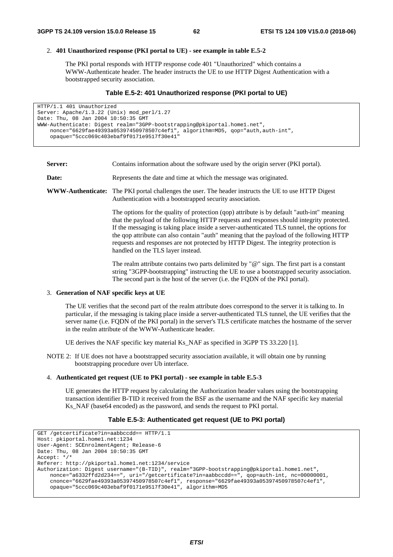### 2. **401 Unauthorized response (PKI portal to UE) - see example in table E.5-2**

 The PKI portal responds with HTTP response code 401 "Unauthorized" which contains a WWW-Authenticate header. The header instructs the UE to use HTTP Digest Authentication with a bootstrapped security association.

### **Table E.5-2: 401 Unauthorized response (PKI portal to UE)**

```
HTTP/1.1 401 Unauthorized 
Server: Apache/1.3.22 (Unix) mod_perl/1.27 
Date: Thu, 08 Jan 2004 10:50:35 GMT 
WWW-Authenticate: Digest realm="3GPP-bootstrapping@pkiportal.home1.net", 
    nonce="6629fae49393a05397450978507c4ef1", algorithm=MD5, qop="auth,auth-int", 
    opaque="5ccc069c403ebaf9f0171e9517f30e41"
```
**Server:** Contains information about the software used by the origin server (PKI portal).

**Date:** Represents the date and time at which the message was originated.

**WWW-Authenticate:** The PKI portal challenges the user. The header instructs the UE to use HTTP Digest Authentication with a bootstrapped security association.

> The options for the quality of protection (qop) attribute is by default "auth-int" meaning that the payload of the following HTTP requests and responses should integrity protected. If the messaging is taking place inside a server-authenticated TLS tunnel, the options for the qop attribute can also contain "auth" meaning that the payload of the following HTTP requests and responses are not protected by HTTP Digest. The integrity protection is handled on the TLS layer instead.

> The realm attribute contains two parts delimited by "@" sign. The first part is a constant string "3GPP-bootstrapping" instructing the UE to use a bootstrapped security association. The second part is the host of the server (i.e. the FQDN of the PKI portal).

## 3. **Generation of NAF specific keys at UE**

 The UE verifies that the second part of the realm attribute does correspond to the server it is talking to. In particular, if the messaging is taking place inside a server-authenticated TLS tunnel, the UE verifies that the server name (i.e. FQDN of the PKI portal) in the server's TLS certificate matches the hostname of the server in the realm attribute of the WWW-Authenticate header.

UE derives the NAF specific key material Ks\_NAF as specified in 3GPP TS 33.220 [1].

NOTE 2: If UE does not have a bootstrapped security association available, it will obtain one by running bootstrapping procedure over Ub interface.

#### 4. **Authenticated get request (UE to PKI portal) - see example in table E.5-3**

 UE generates the HTTP request by calculating the Authorization header values using the bootstrapping transaction identifier B**-**TID it received from the BSF as the username and the NAF specific key material Ks NAF (base64 encoded) as the password, and sends the request to PKI portal.

## **Table E.5-3: Authenticated get request (UE to PKI portal)**

```
GET /getcertificate?in=aabbccdd== HTTP/1.1 
Host: pkiportal.home1.net:1234 
User-Agent: SCEnrolmentAgent; Release-6 
Date: Thu, 08 Jan 2004 10:50:35 GMT 
Accept: */* 
Referer: http://pkiportal.home1.net:1234/service 
Authorization: Digest username="(B-TID)", realm="3GPP-bootstrapping@pkiportal.home1.net", 
    nonce="a6332ffd2d234==", uri="/getcertificate?in=aabbccdd==", qop=auth-int, nc=00000001, 
    cnonce="6629fae49393a05397450978507c4ef1", response="6629fae49393a05397450978507c4ef1", 
    opaque="5ccc069c403ebaf9f0171e9517f30e41", algorithm=MD5
```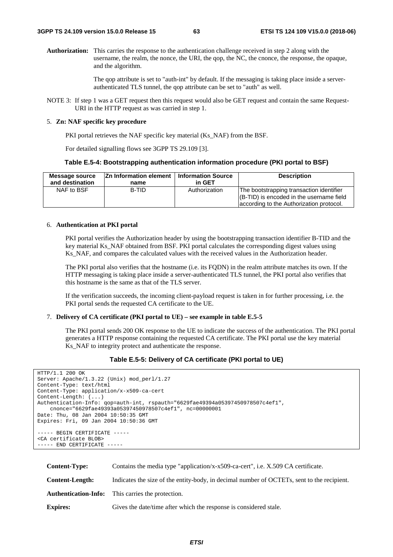**Authorization:** This carries the response to the authentication challenge received in step 2 along with the username, the realm, the nonce, the URI, the qop, the NC, the cnonce, the response, the opaque, and the algorithm.

> The qop attribute is set to "auth-int" by default. If the messaging is taking place inside a serverauthenticated TLS tunnel, the qop attribute can be set to "auth" as well.

NOTE 3: If step 1 was a GET request then this request would also be GET request and contain the same Request-URI in the HTTP request as was carried in step 1.

#### 5. **Zn: NAF specific key procedure**

PKI portal retrieves the NAF specific key material (Ks\_NAF) from the BSF.

For detailed signalling flows see 3GPP TS 29.109 [3].

### **Table E.5-4: Bootstrapping authentication information procedure (PKI portal to BSF)**

| <b>Message source</b> | <b>Zn Information element</b> | <b>Information Source</b> | <b>Description</b>                                                                                                               |
|-----------------------|-------------------------------|---------------------------|----------------------------------------------------------------------------------------------------------------------------------|
| and destination       | name                          | in GET                    |                                                                                                                                  |
| NAF to BSF            | <b>B-TID</b>                  | Authorization             | The bootstrapping transaction identifier<br>(B-TID) is encoded in the username field<br>according to the Authorization protocol. |

### 6. **Authentication at PKI portal**

 PKI portal verifies the Authorization header by using the bootstrapping transaction identifier B-TID and the key material Ks\_NAF obtained from BSF. PKI portal calculates the corresponding digest values using Ks NAF, and compares the calculated values with the received values in the Authorization header.

 The PKI portal also verifies that the hostname (i.e. its FQDN) in the realm attribute matches its own. If the HTTP messaging is taking place inside a server-authenticated TLS tunnel, the PKI portal also verifies that this hostname is the same as that of the TLS server.

 If the verification succeeds, the incoming client-payload request is taken in for further processing, i.e. the PKI portal sends the requested CA certificate to the UE.

#### 7. **Delivery of CA certificate (PKI portal to UE) – see example in table E.5-5**

 The PKI portal sends 200 OK response to the UE to indicate the success of the authentication. The PKI portal generates a HTTP response containing the requested CA certificate. The PKI portal use the key material Ks\_NAF to integrity protect and authenticate the response.

### **Table E.5-5: Delivery of CA certificate (PKI portal to UE)**

```
HTTP/1.1 200 OK 
Server: Apache/1.3.22 (Unix) mod_perl/1.27 
Content-Type: text/html 
Content-Type: application/x-x509-ca-cert 
Content-Length: (...) 
Authentication-Info: qop=auth-int, rspauth="6629fae49394a05397450978507c4ef1", 
   cnonce="6629fae49393a05397450978507c4ef1", nc=00000001 
Date: Thu, 08 Jan 2004 10:50:35 GMT 
Expires: Fri, 09 Jan 2004 10:50:36 GMT 
  ----- BEGIN CERTIFICATE ----- 
<CA certificate BLOB> 
----- END CERTIFICATE --
```

| <b>Content-Type:</b>        | Contains the media type "application/x-x509-ca-cert", i.e. X.509 CA certificate.           |
|-----------------------------|--------------------------------------------------------------------------------------------|
| <b>Content-Length:</b>      | Indicates the size of the entity-body, in decimal number of OCTETs, sent to the recipient. |
| <b>Authentication-Info:</b> | This carries the protection.                                                               |
| <b>Expires:</b>             | Gives the date/time after which the response is considered stale.                          |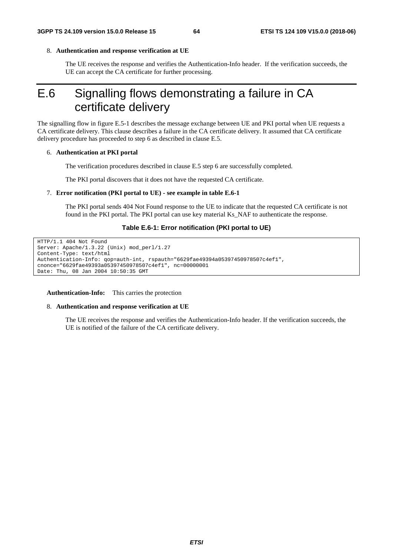### 8. **Authentication and response verification at UE**

 The UE receives the response and verifies the Authentication-Info header. If the verification succeeds, the UE can accept the CA certificate for further processing.

# E.6 Signalling flows demonstrating a failure in CA certificate delivery

The signalling flow in figure E.5-1 describes the message exchange between UE and PKI portal when UE requests a CA certificate delivery. This clause describes a failure in the CA certificate delivery. It assumed that CA certificate delivery procedure has proceeded to step 6 as described in clause E.5.

### 6. **Authentication at PKI portal**

The verification procedures described in clause E.5 step 6 are successfully completed.

The PKI portal discovers that it does not have the requested CA certificate.

## 7. **Error notification (PKI portal to UE) - see example in table E.6-1**

 The PKI portal sends 404 Not Found response to the UE to indicate that the requested CA certificate is not found in the PKI portal. The PKI portal can use key material Ks\_NAF to authenticate the response.

### **Table E.6-1: Error notification (PKI portal to UE)**

```
HTTP/1.1 404 Not Found 
Server: Apache/1.3.22 (Unix) mod_perl/1.27 
Content-Type: text/html 
Authentication-Info: qop=auth-int, rspauth="6629fae49394a05397450978507c4ef1", 
cnonce="6629fae49393a05397450978507c4ef1", nc=00000001 
Date: Thu, 08 Jan 2004 10:50:35 GMT
```
**Authentication-Info:** This carries the protection

#### 8. **Authentication and response verification at UE**

 The UE receives the response and verifies the Authentication-Info header. If the verification succeeds, the UE is notified of the failure of the CA certificate delivery.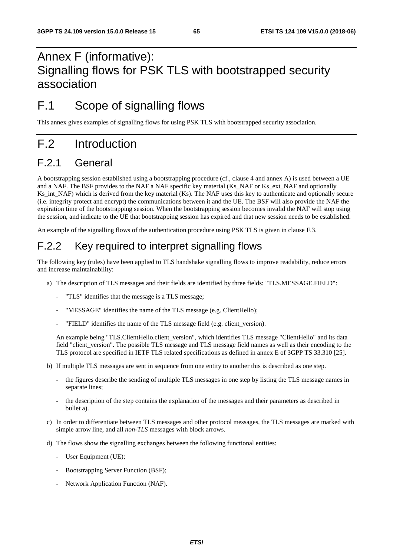# Annex F (informative): Signalling flows for PSK TLS with bootstrapped security association

# F.1 Scope of signalling flows

This annex gives examples of signalling flows for using PSK TLS with bootstrapped security association.

# F.2 Introduction

# F.2.1 General

A bootstrapping session established using a bootstrapping procedure (cf., clause 4 and annex A) is used between a UE and a NAF. The BSF provides to the NAF a NAF specific key material (Ks\_NAF or Ks\_ext\_NAF and optionally Ks\_int\_NAF) which is derived from the key material (Ks). The NAF uses this key to authenticate and optionally secure (i.e. integrity protect and encrypt) the communications between it and the UE. The BSF will also provide the NAF the expiration time of the bootstrapping session. When the bootstrapping session becomes invalid the NAF will stop using the session, and indicate to the UE that bootstrapping session has expired and that new session needs to be established.

An example of the signalling flows of the authentication procedure using PSK TLS is given in clause F.3.

# F.2.2 Key required to interpret signalling flows

The following key (rules) have been applied to TLS handshake signalling flows to improve readability, reduce errors and increase maintainability:

- a) The description of TLS messages and their fields are identified by three fields: "TLS.MESSAGE.FIELD":
	- "TLS" identifies that the message is a TLS message;
	- "MESSAGE" identifies the name of the TLS message (e.g. ClientHello);
	- "FIELD" identifies the name of the TLS message field (e.g. client\_version).

An example being "TLS.ClientHello.client\_version", which identifies TLS message "ClientHello" and its data field "client version". The possible TLS message and TLS message field names as well as their encoding to the TLS protocol are specified in IETF TLS related specifications as defined in annex E of 3GPP TS 33.310 [25].

- b) If multiple TLS messages are sent in sequence from one entity to another this is described as one step.
	- the figures describe the sending of multiple TLS messages in one step by listing the TLS message names in separate lines;
	- the description of the step contains the explanation of the messages and their parameters as described in bullet a).
- c) In order to differentiate between TLS messages and other protocol messages, the TLS messages are marked with simple arrow line, and all *non-TLS* messages with block arrows.
- d) The flows show the signalling exchanges between the following functional entities:
	- User Equipment (UE);
	- Bootstrapping Server Function (BSF);
	- Network Application Function (NAF).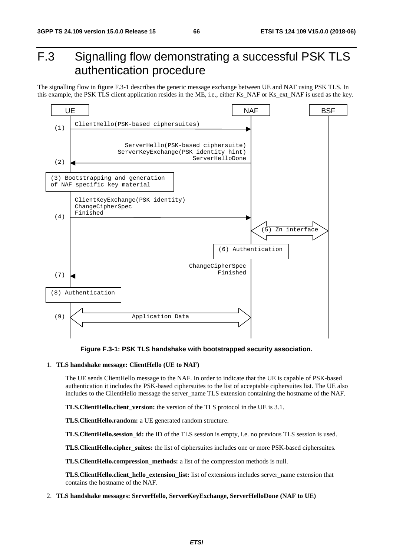# F.3 Signalling flow demonstrating a successful PSK TLS authentication procedure

The signalling flow in figure F.3-1 describes the generic message exchange between UE and NAF using PSK TLS. In this example, the PSK TLS client application resides in the ME, i.e., either Ks\_NAF or Ks\_ext\_NAF is used as the key.



**Figure F.3-1: PSK TLS handshake with bootstrapped security association.** 

#### 1. **TLS handshake message: ClientHello (UE to NAF)**

 The UE sends ClientHello message to the NAF. In order to indicate that the UE is capable of PSK-based authentication it includes the PSK-based ciphersuites to the list of acceptable ciphersuites list. The UE also includes to the ClientHello message the server\_name TLS extension containing the hostname of the NAF.

**TLS.ClientHello.client\_version:** the version of the TLS protocol in the UE is 3.1.

**TLS.ClientHello.random:** a UE generated random structure.

**TLS.ClientHello.session\_id:** the ID of the TLS session is empty, i.e. no previous TLS session is used.

**TLS.ClientHello.cipher\_suites:** the list of ciphersuites includes one or more PSK-based ciphersuites.

**TLS.ClientHello.compression\_methods:** a list of the compression methods is null.

**TLS.ClientHello.client\_hello\_extension\_list:** list of extensions includes server\_name extension that contains the hostname of the NAF.

#### 2. **TLS handshake messages: ServerHello, ServerKeyExchange, ServerHelloDone (NAF to UE)**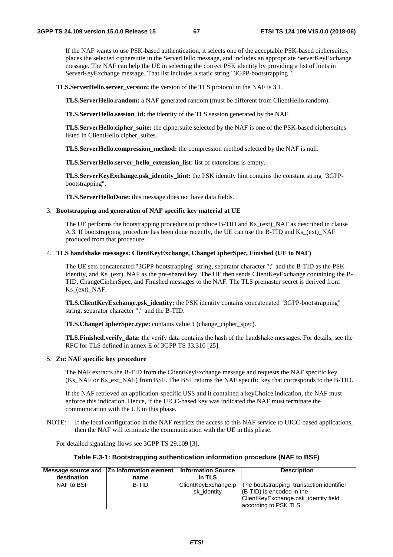If the NAF wants to use PSK-based authentication, it selects one of the acceptable PSK-based ciphersuites, places the selected ciphersuite in the ServerHello message, and includes an appropriate ServerKeyExchange message. The NAF can help the UE in selecting the correct PSK identity by providing a list of hints in ServerKeyExchange message. That list includes a static string "3GPP-bootstrapping ".

**TLS.ServerHello.server** version: the version of the TLS protocol in the NAF is 3.1.

**TLS.ServerHello.random:** a NAF generated random (must be different from ClientHello.random).

**TLS.ServerHello.session\_id:** the identity of the TLS session generated by the NAF.

**TLS.ServerHello.cipher\_suite:** the ciphersuite selected by the NAF is one of the PSK-based ciphersuites listed in ClientHello.cipher\_suites.

**TLS.ServerHello.compression\_method:** the compression method selected by the NAF is null.

**TLS.ServerHello.server\_hello\_extension\_list:** list of extensions is empty.

**TLS.ServerKeyExchange.psk\_identity\_hint:** the PSK identity hint contains the constant string "3GPPbootstrapping".

**TLS.ServerHelloDone:** this message does not have data fields.

#### 3. **Bootstrapping and generation of NAF specific key material at UE**

The UE performs the bootstrapping procedure to produce B-TID and Ks (ext) NAF as described in clause A.3. If bootstrapping procedure has been done recently, the UE can use the B-TID and Ks (ext) NAF produced from that procedure.

#### 4. **TLS handshake messages: ClientKeyExchange, ChangeCipherSpec, Finished (UE to NAF)**

 The UE sets concatenated "3GPP-bootstrapping" string, separator character ";" and the B-TID as the PSK identity, and Ks (ext) NAF as the pre-shared key. The UE then sends ClientKeyExchange containing the B-TID, ChangeCipherSpec, and Finished messages to the NAF. The TLS premaster secret is derived from Ks (ext) NAF.

**TLS.ClientKeyExchange.psk\_identity:** the PSK identity contains concatenated "3GPP-bootstrapping" string, separator character ";" and the B-TID.

**TLS.ChangeCipherSpec.type:** contains value 1 (change\_cipher\_spec).

**TLS.Finished.verify data:** the verify data contains the hash of the handshake messages. For details, see the RFC for TLS defined in annex E of 3GPP TS 33.310 [25].

### 5. **Zn: NAF specific key procedure**

 The NAF extracts the B-TID from the ClientKeyExchange message and requests the NAF specific key (Ks\_NAF or Ks\_ext\_NAF) from BSF. The BSF returns the NAF specific key that corresponds to the B-TID.

 If the NAF retrieved an application-specific USS and it contained a keyChoice indication, the NAF must enforce this indication. Hence, if the UICC-based key was indicated the NAF must terminate the communication with the UE in this phase.

NOTE: If the local configuration in the NAF restricts the access to this NAF service to UICC-based applications, then the NAF will terminate the communication with the UE in this phase.

For detailed signalling flows see 3GPP TS 29.109 [3].

#### **Table F.3-1: Bootstrapping authentication information procedure (NAF to BSF)**

| destination | Message source and   Zn Information element   Information Source<br>name | in TLS                             | <b>Description</b>                                                                                                                         |
|-------------|--------------------------------------------------------------------------|------------------------------------|--------------------------------------------------------------------------------------------------------------------------------------------|
| NAF to BSF  | B-TID                                                                    | ClientKeyExchange.p<br>sk identity | The bootstrapping transaction identifier<br>$ $ (B-TID) is encoded in the<br>ClientKeyExchange.psk_identity field<br>according to PSK TLS. |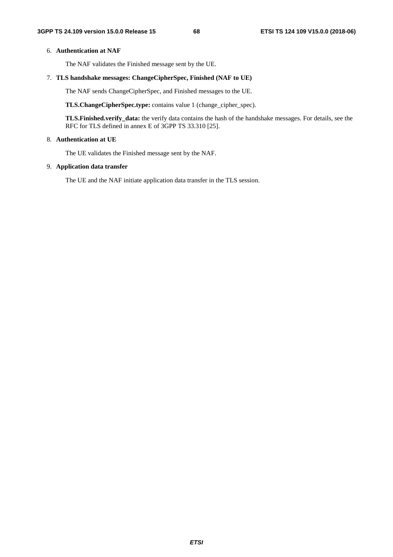## 6. **Authentication at NAF**

The NAF validates the Finished message sent by the UE.

## 7. **TLS handshake messages: ChangeCipherSpec, Finished (NAF to UE)**

The NAF sends ChangeCipherSpec, and Finished messages to the UE.

**TLS.ChangeCipherSpec.type:** contains value 1 (change\_cipher\_spec).

**TLS.Finished.verify\_data:** the verify data contains the hash of the handshake messages. For details, see the RFC for TLS defined in annex E of 3GPP TS 33.310 [25].

## 8. **Authentication at UE**

The UE validates the Finished message sent by the NAF.

## 9. **Application data transfer**

The UE and the NAF initiate application data transfer in the TLS session.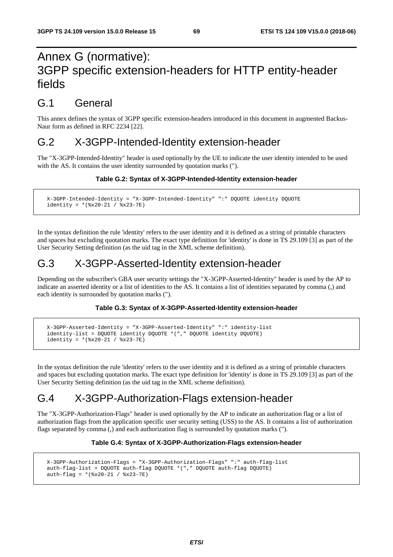# Annex G (normative): 3GPP specific extension-headers for HTTP entity-header fields

# G.1 General

This annex defines the syntax of 3GPP specific extension-headers introduced in this document in augmented Backus-Naur form as defined in RFC 2234 [22].

# G.2 X-3GPP-Intended-Identity extension-header

The "X-3GPP-Intended-Identity" header is used optionally by the UE to indicate the user identity intended to be used with the AS. It contains the user identity surrounded by quotation marks (").

## **Table G.2: Syntax of X-3GPP-Intended-Identity extension-header**

```
 X-3GPP-Intended-Identity = "X-3GPP-Intended-Identity" ":" DQUOTE identity DQUOTE 
 identity = *(%x20-21 / %x23-7E)
```
In the syntax definition the rule 'identity' refers to the user identity and it is defined as a string of printable characters and spaces but excluding quotation marks. The exact type definition for 'identity' is done in TS 29.109 [3] as part of the User Security Setting definition (as the uid tag in the XML scheme definition).

# G.3 X-3GPP-Asserted-Identity extension-header

Depending on the subscriber's GBA user security settings the "X-3GPP-Asserted-Identity" header is used by the AP to indicate an asserted identity or a list of identities to the AS. It contains a list of identities separated by comma (,) and each identity is surrounded by quotation marks (").

### **Table G.3: Syntax of X-3GPP-Asserted-Identity extension-header**

```
 X-3GPP-Asserted-Identity = "X-3GPP-Asserted-Identity" ":" identity-list 
 identity-list = DQUOTE identity DQUOTE *("," DQUOTE identity DQUOTE) 
identity = *(*x20-21 / *x23-7E)
```
In the syntax definition the rule 'identity' refers to the user identity and it is defined as a string of printable characters and spaces but excluding quotation marks. The exact type definition for 'identity' is done in TS 29.109 [3] as part of the User Security Setting definition (as the uid tag in the XML scheme definition).

# G.4 X-3GPP-Authorization-Flags extension-header

The "X-3GPP-Authorization-Flags" header is used optionally by the AP to indicate an authorization flag or a list of authorization flags from the application specific user security setting (USS) to the AS. It contains a list of authorization flags separated by comma (,) and each authorization flag is surrounded by quotation marks (").

### **Table G.4: Syntax of X-3GPP-Authorization-Flags extension-header**

```
 X-3GPP-Authorization-Flags = "X-3GPP-Authorization-Flags" ":" auth-flag-list 
 auth-flag-list = DQUOTE auth-flag DQUOTE *("," DQUOTE auth-flag DQUOTE) 
auth-flag = *(8x20-21 / 8x23-7E)
```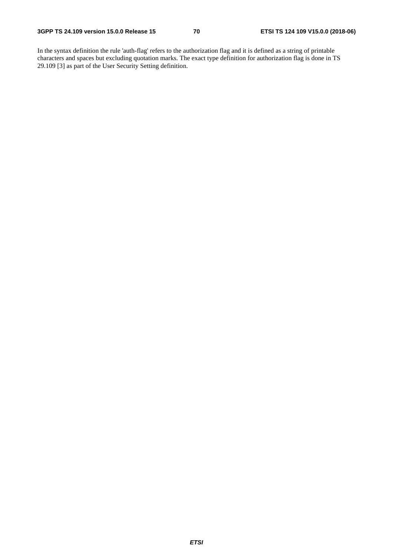In the syntax definition the rule 'auth-flag' refers to the authorization flag and it is defined as a string of printable characters and spaces but excluding quotation marks. The exact type definition for authorization flag is done in TS 29.109 [3] as part of the User Security Setting definition.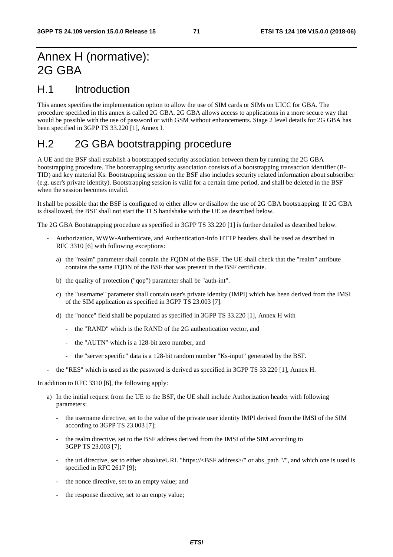# Annex H (normative): 2G GBA

# H.1 Introduction

This annex specifies the implementation option to allow the use of SIM cards or SIMs on UICC for GBA. The procedure specified in this annex is called 2G GBA. 2G GBA allows access to applications in a more secure way that would be possible with the use of password or with GSM without enhancements. Stage 2 level details for 2G GBA has been specified in 3GPP TS 33.220 [1], Annex I.

# H.2 2G GBA bootstrapping procedure

A UE and the BSF shall establish a bootstrapped security association between them by running the 2G GBA bootstrapping procedure. The bootstrapping security association consists of a bootstrapping transaction identifier (B-TID) and key material Ks. Bootstrapping session on the BSF also includes security related information about subscriber (e.g. user's private identity). Bootstrapping session is valid for a certain time period, and shall be deleted in the BSF when the session becomes invalid.

It shall be possible that the BSF is configured to either allow or disallow the use of 2G GBA bootstrapping. If 2G GBA is disallowed, the BSF shall not start the TLS handshake with the UE as described below.

The 2G GBA Bootstrapping procedure as specified in 3GPP TS 33.220 [1] is further detailed as described below.

- Authorization, WWW-Authenticate, and Authentication-Info HTTP headers shall be used as described in RFC 3310 [6] with following exceptions:
	- a) the "realm" parameter shall contain the FQDN of the BSF. The UE shall check that the "realm" attribute contains the same FQDN of the BSF that was present in the BSF certificate.
	- b) the quality of protection ("qop") parameter shall be "auth-int".
	- c) the "username" parameter shall contain user's private identity (IMPI) which has been derived from the IMSI of the SIM application as specified in 3GPP TS 23.003 [7].
	- d) the "nonce" field shall be populated as specified in 3GPP TS  $33.220$  [1]. Annex H with
		- the "RAND" which is the RAND of the 2G authentication vector, and
		- the "AUTN" which is a 128-bit zero number, and
		- the "server specific" data is a 128-bit random number "Ks-input" generated by the BSF.
	- the "RES" which is used as the password is derived as specified in 3GPP TS 33.220 [1], Annex H.

In addition to RFC 3310 [6], the following apply:

- a) In the initial request from the UE to the BSF, the UE shall include Authorization header with following parameters:
	- the username directive, set to the value of the private user identity IMPI derived from the IMSI of the SIM according to 3GPP TS 23.003 [7];
	- the realm directive, set to the BSF address derived from the IMSI of the SIM according to 3GPP TS 23.003 [7];
	- the uri directive, set to either absoluteURL "https://<BSF address>/" or abs\_path "/", and which one is used is specified in RFC 2617 [9];
	- the nonce directive, set to an empty value; and
	- the response directive, set to an empty value;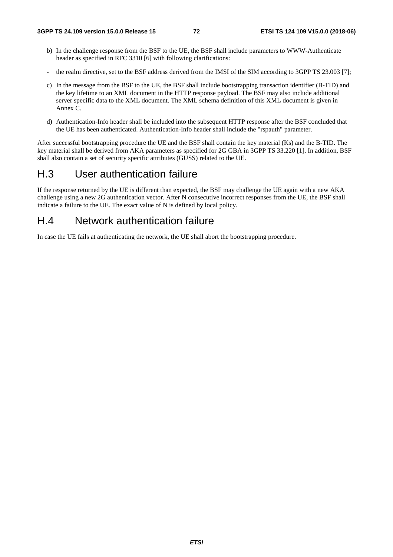- b) In the challenge response from the BSF to the UE, the BSF shall include parameters to WWW-Authenticate header as specified in RFC 3310 [6] with following clarifications:
- the realm directive, set to the BSF address derived from the IMSI of the SIM according to 3GPP TS 23.003 [7];
- c) In the message from the BSF to the UE, the BSF shall include bootstrapping transaction identifier (B-TID) and the key lifetime to an XML document in the HTTP response payload. The BSF may also include additional server specific data to the XML document. The XML schema definition of this XML document is given in Annex C.
- d) Authentication-Info header shall be included into the subsequent HTTP response after the BSF concluded that the UE has been authenticated. Authentication-Info header shall include the "rspauth" parameter.

After successful bootstrapping procedure the UE and the BSF shall contain the key material (Ks) and the B-TID. The key material shall be derived from AKA parameters as specified for 2G GBA in 3GPP TS 33.220 [1]. In addition, BSF shall also contain a set of security specific attributes (GUSS) related to the UE.

### H.3 User authentication failure

If the response returned by the UE is different than expected, the BSF may challenge the UE again with a new AKA challenge using a new 2G authentication vector. After N consecutive incorrect responses from the UE, the BSF shall indicate a failure to the UE. The exact value of N is defined by local policy.

## H.4 Network authentication failure

In case the UE fails at authenticating the network, the UE shall abort the bootstrapping procedure.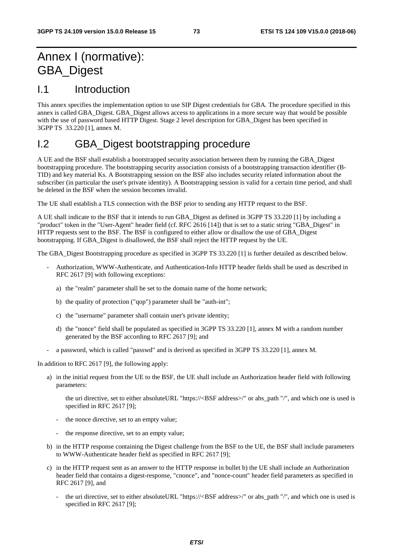# Annex I (normative): GBA\_Digest

### I.1 Introduction

This annex specifies the implementation option to use SIP Digest credentials for GBA. The procedure specified in this annex is called GBA\_Digest. GBA\_Digest allows access to applications in a more secure way that would be possible with the use of password based HTTP Digest. Stage 2 level description for GBA\_Digest has been specified in 3GPP TS 33.220 [1], annex M.

### I.2 GBA\_Digest bootstrapping procedure

A UE and the BSF shall establish a bootstrapped security association between them by running the GBA\_Digest bootstrapping procedure. The bootstrapping security association consists of a bootstrapping transaction identifier (B-TID) and key material Ks. A Bootstrapping session on the BSF also includes security related information about the subscriber (in particular the user's private identity). A Bootstrapping session is valid for a certain time period, and shall be deleted in the BSF when the session becomes invalid.

The UE shall establish a TLS connection with the BSF prior to sending any HTTP request to the BSF.

A UE shall indicate to the BSF that it intends to run GBA\_Digest as defined in 3GPP TS 33.220 [1] by including a "product" token in the "User-Agent" header field (cf. RFC 2616 [14]) that is set to a static string "GBA\_Digest" in HTTP requests sent to the BSF. The BSF is configured to either allow or disallow the use of GBA\_Digest bootstrapping. If GBA\_Digest is disallowed, the BSF shall reject the HTTP request by the UE.

The GBA\_Digest Bootstrapping procedure as specified in 3GPP TS 33.220 [1] is further detailed as described below.

- Authorization, WWW-Authenticate, and Authentication-Info HTTP header fields shall be used as described in RFC 2617 [9] with following exceptions:
	- a) the "realm" parameter shall be set to the domain name of the home network;
	- b) the quality of protection ("qop") parameter shall be "auth-int";
	- c) the "username" parameter shall contain user's private identity;
	- d) the "nonce" field shall be populated as specified in 3GPP TS 33.220 [1], annex M with a random number generated by the BSF according to RFC 2617 [9]; and
- a password, which is called "passwd" and is derived as specified in 3GPP TS 33.220 [1], annex M.

In addition to RFC 2617 [9], the following apply:

a) in the initial request from the UE to the BSF, the UE shall include an Authorization header field with following parameters:

the uri directive, set to either absoluteURL "https://<BSF address>/" or abs\_path "/", and which one is used is specified in RFC 2617 [9];

- the nonce directive, set to an empty value;
- the response directive, set to an empty value;
- b) in the HTTP response containing the Digest challenge from the BSF to the UE, the BSF shall include parameters to WWW-Authenticate header field as specified in RFC 2617 [9];
- c) in the HTTP request sent as an answer to the HTTP response in bullet b) the UE shall include an Authorization header field that contains a digest-response, "cnonce", and "nonce-count" header field parameters as specified in RFC 2617 [9], and
	- the uri directive, set to either absoluteURL "https://<BSF address>/" or abs\_path "/", and which one is used is specified in RFC 2617 [9];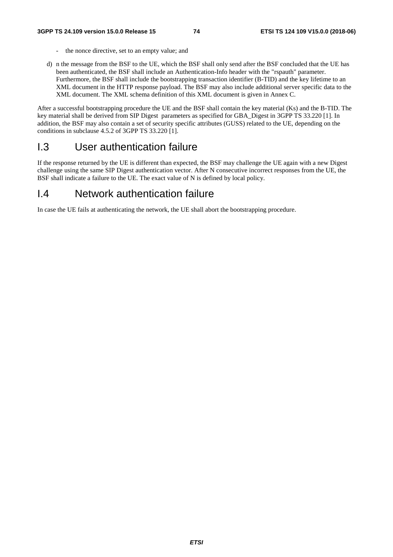- the nonce directive, set to an empty value; and
- d) n the message from the BSF to the UE, which the BSF shall only send after the BSF concluded that the UE has been authenticated, the BSF shall include an Authentication-Info header with the "rspauth" parameter. Furthermore, the BSF shall include the bootstrapping transaction identifier (B-TID) and the key lifetime to an XML document in the HTTP response payload. The BSF may also include additional server specific data to the XML document. The XML schema definition of this XML document is given in Annex C.

After a successful bootstrapping procedure the UE and the BSF shall contain the key material (Ks) and the B-TID. The key material shall be derived from SIP Digest parameters as specified for GBA\_Digest in 3GPP TS 33.220 [1]. In addition, the BSF may also contain a set of security specific attributes (GUSS) related to the UE, depending on the conditions in subclause 4.5.2 of 3GPP TS 33.220 [1].

#### I.3 User authentication failure

If the response returned by the UE is different than expected, the BSF may challenge the UE again with a new Digest challenge using the same SIP Digest authentication vector. After N consecutive incorrect responses from the UE, the BSF shall indicate a failure to the UE. The exact value of N is defined by local policy.

#### I.4 Network authentication failure

In case the UE fails at authenticating the network, the UE shall abort the bootstrapping procedure.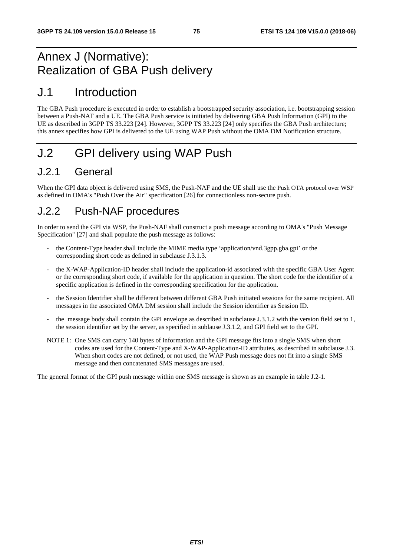# Annex J (Normative): Realization of GBA Push delivery

## J.1 Introduction

The GBA Push procedure is executed in order to establish a bootstrapped security association, i.e. bootstrapping session between a Push-NAF and a UE. The GBA Push service is initiated by delivering GBA Push Information (GPI) to the UE as described in 3GPP TS 33.223 [24]. However, 3GPP TS 33.223 [24] only specifies the GBA Push architecture; this annex specifies how GPI is delivered to the UE using WAP Push without the OMA DM Notification structure.

# J.2 GPI delivery using WAP Push

### J.2.1 General

When the GPI data object is delivered using SMS, the Push-NAF and the UE shall use the Push OTA protocol over WSP as defined in OMA's "Push Over the Air" specification [26] for connectionless non-secure push.

### J.2.2 Push-NAF procedures

In order to send the GPI via WSP, the Push-NAF shall construct a push message according to OMA's "Push Message Specification" [27] and shall populate the push message as follows:

- the Content-Type header shall include the MIME media type 'application/vnd.3gpp.gba.gpi' or the corresponding short code as defined in subclause J.3.1.3.
- the X-WAP-Application-ID header shall include the application-id associated with the specific GBA User Agent or the corresponding short code, if available for the application in question. The short code for the identifier of a specific application is defined in the corresponding specification for the application.
- the Session Identifier shall be different between different GBA Push initiated sessions for the same recipient. All messages in the associated OMA DM session shall include the Session identifier as Session ID.
- the message body shall contain the GPI envelope as described in subclause J.3.1.2 with the version field set to 1, the session identifier set by the server, as specified in sublause J.3.1.2, and GPI field set to the GPI.
- NOTE 1: One SMS can carry 140 bytes of information and the GPI message fits into a single SMS when short codes are used for the Content-Type and X-WAP-Application-ID attributes, as described in subclause J.3. When short codes are not defined, or not used, the WAP Push message does not fit into a single SMS message and then concatenated SMS messages are used.

The general format of the GPI push message within one SMS message is shown as an example in table J.2-1.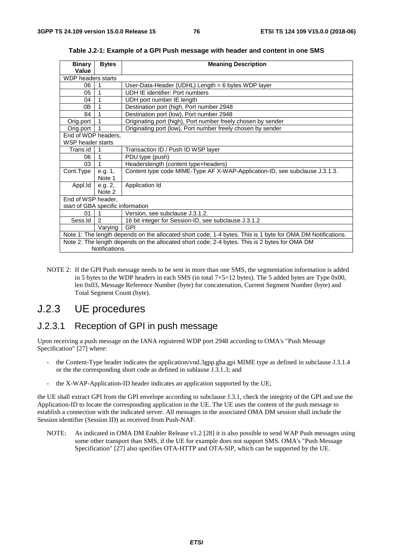| <b>Binary</b>                                                                                               | <b>Bytes</b>        | <b>Meaning Description</b>                                                  |  |  |  |  |  |  |
|-------------------------------------------------------------------------------------------------------------|---------------------|-----------------------------------------------------------------------------|--|--|--|--|--|--|
| Value                                                                                                       |                     |                                                                             |  |  |  |  |  |  |
| <b>WDP</b> headers starts                                                                                   |                     |                                                                             |  |  |  |  |  |  |
| 06                                                                                                          | 1                   | User-Data-Header (UDHL) Length = 6 bytes WDP layer                          |  |  |  |  |  |  |
| 05                                                                                                          | 1                   | UDH IE identifier: Port numbers                                             |  |  |  |  |  |  |
| 04                                                                                                          | 1                   | UDH port number IE length                                                   |  |  |  |  |  |  |
| 0B                                                                                                          | 1                   | Destination port (high, Port number 2948                                    |  |  |  |  |  |  |
| 84                                                                                                          | 1                   | Destination port (low), Port number 2948                                    |  |  |  |  |  |  |
| Orig.port                                                                                                   | 1                   | Originating port (high), Port number freely chosen by sender                |  |  |  |  |  |  |
| Orig.port                                                                                                   | 1                   | Originating port (low), Port number freely chosen by sender                 |  |  |  |  |  |  |
|                                                                                                             | End of WDP headers, |                                                                             |  |  |  |  |  |  |
|                                                                                                             | WSP header starts   |                                                                             |  |  |  |  |  |  |
| Trans.id                                                                                                    | 1                   | Transaction ID / Push ID WSP layer                                          |  |  |  |  |  |  |
| 06                                                                                                          | 1                   | PDU type (push)                                                             |  |  |  |  |  |  |
| 03                                                                                                          | 1                   | Headerslength (content type+headers)                                        |  |  |  |  |  |  |
| Cont.Type                                                                                                   | e.g. 1,             | Content type code MIME-Type AF X-WAP-Application-ID, see subclause J.3.1.3. |  |  |  |  |  |  |
|                                                                                                             | Note 1              |                                                                             |  |  |  |  |  |  |
| Appl.Id                                                                                                     | e.g. 2,             | Application Id                                                              |  |  |  |  |  |  |
|                                                                                                             | Note 2              |                                                                             |  |  |  |  |  |  |
| End of WSP header,                                                                                          |                     |                                                                             |  |  |  |  |  |  |
| start of GBA specific information                                                                           |                     |                                                                             |  |  |  |  |  |  |
| 01                                                                                                          | $\overline{1}$      | Version, see subclause J.3.1.2.                                             |  |  |  |  |  |  |
| Sess.Id                                                                                                     | 2                   | 16 bit integer for Session-ID, see subclause J.3.1.2                        |  |  |  |  |  |  |
|                                                                                                             | GPI<br>Varying      |                                                                             |  |  |  |  |  |  |
| Note 1: The length depends on the allocated short code; 1-4 bytes. This is 1 byte for OMA DM Notifications. |                     |                                                                             |  |  |  |  |  |  |
| Note 2: The length depends on the allocated short code; 2-4 bytes. This is 2 bytes for OMA DM               |                     |                                                                             |  |  |  |  |  |  |
| Notifications.                                                                                              |                     |                                                                             |  |  |  |  |  |  |

**Table J.2-1: Example of a GPI Push message with header and content in one SMS** 

NOTE 2: If the GPI Push message needs to be sent in more than one SMS, the segmentation information is added in 5 bytes to the WDP headers in each SMS (in total  $7+5=12$  bytes). The 5 added bytes are Type 0x00, len 0x03, Message Reference Number (byte) for concatenation, Current Segment Number (byte) and Total Segment Count (byte).

#### J.2.3 UE procedures

#### J.2.3.1 Reception of GPI in push message

Upon receiving a push message on the IANA registered WDP port 2948 according to OMA's "Push Message Specification" [27] where:

- the Content-Type header indicates the application/vnd.3gpp.gba.gpi MIME type as defined in subclause J.3.1.4 or the the corresponding short code as defined in sublause J.3.1.3; and
- the X-WAP-Application-ID header indicates an application supported by the UE;

the UE shall extract GPI from the GPI envelope according to subclause J.3.1, check the integrity of the GPI and use the Application-ID to locate the corresponding application in the UE. The UE uses the content of the push message to establish a connection with the indicated server. All messages in the associated OMA DM session shall include the Session identifier (Session ID) as received from Push-NAF.

NOTE: As indicated in OMA DM Enabler Release v1.2 [28] it is also possible to send WAP Push messages using some other transport than SMS, if the UE for example does not support SMS. OMA's "Push Message Specification" [27] also specifies OTA-HTTP and OTA-SIP, which can be supported by the UE.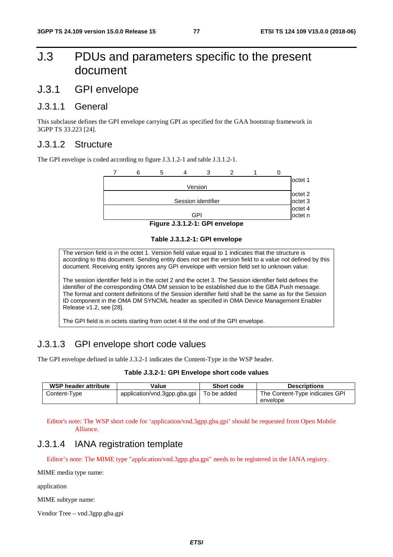# J.3 PDUs and parameters specific to the present document

#### J.3.1 GPI envelope

#### J.3.1.1 General

This subclause defines the GPI envelope carrying GPI as specified for the GAA bootstrap framework in 3GPP TS 33.223 [24].

#### J.3.1.2 Structure

The GPI envelope is coded according to figure J.3.1.2-1 and table J.3.1.2-1.



**Figure J.3.1.2-1: GPI envelope** 

#### **Table J.3.1.2-1: GPI envelope**

The version field is in the octet 1. Version field value equal to 1 indicates that the structure is according to this document. Sending entity does not set the version field to a value not defined by this document. Receiving entity ignores any GPI envelope with version field set to unknown value.

The session identifier field is in the octet 2 and the octet 3. The Session identifier field defines the identifier of the corresponding OMA DM session to be established due to the GBA Push message. The format and content definitions of the Session identifier field shall be the same as for the Session ID component in the OMA DM SYNCML header as specified in OMA Device Management Enabler Release v1.2, see [28].

The GPI field is in octets starting from octet 4 til the end of the GPI envelope.

#### J.3.1.3 GPI envelope short code values

The GPI envelope defined in table J.3.2-1 indicates the Content-Type in the WSP header.

**Table J.3.2-1: GPI Envelope short code values** 

| <b>WSP header attribute</b> | Value                        | <b>Short code</b> | <b>Descriptions</b>            |
|-----------------------------|------------------------------|-------------------|--------------------------------|
| Content-Type                | application/vnd.3gpp.gba.gpi | To be added       | The Content-Type indicates GPI |
|                             |                              |                   | envelope                       |

Editor's note: The WSP short code for 'application/vnd.3gpp.gba.gpi' should be requested from Open Mobile Alliance.

#### J.3.1.4 IANA registration template

Editor's note: The MIME type "application/vnd.3gpp.gba.gpi" needs to be registered in the IANA registry.

MIME media type name:

application

MIME subtype name:

Vendor Tree – vnd.3gpp.gba.gpi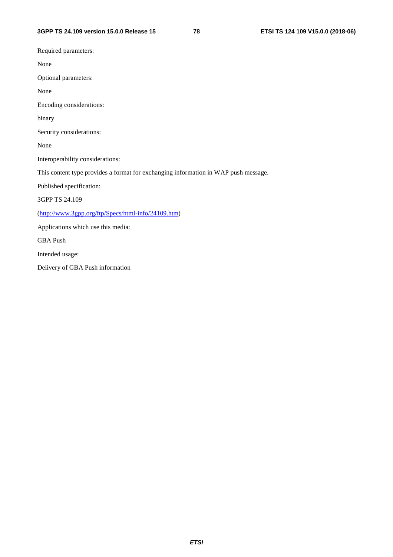Required parameters:

None

Optional parameters:

None

Encoding considerations:

binary

Security considerations:

None

Interoperability considerations:

This content type provides a format for exchanging information in WAP push message.

Published specification:

3GPP TS 24.109

([http://www.3gpp.org/ftp/Specs/html-info/24109.htm](http://www.3gpp.org/ftp/Specs/html-info/24390.htm))

Applications which use this media:

GBA Push

Intended usage:

Delivery of GBA Push information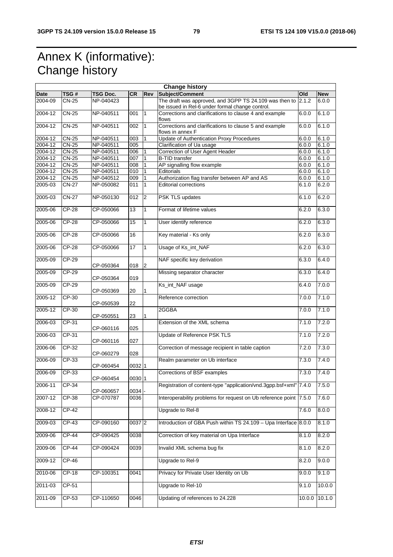# Annex K (informative): Change history

| <b>Change history</b> |              |                        |                 |                |                                                                                                           |        |            |
|-----------------------|--------------|------------------------|-----------------|----------------|-----------------------------------------------------------------------------------------------------------|--------|------------|
| <b>Date</b>           | TSG#         | <b>TSG Doc.</b>        | <b>CR</b>       | Rev            | <b>Subject/Comment</b>                                                                                    | Old    | <b>New</b> |
| 2004-09               | <b>CN-25</b> | NP-040423              |                 |                | The draft was approved, and 3GPP TS 24.109 was then to<br>be issued in Rel-6 under formal change control. | 2.1.2  | 6.0.0      |
| 2004-12               | <b>CN-25</b> | NP-040511              | 001             | $\overline{1}$ | Corrections and clarifications to clause 4 and example<br>flows                                           | 6.0.0  | 6.1.0      |
| 2004-12               | $CN-25$      | NP-040511              | 002             | $\overline{1}$ | Corrections and clarifications to clause 5 and example<br>flows in annex F                                | 6.0.0  | 6.1.0      |
| 2004-12               | $CN-25$      | NP-040511              | 003             | $\overline{1}$ | <b>Update of Authentication Proxy Procedures</b>                                                          | 6.0.0  | 6.1.0      |
| 2004-12               | <b>CN-25</b> | NP-040511              | 005             |                | Clarification of Ua usage                                                                                 | 6.0.0  | 6.1.0      |
| 2004-12               | <b>CN-25</b> | NP-040511              | 006             |                | Correction of User Agent Header                                                                           | 6.0.0  | 6.1.0      |
| 2004-12               | $CN-25$      | NP-040511              | 007             | $\overline{1}$ | <b>B-TID</b> transfer                                                                                     | 6.0.0  | 6.1.0      |
| 2004-12               | <b>CN-25</b> | NP-040511              | 008             |                | AP signalling flow example                                                                                | 6.0.0  | 6.1.0      |
| 2004-12               | $CN-25$      | NP-040511              | 010             |                | Editorials                                                                                                | 6.0.0  | 6.1.0      |
| 2004-12               | $CN-25$      | NP-040512              | 009             | 1              | Authorization flag transfer between AP and AS                                                             | 6.0.0  | 6.1.0      |
| 2005-03               | <b>CN-27</b> | NP-050082              | 011             | $\overline{1}$ | <b>Editorial corrections</b>                                                                              | 6.1.0  | 6.2.0      |
| 2005-03               | $CN-27$      | NP-050130              | 012             | $\overline{2}$ | PSK TLS updates                                                                                           | 6.1.0  | 6.2.0      |
| 2005-06               | $CP-28$      | CP-050066              | 13              | $\mathbf{1}$   | Format of lifetime values                                                                                 | 6.2.0  | 6.3.0      |
| 2005-06               | <b>CP-28</b> | CP-050066              | 15              | $\mathbf{1}$   | User identify reference                                                                                   | 6.2.0  | 6.3.0      |
| 2005-06               | $CP-28$      | CP-050066              | $\overline{16}$ |                | Key material - Ks only                                                                                    | 6.2.0  | 6.3.0      |
| 2005-06               | <b>CP-28</b> | CP-050066              | $\overline{17}$ | $\mathbf{1}$   | Usage of Ks_int_NAF                                                                                       | 6.2.0  | 6.3.0      |
| 2005-09               | $CP-29$      |                        | 018             |                | NAF specific key derivation                                                                               | 6.3.0  | 6.4.0      |
| 2005-09               | $CP-29$      | CP-050364              |                 | $\overline{c}$ | Missing separator character                                                                               | 6.3.0  | 6.4.0      |
|                       |              | CP-050364              | 019             |                |                                                                                                           |        |            |
| 2005-09               | $CP-29$      | CP-050369              | 20              | 1              | Ks_int_NAF usage                                                                                          | 6.4.0  | 7.0.0      |
| 2005-12               | $CP-30$      | CP-050539              | 22              |                | Reference correction                                                                                      | 7.0.0  | 7.1.0      |
| 2005-12               | CP-30        | CP-050551              | 23              | 1              | 2GGBA                                                                                                     | 7.0.0  | 7.1.0      |
| 2006-03               | $CP-31$      | CP-060116              | 025             |                | Extension of the XML schema                                                                               | 7.1.0  | 7.2.0      |
| 2006-03               | CP-31        | CP-060116              | 027             |                | Update of Reference PSK TLS                                                                               | 7.1.0  | 7.2.0      |
| 2006-06               | CP-32        | CP-060279              | 028             |                | Correction of message recipient in table caption                                                          | 7.2.0  | 7.3.0      |
| 2006-09               | CP-33        |                        |                 |                | Realm parameter on Ub interface                                                                           | 7.3.0  | 7.4.0      |
| 2006-09               | $CP-33$      | CP-060454              | 0032 1          |                | Corrections of BSF examples                                                                               | 7.3.0  | 7.4.0      |
| 2006-11               | CP-34        | CP-060454              | 0030 1          |                | Registration of content-type "application/vnd.3gpp.bsf+xml" 7.4.0                                         |        | 7.5.0      |
| 2007-12               | CP-38        | CP-060657<br>CP-070787 | 0034<br>0036    |                | Interoperability problems for request on Ub reference point 7.5.0                                         |        | 7.6.0      |
| 2008-12               | CP-42        |                        |                 |                | Upgrade to Rel-8                                                                                          | 7.6.0  | 8.0.0      |
| 2009-03               | CP-43        | CP-090160              | 0037 2          |                | Introduction of GBA Push within TS 24.109 - Upa Interface 8.0.0                                           |        | 8.1.0      |
| 2009-06               | $CP-44$      | CP-090425              | 0038            |                | Correction of key material on Upa Interface                                                               | 8.1.0  | 8.2.0      |
|                       |              |                        |                 |                |                                                                                                           |        |            |
| 2009-06               | <b>CP-44</b> | CP-090424              | 0039            |                | Invalid XML schema bug fix                                                                                | 8.1.0  | 8.2.0      |
| 2009-12               | CP-46        |                        |                 |                | Upgrade to Rel-9                                                                                          | 8.2.0  | 9.0.0      |
| 2010-06               | $CP-18$      | CP-100351              | 0041            |                | Privacy for Private User Identity on Ub                                                                   | 9.0.0  | 9.1.0      |
| 2011-03               | CP-51        |                        |                 |                | Upgrade to Rel-10                                                                                         | 9.1.0  | 10.0.0     |
| 2011-09               | CP-53        | CP-110650              | 0046            |                | Updating of references to 24.228                                                                          | 10.0.0 | 10.1.0     |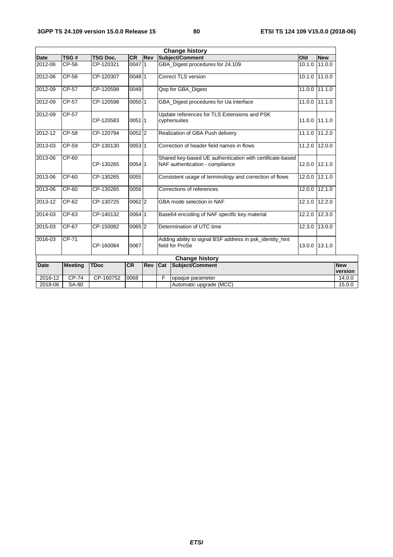| TSG#           | <b>TSG Doc.</b> | <b>CR</b> |            | Subject/Comment                                                                                                                                       | Old                   | <b>New</b>                                                |                       |
|----------------|-----------------|-----------|------------|-------------------------------------------------------------------------------------------------------------------------------------------------------|-----------------------|-----------------------------------------------------------|-----------------------|
| CP-56          | CP-120321       |           |            | GBA_Digest procedures for 24.109                                                                                                                      | 10.1.0                | 11.0.0                                                    |                       |
| $CP-56$        | CP-120307       |           |            | <b>Correct TLS version</b>                                                                                                                            | 10.1.0                |                                                           |                       |
| <b>CP-57</b>   | CP-120598       |           |            | Qop for GBA_Digest                                                                                                                                    | 11.0.0                | 11.1.0                                                    |                       |
| $CP-57$        | CP-120598       |           |            | GBA_Digest procedures for Ua interface                                                                                                                | 11.0.0                | 11.1.0                                                    |                       |
| <b>CP-57</b>   | CP-120583       |           |            | Update references for TLS Extensions and PSK<br>cyphersuites                                                                                          | 11.0.0                |                                                           |                       |
| <b>CP-58</b>   | CP-120794       |           |            | Realization of GBA Push delivery                                                                                                                      | 11.1.0                | 11.2.0                                                    |                       |
| CP-59          | CP-130130       |           |            | Correction of header field names in flows                                                                                                             | 11.2.0                | 12.0.0                                                    |                       |
| CP-60          | CP-130265       |           |            | NAF authentication - compliance                                                                                                                       | 12.0.0                | 12.1.0                                                    |                       |
| $CP-60$        | CP-130265       |           |            | Consistent usage of terminology and correction of flows                                                                                               | 12.0.0                | 12.1.0                                                    |                       |
| CP-60          | CP-130265       |           |            | Corrections of references                                                                                                                             | 12.0.0                | 12.1.0                                                    |                       |
| CP-62          | CP-130725       |           |            | GBA mode selection in NAF                                                                                                                             | 12.1.0                | 12.2.0                                                    |                       |
| CP-63          | CP-140132       |           |            | Base64 encoding of NAF specific key material                                                                                                          | 12.2.0                | 12.3.0                                                    |                       |
| CP-67          | CP-150082       |           |            | Determination of UTC time                                                                                                                             | 12.3.0                | 13.0.0                                                    |                       |
| CP-71          | CP-160084       | 0067      |            | Adding ability to signal BSF address in psk_identity_hint<br>field for ProSe                                                                          | 13.0.0                | 13.1.0                                                    |                       |
|                |                 |           |            | <b>Change history</b>                                                                                                                                 |                       |                                                           |                       |
| <b>Meeting</b> | <b>TDoc</b>     | CR        | <b>Rev</b> | Subject/Comment<br>Cat                                                                                                                                |                       |                                                           | <b>New</b><br>version |
| <b>CP-74</b>   | CP-160752       | 0068      |            | F<br>opaque parameter                                                                                                                                 |                       |                                                           | 14.0.0                |
| SA-80          |                 |           |            | Automatic upgrade (MCC)                                                                                                                               |                       | 15.0.0                                                    |                       |
|                |                 |           |            | Rev<br>00471<br>00481<br>0049<br>00501<br>00511<br>$0052$ 2<br>005311<br>00541<br>0055<br>0056<br>$0062$ <sub>2</sub><br>00641<br>$0065$ <sub>2</sub> | <b>Change history</b> | Shared key-based UE authentication with certificate-based | 11.0.0<br>11.1.0      |